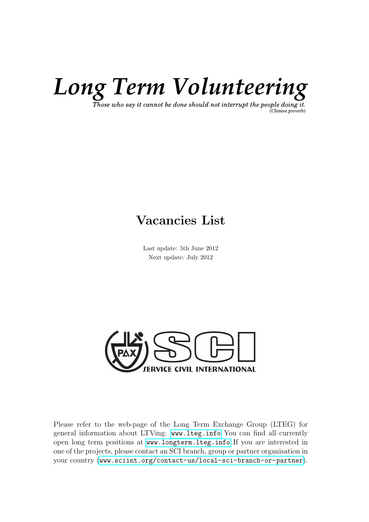

Those who say it cannot be done should not interrupt the people doing it. (Chinese proverb)

## Vacancies List

Last update: 5th June 2012 Next update: July 2012



Please refer to the web-page of the Long Term Exchange Group (LTEG) for general information about LTVing: <www.lteg.info> You can find all currently open long term positions at <www.longterm.lteg.info> If you are interested in one of the projects, please contact an SCI branch, group or partner organisation in your country (<www.sciint.org/contact-us/local-sci-branch-or-partner>).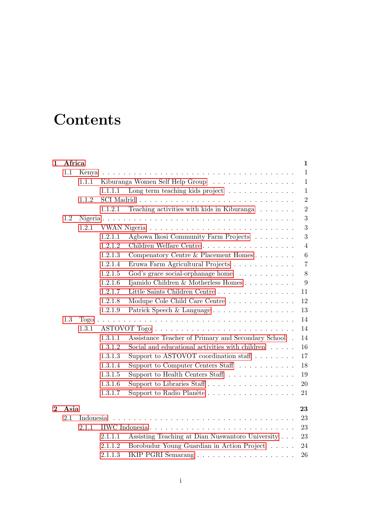# **Contents**

| $\mathbf{1}$   | Africa |           |         | 1                                                                |
|----------------|--------|-----------|---------|------------------------------------------------------------------|
|                | 1.1    | Kenya     |         | $\mathbf{1}$                                                     |
|                |        | 1.1.1     |         | Kiburanga Women Self Help Group<br>$\mathbf{1}$                  |
|                |        |           | 1.1.1.1 | Long term teaching kids project<br>$\mathbf{1}$                  |
|                |        | 1.1.2     |         | $\sqrt{2}$                                                       |
|                |        |           | 1.1.2.1 | $\overline{2}$<br>Teaching activities with kids in Kiburanga     |
|                | 1.2    |           |         | 3                                                                |
|                |        | 1.2.1     |         | 3                                                                |
|                |        |           | 1.2.1.1 | 3<br>Agbowa Ikosi Community Farm Projects                        |
|                |        |           | 1.2.1.2 | Children Welfare Centre<br>$\overline{4}$                        |
|                |        |           | 1.2.1.3 | Compenatory Centre & Placement Homes<br>$\,6\,$                  |
|                |        |           | 1.2.1.4 | $\overline{7}$<br>Eruwa Farm Agricultural Projects               |
|                |        |           | 1.2.1.5 | 8<br>God's grace social-orphanage home                           |
|                |        |           | 1.2.1.6 | Ijamido Children & Motherless Homes<br>9                         |
|                |        |           | 1.2.1.7 | 11                                                               |
|                |        |           | 1.2.1.8 | Modupe Cole Child Care Centre<br>12                              |
|                |        |           | 1.2.1.9 | Patrick Speech & Language<br>13                                  |
|                | 1.3    |           |         | 14                                                               |
|                |        | 1.3.1     |         | $14\,$                                                           |
|                |        |           | 1.3.1.1 | 14<br>Assistance Teacher of Primary and Secondary School.        |
|                |        |           | 1.3.1.2 | Social and educational activities with children $\ldots$ .<br>16 |
|                |        |           | 1.3.1.3 | Support to ASTOVOT coordination staff $\ldots \ldots$<br>17      |
|                |        |           | 1.3.1.4 | Support to Computer Centers Staff<br>18                          |
|                |        |           | 1.3.1.5 | Support to Health Centers Staff<br>19                            |
|                |        |           | 1.3.1.6 | Support to Libraries Staff<br>20                                 |
|                |        |           | 1.3.1.7 | Support to Radio Planète<br>21                                   |
|                |        |           |         |                                                                  |
| $\overline{2}$ | Asia   |           |         | 23                                                               |
|                | 2.1    | Indonesia |         | 23                                                               |
|                |        | 2.1.1     |         | 23                                                               |
|                |        |           | 2.1.1.1 | Assisting Teaching at Dian Nuswantoro University<br>23           |
|                |        |           | 2.1.1.2 | Borobudur Young Guardian in Action Project<br>24                 |
|                |        |           | 2.1.1.3 | 26                                                               |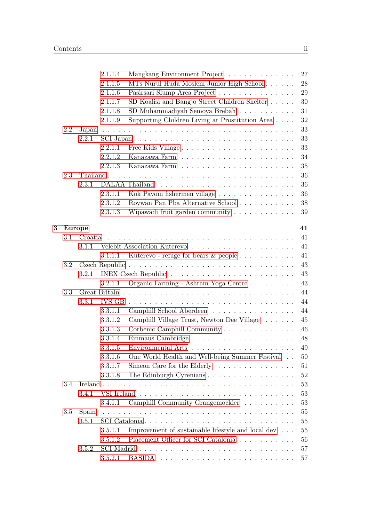|   |               |         | 2.1.1.4 | Mangkang Environment Project                                     | 27 |
|---|---------------|---------|---------|------------------------------------------------------------------|----|
|   |               |         | 2.1.1.5 | MTs Nurul Huda Moslem Junior High School                         | 28 |
|   |               |         | 2.1.1.6 | Pasirsari Slump Area Project                                     | 29 |
|   |               |         | 2.1.1.7 | SD Koalisi and Bangjo Street Children Shelter                    | 30 |
|   |               |         | 2.1.1.8 | SD Muhammadiyah Semoya Brebah                                    | 31 |
|   |               |         | 2.1.1.9 | Supporting Children Living at Prostitution Area                  | 32 |
|   | 2.2           | Japan   |         |                                                                  | 33 |
|   |               | 2.2.1   |         |                                                                  | 33 |
|   |               |         | 2.2.1.1 | Free Kids Village                                                | 33 |
|   |               |         | 2.2.1.2 |                                                                  | 34 |
|   |               |         | 2.2.1.3 |                                                                  | 35 |
|   | 2.3           |         |         |                                                                  | 36 |
|   |               | 2.3.1   |         |                                                                  | 36 |
|   |               |         | 2.3.1.1 | Kok Payom fishermen village                                      | 36 |
|   |               |         | 2.3.1.2 | Roywan Pan Pba Alternative School                                | 38 |
|   |               |         | 2.3.1.3 |                                                                  | 39 |
|   |               |         |         |                                                                  |    |
| 3 | <b>Europe</b> |         |         |                                                                  | 41 |
|   | $3.1\,$       | Croatia |         |                                                                  | 41 |
|   |               | 3.1.1   |         |                                                                  | 41 |
|   |               |         | 3.1.1.1 | Kuterevo - refuge for bears & people                             | 41 |
|   | 3.2           |         |         |                                                                  | 43 |
|   |               | 3.2.1   |         |                                                                  | 43 |
|   |               |         | 3.2.1.1 | Organic Farming - Ashram Yoga Centre                             | 43 |
|   | 3.3           |         |         |                                                                  | 44 |
|   |               | 3.3.1   |         |                                                                  | 44 |
|   |               |         | 3.3.1.1 | Camphill School Aberdeen                                         | 44 |
|   |               |         | 3.3.1.2 | Camphill Village Trust, Newton Dee Village                       | 45 |
|   |               |         | 3.3.1.3 | Corbenic Camphill Community                                      | 46 |
|   |               |         | 3.3.1.4 |                                                                  | 48 |
|   |               |         | 3.3.1.5 |                                                                  | 49 |
|   |               |         | 3.3.1.6 | One World Health and Well-being Summer Festival                  | 50 |
|   |               |         | 3.3.1.7 | Simeon Care for the Elderly $\ldots \ldots \ldots \ldots \ldots$ | 51 |
|   |               |         | 3.3.1.8 | The Edinburgh Cyrenians                                          | 52 |
|   | 3.4           |         |         |                                                                  | 53 |
|   |               | 3.4.1   |         |                                                                  | 53 |
|   |               |         | 3.4.1.1 | Camphill Community Grangemockler                                 | 53 |
|   | 3.5           | Spain   |         |                                                                  | 55 |
|   |               | 3.5.1   |         |                                                                  | 55 |
|   |               |         | 3.5.1.1 | Improvement of sustainable lifestyle and local dev $\ldots$      | 55 |
|   |               |         | 3.5.1.2 | Placement Officer for SCI Catalonia                              | 56 |
|   |               | 3.5.2   |         |                                                                  | 57 |
|   |               |         | 3.5.2.1 |                                                                  | 57 |
|   |               |         |         |                                                                  |    |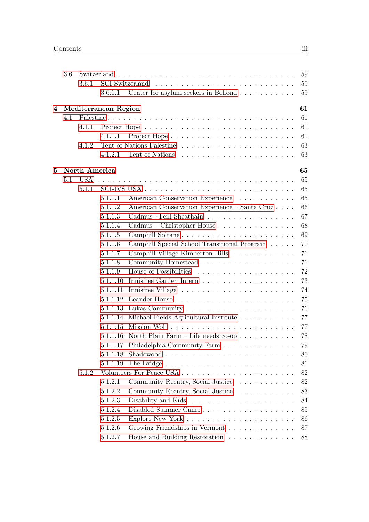|   | 3.6 |               |                      |                                                                             | 59     |
|---|-----|---------------|----------------------|-----------------------------------------------------------------------------|--------|
|   |     | 3.6.1         |                      |                                                                             | 59     |
|   |     |               | 3.6.1.1              | Center for asylum seekers in Belfond                                        | 59     |
| 4 |     |               | Mediterranean Region |                                                                             | 61     |
|   | 4.1 |               |                      |                                                                             | 61     |
|   |     | 4.1.1         |                      |                                                                             | 61     |
|   |     |               | 4.1.1.1              |                                                                             | 61     |
|   |     | 4.1.2         |                      |                                                                             | 63     |
|   |     |               | 4.1.2.1              |                                                                             | 63     |
| 5 |     | North America |                      |                                                                             | 65     |
|   | 5.1 | USA.          |                      |                                                                             | 65     |
|   |     | 5.1.1         |                      |                                                                             | 65     |
|   |     |               | 5.1.1.1              | American Conservation Experience                                            | 65     |
|   |     |               | 5.1.1.2              | American Conservation Experience – Santa Cruz                               | 66     |
|   |     |               | 5.1.1.3              | Cadmus - Feill Sheathain                                                    | 67     |
|   |     |               | 5.1.1.4              | Cadmus – Christopher House                                                  | 68     |
|   |     |               | 5.1.1.5              |                                                                             | 69     |
|   |     |               | 5.1.1.6              | Camphill Special School Transitional Program                                | 70     |
|   |     |               | 5.1.1.7              | Camphill Village Kimberton Hills                                            | 71     |
|   |     |               | 5.1.1.8              | Community Homestead                                                         | 71     |
|   |     |               | 5.1.1.9              |                                                                             | 72     |
|   |     |               | 5.1.1.10             |                                                                             | 73     |
|   |     |               | 5.1.1.11             |                                                                             | 74     |
|   |     |               | 5.1.1.12             |                                                                             | 75     |
|   |     |               | 5.1.1.13             |                                                                             | 76     |
|   |     |               | 5.1.1.14             | Michael Fields Agricultural Institute                                       | 77     |
|   |     |               | 5.1.1.15             |                                                                             | 77     |
|   |     |               | 5.1.1.16             | North Plain Farm – Life needs $co-op \ldots \ldots \ldots$                  | 78     |
|   |     |               | 5.1.1.17             | Philadelphia Community Farm                                                 | 79     |
|   |     |               | 5.1.1.18             |                                                                             | 80     |
|   |     |               | 5.1.1.19             |                                                                             | 81     |
|   |     | 5.1.2         |                      |                                                                             | $82\,$ |
|   |     |               | 5.1.2.1              | Community Reentry, Social Justice                                           | $82\,$ |
|   |     |               | 5.1.2.2              | Community Reentry, Social Justice                                           | 83     |
|   |     |               | 5.1.2.3              |                                                                             | 84     |
|   |     |               | 5.1.2.4              | Disabled Summer Camp                                                        | 85     |
|   |     |               | 5.1.2.5              |                                                                             | 86     |
|   |     |               | 5.1.2.6              | Growing Friendships in Vermont                                              | 87     |
|   |     |               | 5.1.2.7              | House and Building Restoration $\hfill\ldots\ldots\ldots\ldots\ldots\ldots$ | 88     |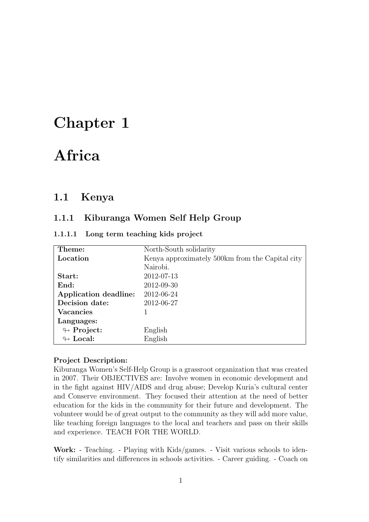# <span id="page-4-0"></span>Chapter 1

# Africa

## <span id="page-4-1"></span>1.1 Kenya

### <span id="page-4-2"></span>1.1.1 Kiburanga Women Self Help Group

<span id="page-4-3"></span>

|  |  |  | 1.1.1.1 Long term teaching kids project |  |  |
|--|--|--|-----------------------------------------|--|--|
|--|--|--|-----------------------------------------|--|--|

| Theme:                     | North-South solidarity                          |
|----------------------------|-------------------------------------------------|
| Location                   | Kenya approximately 500km from the Capital city |
|                            | Nairobi.                                        |
| Start:                     | 2012-07-13                                      |
| End:                       | 2012-09-30                                      |
| Application deadline:      | 2012-06-24                                      |
| Decision date:             | 2012-06-27                                      |
| <b>Vacancies</b>           |                                                 |
| Languages:                 |                                                 |
| $\leftrightarrow$ Project: | English                                         |
| $\leftrightarrow$ Local:   | English                                         |

#### Project Description:

Kiburanga Women's Self-Help Group is a grassroot organization that was created in 2007. Their OBJECTIVES are: Involve women in economic development and in the fight against HIV/AIDS and drug abuse; Develop Kuria's cultural center and Conserve environment. They focused their attention at the need of better education for the kids in the community for their future and development. The volunteer would be of great output to the community as they will add more value, like teaching foreign languages to the local and teachers and pass on their skills and experience. TEACH FOR THE WORLD.

Work: - Teaching. - Playing with Kids/games. - Visit various schools to identify similarities and differences in schools activities. - Career guiding. - Coach on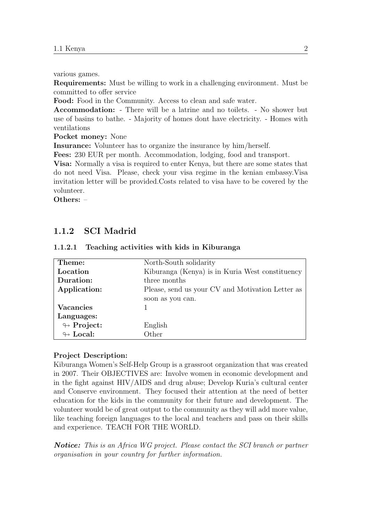various games.

Requirements: Must be willing to work in a challenging environment. Must be committed to offer service

Food: Food in the Community. Access to clean and safe water.

Accommodation: - There will be a latrine and no toilets. - No shower but use of basins to bathe. - Majority of homes dont have electricity. - Homes with ventilations

Pocket money: None

Insurance: Volunteer has to organize the insurance by him/herself.

Fees: 230 EUR per month. Accommodation, lodging, food and transport.

Visa: Normally a visa is required to enter Kenya, but there are some states that do not need Visa. Please, check your visa regime in the kenian embassy.Visa invitation letter will be provided.Costs related to visa have to be covered by the volunteer.

Others: –

### <span id="page-5-0"></span>1.1.2 SCI Madrid

| Theme:                     | North-South solidarity                           |
|----------------------------|--------------------------------------------------|
| Location                   | Kiburanga (Kenya) is in Kuria West constituency  |
| Duration:                  | three months                                     |
| Application:               | Please, send us your CV and Motivation Letter as |
|                            | soon as you can.                                 |
| <b>Vacancies</b>           |                                                  |
| Languages:                 |                                                  |
| $\looparrowright$ Project: | English                                          |
| $\leftrightarrow$ Local:   | Other                                            |

#### <span id="page-5-1"></span>1.1.2.1 Teaching activities with kids in Kiburanga

#### Project Description:

Kiburanga Women's Self-Help Group is a grassroot organization that was created in 2007. Their OBJECTIVES are: Involve women in economic development and in the fight against HIV/AIDS and drug abuse; Develop Kuria's cultural center and Conserve environment. They focused their attention at the need of better education for the kids in the community for their future and development. The volunteer would be of great output to the community as they will add more value, like teaching foreign languages to the local and teachers and pass on their skills and experience. TEACH FOR THE WORLD.

Notice: This is an Africa WG project. Please contact the SCI branch or partner organisation in your country for further information.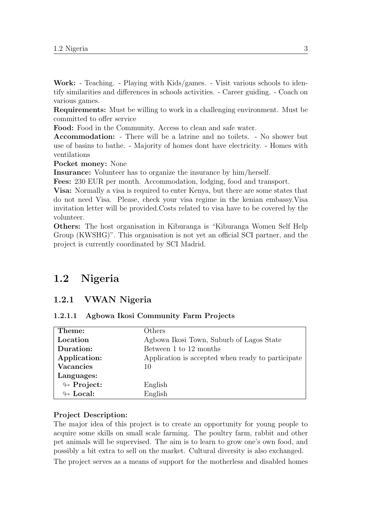Work: - Teaching. - Playing with Kids/games. - Visit various schools to identify similarities and differences in schools activities. - Career guiding. - Coach on various games.

Requirements: Must be willing to work in a challenging environment. Must be committed to offer service

Food: Food in the Community. Access to clean and safe water.

Accommodation: - There will be a latrine and no toilets. - No shower but use of basins to bathe. - Majority of homes dont have electricity. - Homes with ventilations

Pocket money: None

Insurance: Volunteer has to organize the insurance by him/herself.

Fees: 230 EUR per month. Accommodation, lodging, food and transport.

Visa: Normally a visa is required to enter Kenya, but there are some states that do not need Visa. Please, check your visa regime in the kenian embassy.Visa invitation letter will be provided.Costs related to visa have to be covered by the volunteer.

Others: The host organisation in Kiburanga is "Kiburanga Women Self Help Group (KWSHG)". This organisation is not yet an official SCI partner, and the project is currently coordinated by SCI Madrid.

## <span id="page-6-0"></span>1.2 Nigeria

#### <span id="page-6-1"></span>1.2.1 VWAN Nigeria

#### <span id="page-6-2"></span>1.2.1.1 Agbowa Ikosi Community Farm Projects

| Theme:                     | Others                                            |
|----------------------------|---------------------------------------------------|
| Location                   | Agbowa Ikosi Town, Suburb of Lagos State          |
| Duration:                  | Between 1 to 12 months                            |
| Application:               | Application is accepted when ready to participate |
| <b>Vacancies</b>           | 10                                                |
| Languages:                 |                                                   |
| $\looparrowright$ Project: | English                                           |
| $\leftrightarrow$ Local:   | English                                           |

#### Project Description:

The major idea of this project is to create an opportunity for young people to acquire some skills on small scale farming. The poultry farm, rabbit and other pet animals will be supervised. The aim is to learn to grow one's own food, and possibly a bit extra to sell on the market. Cultural diversity is also exchanged.

The project serves as a means of support for the motherless and disabled homes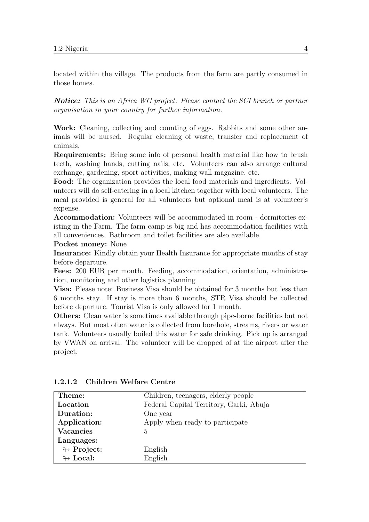located within the village. The products from the farm are partly consumed in those homes.

Notice: This is an Africa WG project. Please contact the SCI branch or partner organisation in your country for further information.

Work: Cleaning, collecting and counting of eggs. Rabbits and some other animals will be nursed. Regular cleaning of waste, transfer and replacement of animals.

Requirements: Bring some info of personal health material like how to brush teeth, washing hands, cutting nails, etc. Volunteers can also arrange cultural exchange, gardening, sport activities, making wall magazine, etc.

Food: The organization provides the local food materials and ingredients. Volunteers will do self-catering in a local kitchen together with local volunteers. The meal provided is general for all volunteers but optional meal is at volunteer's expense.

Accommodation: Volunteers will be accommodated in room - dormitories existing in the Farm. The farm camp is big and has accommodation facilities with all conveniences. Bathroom and toilet facilities are also available.

Pocket money: None

Insurance: Kindly obtain your Health Insurance for appropriate months of stay before departure.

Fees: 200 EUR per month. Feeding, accommodation, orientation, administration, monitoring and other logistics planning

Visa: Please note: Business Visa should be obtained for 3 months but less than 6 months stay. If stay is more than 6 months, STR Visa should be collected before departure. Tourist Visa is only allowed for 1 month.

Others: Clean water is sometimes available through pipe-borne facilities but not always. But most often water is collected from borehole, streams, rivers or water tank. Volunteers usually boiled this water for safe drinking. Pick up is arranged by VWAN on arrival. The volunteer will be dropped of at the airport after the project.

| Theme:                     | Children, teenagers, elderly people     |
|----------------------------|-----------------------------------------|
| Location                   | Federal Capital Territory, Garki, Abuja |
| Duration:                  | One year                                |
| Application:               | Apply when ready to participate         |
| <b>Vacancies</b>           | $\overline{5}$                          |
| Languages:                 |                                         |
| $\looparrowright$ Project: | English                                 |
| $\leftrightarrow$ Local:   | English                                 |

<span id="page-7-0"></span>1.2.1.2 Children Welfare Centre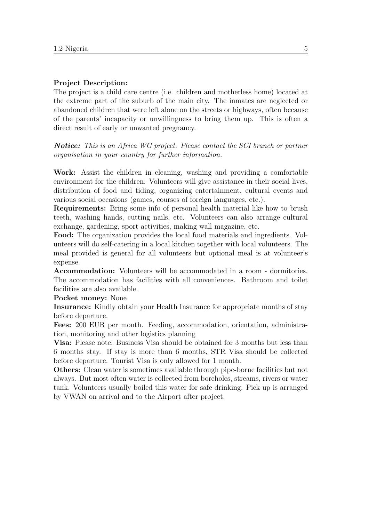#### Project Description:

The project is a child care centre (i.e. children and motherless home) located at the extreme part of the suburb of the main city. The inmates are neglected or abandoned children that were left alone on the streets or highways, often because of the parents' incapacity or unwillingness to bring them up. This is often a direct result of early or unwanted pregnancy.

Notice: This is an Africa WG project. Please contact the SCI branch or partner organisation in your country for further information.

Work: Assist the children in cleaning, washing and providing a comfortable environment for the children. Volunteers will give assistance in their social lives, distribution of food and tiding, organizing entertainment, cultural events and various social occasions (games, courses of foreign languages, etc.).

Requirements: Bring some info of personal health material like how to brush teeth, washing hands, cutting nails, etc. Volunteers can also arrange cultural exchange, gardening, sport activities, making wall magazine, etc.

Food: The organization provides the local food materials and ingredients. Volunteers will do self-catering in a local kitchen together with local volunteers. The meal provided is general for all volunteers but optional meal is at volunteer's expense.

Accommodation: Volunteers will be accommodated in a room - dormitories. The accommodation has facilities with all conveniences. Bathroom and toilet facilities are also available.

#### Pocket money: None

Insurance: Kindly obtain your Health Insurance for appropriate months of stay before departure.

Fees: 200 EUR per month. Feeding, accommodation, orientation, administration, monitoring and other logistics planning

Visa: Please note: Business Visa should be obtained for 3 months but less than 6 months stay. If stay is more than 6 months, STR Visa should be collected before departure. Tourist Visa is only allowed for 1 month.

Others: Clean water is sometimes available through pipe-borne facilities but not always. But most often water is collected from boreholes, streams, rivers or water tank. Volunteers usually boiled this water for safe drinking. Pick up is arranged by VWAN on arrival and to the Airport after project.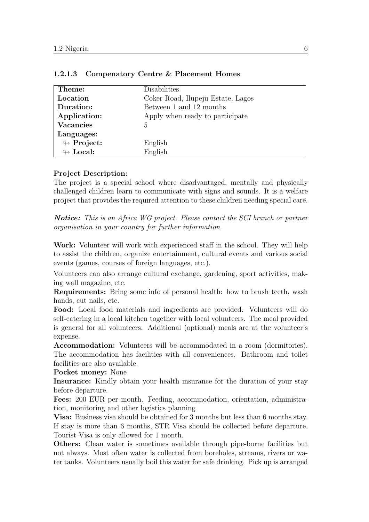| Theme:                     | Disabilities                      |
|----------------------------|-----------------------------------|
| Location                   | Coker Road, Ilupeju Estate, Lagos |
| Duration:                  | Between 1 and 12 months           |
| Application:               | Apply when ready to participate   |
| <b>Vacancies</b>           | 5                                 |
| Languages:                 |                                   |
| $\leftrightarrow$ Project: | English                           |
| $\leftrightarrow$ Local:   | English                           |

#### <span id="page-9-0"></span>1.2.1.3 Compenatory Centre & Placement Homes

#### Project Description:

The project is a special school where disadvantaged, mentally and physically challenged children learn to communicate with signs and sounds. It is a welfare project that provides the required attention to these children needing special care.

Notice: This is an Africa WG project. Please contact the SCI branch or partner organisation in your country for further information.

Work: Volunteer will work with experienced staff in the school. They will help to assist the children, organize entertainment, cultural events and various social events (games, courses of foreign languages, etc.).

Volunteers can also arrange cultural exchange, gardening, sport activities, making wall magazine, etc.

Requirements: Bring some info of personal health: how to brush teeth, wash hands, cut nails, etc.

Food: Local food materials and ingredients are provided. Volunteers will do self-catering in a local kitchen together with local volunteers. The meal provided is general for all volunteers. Additional (optional) meals are at the volunteer's expense.

Accommodation: Volunteers will be accommodated in a room (dormitories). The accommodation has facilities with all conveniences. Bathroom and toilet facilities are also available.

Pocket money: None

Insurance: Kindly obtain your health insurance for the duration of your stay before departure.

Fees: 200 EUR per month. Feeding, accommodation, orientation, administration, monitoring and other logistics planning

Visa: Business visa should be obtained for 3 months but less than 6 months stay. If stay is more than 6 months, STR Visa should be collected before departure. Tourist Visa is only allowed for 1 month.

Others: Clean water is sometimes available through pipe-borne facilities but not always. Most often water is collected from boreholes, streams, rivers or water tanks. Volunteers usually boil this water for safe drinking. Pick up is arranged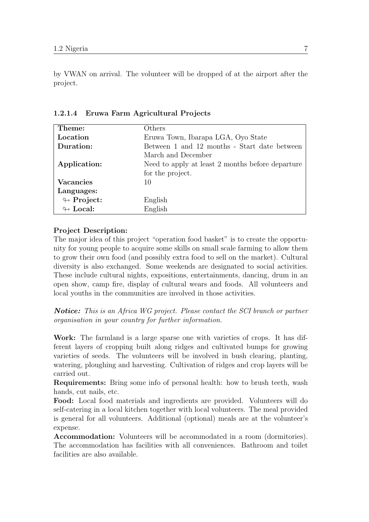by VWAN on arrival. The volunteer will be dropped of at the airport after the project.

| Theme:                     | Others                                           |
|----------------------------|--------------------------------------------------|
| Location                   | Eruwa Town, Ibarapa LGA, Oyo State               |
| Duration:                  | Between 1 and 12 months - Start date between     |
|                            | March and December                               |
| Application:               | Need to apply at least 2 months before departure |
|                            | for the project.                                 |
| Vacancies                  | 10                                               |
| Languages:                 |                                                  |
| $\leftrightarrow$ Project: | English                                          |
| $\leftrightarrow$ Local:   | English                                          |

<span id="page-10-0"></span>1.2.1.4 Eruwa Farm Agricultural Projects

### Project Description:

The major idea of this project "operation food basket" is to create the opportunity for young people to acquire some skills on small scale farming to allow them to grow their own food (and possibly extra food to sell on the market). Cultural diversity is also exchanged. Some weekends are designated to social activities. These include cultural nights, expositions, entertainments, dancing, drum in an open show, camp fire, display of cultural wears and foods. All volunteers and local youths in the communities are involved in those activities.

Notice: This is an Africa WG project. Please contact the SCI branch or partner organisation in your country for further information.

Work: The farmland is a large sparse one with varieties of crops. It has different layers of cropping built along ridges and cultivated bumps for growing varieties of seeds. The volunteers will be involved in bush clearing, planting, watering, ploughing and harvesting. Cultivation of ridges and crop layers will be carried out.

Requirements: Bring some info of personal health: how to brush teeth, wash hands, cut nails, etc.

Food: Local food materials and ingredients are provided. Volunteers will do self-catering in a local kitchen together with local volunteers. The meal provided is general for all volunteers. Additional (optional) meals are at the volunteer's expense.

Accommodation: Volunteers will be accommodated in a room (dormitories). The accommodation has facilities with all conveniences. Bathroom and toilet facilities are also available.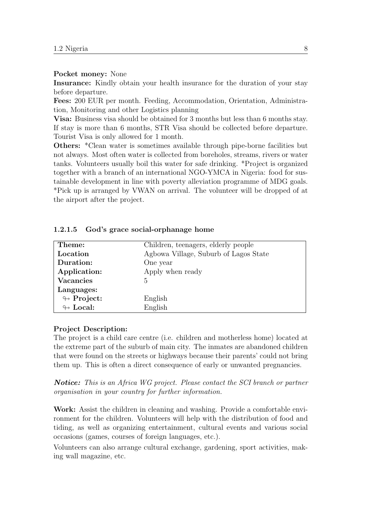#### Pocket money: None

Insurance: Kindly obtain your health insurance for the duration of your stay before departure.

Fees: 200 EUR per month. Feeding, Accommodation, Orientation, Administration, Monitoring and other Logistics planning

Visa: Business visa should be obtained for 3 months but less than 6 months stay. If stay is more than 6 months, STR Visa should be collected before departure. Tourist Visa is only allowed for 1 month.

Others: \*Clean water is sometimes available through pipe-borne facilities but not always. Most often water is collected from boreholes, streams, rivers or water tanks. Volunteers usually boil this water for safe drinking. \*Project is organized together with a branch of an international NGO-YMCA in Nigeria: food for sustainable development in line with poverty alleviation programme of MDG goals. \*Pick up is arranged by VWAN on arrival. The volunteer will be dropped of at the airport after the project.

| Theme:                     | Children, teenagers, elderly people   |
|----------------------------|---------------------------------------|
| Location                   | Agbowa Village, Suburb of Lagos State |
| Duration:                  | One year                              |
| Application:               | Apply when ready                      |
| <b>Vacancies</b>           | 5                                     |
| Languages:                 |                                       |
| $\looparrowright$ Project: | English                               |
| $\leftrightarrow$ Local:   | English                               |

#### <span id="page-11-0"></span>1.2.1.5 God's grace social-orphanage home

#### Project Description:

The project is a child care centre (i.e. children and motherless home) located at the extreme part of the suburb of main city. The inmates are abandoned children that were found on the streets or highways because their parents' could not bring them up. This is often a direct consequence of early or unwanted pregnancies.

**Notice:** This is an Africa WG project. Please contact the SCI branch or partner organisation in your country for further information.

Work: Assist the children in cleaning and washing. Provide a comfortable environment for the children. Volunteers will help with the distribution of food and tiding, as well as organizing entertainment, cultural events and various social occasions (games, courses of foreign languages, etc.).

Volunteers can also arrange cultural exchange, gardening, sport activities, making wall magazine, etc.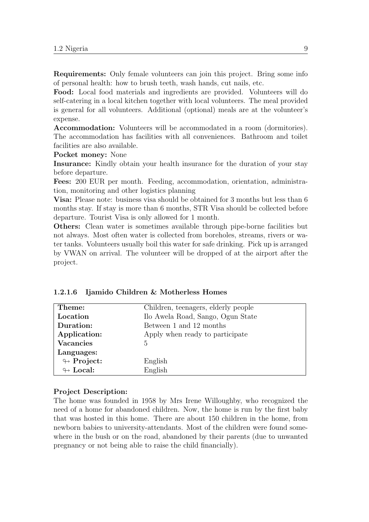Requirements: Only female volunteers can join this project. Bring some info of personal health: how to brush teeth, wash hands, cut nails, etc.

Food: Local food materials and ingredients are provided. Volunteers will do self-catering in a local kitchen together with local volunteers. The meal provided is general for all volunteers. Additional (optional) meals are at the volunteer's expense.

Accommodation: Volunteers will be accommodated in a room (dormitories). The accommodation has facilities with all conveniences. Bathroom and toilet facilities are also available.

Pocket money: None

Insurance: Kindly obtain your health insurance for the duration of your stay before departure.

Fees: 200 EUR per month. Feeding, accommodation, orientation, administration, monitoring and other logistics planning

Visa: Please note: business visa should be obtained for 3 months but less than 6 months stay. If stay is more than 6 months, STR Visa should be collected before departure. Tourist Visa is only allowed for 1 month.

Others: Clean water is sometimes available through pipe-borne facilities but not always. Most often water is collected from boreholes, streams, rivers or water tanks. Volunteers usually boil this water for safe drinking. Pick up is arranged by VWAN on arrival. The volunteer will be dropped of at the airport after the project.

<span id="page-12-0"></span>

|  | 1.2.1.6 Ijamido Children & Motherless Homes |  |
|--|---------------------------------------------|--|
|  |                                             |  |

| Theme:                     | Children, teenagers, elderly people |  |  |  |  |
|----------------------------|-------------------------------------|--|--|--|--|
| Location                   | Ilo Awela Road, Sango, Ogun State   |  |  |  |  |
| Duration:                  | Between 1 and 12 months             |  |  |  |  |
| Application:               | Apply when ready to participate     |  |  |  |  |
| <b>Vacancies</b>           | 5                                   |  |  |  |  |
| Languages:                 |                                     |  |  |  |  |
| $\looparrowright$ Project: | English                             |  |  |  |  |
| $\leftrightarrow$ Local:   | English                             |  |  |  |  |

#### Project Description:

The home was founded in 1958 by Mrs Irene Willoughby, who recognized the need of a home for abandoned children. Now, the home is run by the first baby that was hosted in this home. There are about 150 children in the home, from newborn babies to university-attendants. Most of the children were found somewhere in the bush or on the road, abandoned by their parents (due to unwanted pregnancy or not being able to raise the child financially).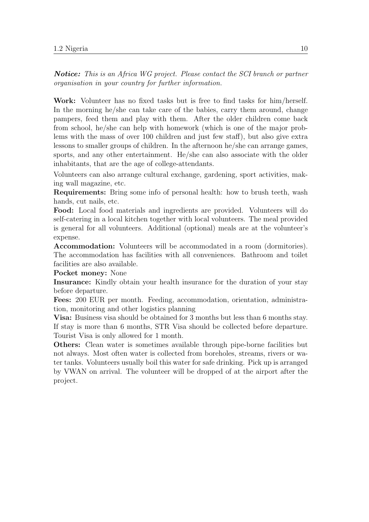Notice: This is an Africa WG project. Please contact the SCI branch or partner organisation in your country for further information.

Work: Volunteer has no fixed tasks but is free to find tasks for him/herself. In the morning he/she can take care of the babies, carry them around, change pampers, feed them and play with them. After the older children come back from school, he/she can help with homework (which is one of the major problems with the mass of over 100 children and just few staff), but also give extra lessons to smaller groups of children. In the afternoon he/she can arrange games, sports, and any other entertainment. He/she can also associate with the older inhabitants, that are the age of college-attendants.

Volunteers can also arrange cultural exchange, gardening, sport activities, making wall magazine, etc.

Requirements: Bring some info of personal health: how to brush teeth, wash hands, cut nails, etc.

Food: Local food materials and ingredients are provided. Volunteers will do self-catering in a local kitchen together with local volunteers. The meal provided is general for all volunteers. Additional (optional) meals are at the volunteer's expense.

Accommodation: Volunteers will be accommodated in a room (dormitories). The accommodation has facilities with all conveniences. Bathroom and toilet facilities are also available.

Pocket money: None

Insurance: Kindly obtain your health insurance for the duration of your stay before departure.

Fees: 200 EUR per month. Feeding, accommodation, orientation, administration, monitoring and other logistics planning

Visa: Business visa should be obtained for 3 months but less than 6 months stay. If stay is more than 6 months, STR Visa should be collected before departure. Tourist Visa is only allowed for 1 month.

Others: Clean water is sometimes available through pipe-borne facilities but not always. Most often water is collected from boreholes, streams, rivers or water tanks. Volunteers usually boil this water for safe drinking. Pick up is arranged by VWAN on arrival. The volunteer will be dropped of at the airport after the project.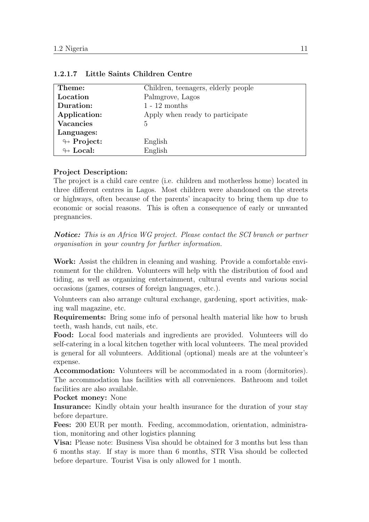| Theme:                     | Children, teenagers, elderly people |
|----------------------------|-------------------------------------|
| Location                   | Palmgrove, Lagos                    |
| Duration:                  | $1 - 12$ months                     |
| Application:               | Apply when ready to participate     |
| <b>Vacancies</b>           | 5                                   |
| Languages:                 |                                     |
| $\looparrowright$ Project: | English                             |
| $\leftrightarrow$ Local:   | English                             |

#### <span id="page-14-0"></span>1.2.1.7 Little Saints Children Centre

#### Project Description:

The project is a child care centre (i.e. children and motherless home) located in three different centres in Lagos. Most children were abandoned on the streets or highways, often because of the parents' incapacity to bring them up due to economic or social reasons. This is often a consequence of early or unwanted pregnancies.

Notice: This is an Africa WG project. Please contact the SCI branch or partner organisation in your country for further information.

Work: Assist the children in cleaning and washing. Provide a comfortable environment for the children. Volunteers will help with the distribution of food and tiding, as well as organizing entertainment, cultural events and various social occasions (games, courses of foreign languages, etc.).

Volunteers can also arrange cultural exchange, gardening, sport activities, making wall magazine, etc.

Requirements: Bring some info of personal health material like how to brush teeth, wash hands, cut nails, etc.

Food: Local food materials and ingredients are provided. Volunteers will do self-catering in a local kitchen together with local volunteers. The meal provided is general for all volunteers. Additional (optional) meals are at the volunteer's expense.

Accommodation: Volunteers will be accommodated in a room (dormitories). The accommodation has facilities with all conveniences. Bathroom and toilet facilities are also available.

Pocket money: None

Insurance: Kindly obtain your health insurance for the duration of your stay before departure.

Fees: 200 EUR per month. Feeding, accommodation, orientation, administration, monitoring and other logistics planning

Visa: Please note: Business Visa should be obtained for 3 months but less than 6 months stay. If stay is more than 6 months, STR Visa should be collected before departure. Tourist Visa is only allowed for 1 month.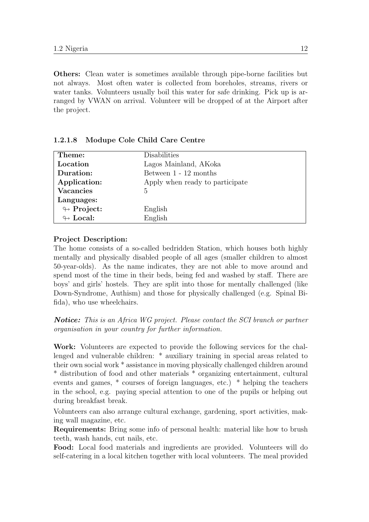Others: Clean water is sometimes available through pipe-borne facilities but not always. Most often water is collected from boreholes, streams, rivers or water tanks. Volunteers usually boil this water for safe drinking. Pick up is arranged by VWAN on arrival. Volunteer will be dropped of at the Airport after the project.

| Theme:                     | Disabilities                    |
|----------------------------|---------------------------------|
| Location                   | Lagos Mainland, AKoka           |
| Duration:                  | Between $1 - 12$ months         |
| Application:               | Apply when ready to participate |
| <b>Vacancies</b>           | 5                               |
| Languages:                 |                                 |
| $\looparrowright$ Project: | English                         |
| $\leftrightarrow$ Local:   | English                         |

#### <span id="page-15-0"></span>1.2.1.8 Modupe Cole Child Care Centre

#### Project Description:

The home consists of a so-called bedridden Station, which houses both highly mentally and physically disabled people of all ages (smaller children to almost 50-year-olds). As the name indicates, they are not able to move around and spend most of the time in their beds, being fed and washed by staff. There are boys' and girls' hostels. They are split into those for mentally challenged (like Down-Syndrome, Authism) and those for physically challenged (e.g. Spinal Bifida), who use wheelchairs.

**Notice:** This is an Africa WG project. Please contact the SCI branch or partner organisation in your country for further information.

Work: Volunteers are expected to provide the following services for the challenged and vulnerable children: \* auxiliary training in special areas related to their own social work \* assistance in moving physically challenged children around \* distribution of food and other materials \* organizing entertainment, cultural events and games, \* courses of foreign languages, etc.) \* helping the teachers in the school, e.g. paying special attention to one of the pupils or helping out during breakfast break.

Volunteers can also arrange cultural exchange, gardening, sport activities, making wall magazine, etc.

Requirements: Bring some info of personal health: material like how to brush teeth, wash hands, cut nails, etc.

Food: Local food materials and ingredients are provided. Volunteers will do self-catering in a local kitchen together with local volunteers. The meal provided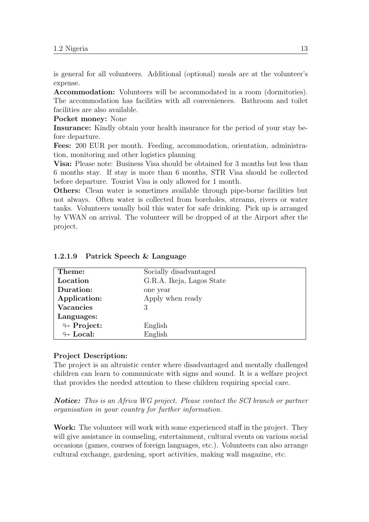is general for all volunteers. Additional (optional) meals are at the volunteer's expense.

Accommodation: Volunteers will be accommodated in a room (dormitories). The accommodation has facilities with all conveniences. Bathroom and toilet facilities are also available.

Pocket money: None

Insurance: Kindly obtain your health insurance for the period of your stay before departure.

Fees: 200 EUR per month. Feeding, accommodation, orientation, administration, monitoring and other logistics planning

Visa: Please note: Business Visa should be obtained for 3 months but less than 6 months stay. If stay is more than 6 months, STR Visa should be collected before departure. Tourist Visa is only allowed for 1 month.

Others: Clean water is sometimes available through pipe-borne facilities but not always. Often water is collected from boreholes, streams, rivers or water tanks. Volunteers usually boil this water for safe drinking. Pick up is arranged by VWAN on arrival. The volunteer will be dropped of at the Airport after the project.

| Theme:                     | Socially disadvantaged    |  |  |  |
|----------------------------|---------------------------|--|--|--|
| Location                   | G.R.A. Ikeja, Lagos State |  |  |  |
| Duration:                  | one year                  |  |  |  |
| Application:               | Apply when ready          |  |  |  |
| <b>Vacancies</b>           | 3                         |  |  |  |
| Languages:                 |                           |  |  |  |
| $\looparrowright$ Project: | English                   |  |  |  |
| $\leftrightarrow$ Local:   | English                   |  |  |  |

#### <span id="page-16-0"></span>1.2.1.9 Patrick Speech & Language

#### Project Description:

The project is an altruistic center where disadvantaged and mentally challenged children can learn to communicate with signs and sound. It is a welfare project that provides the needed attention to these children requiring special care.

Notice: This is an Africa WG project. Please contact the SCI branch or partner organisation in your country for further information.

Work: The volunteer will work with some experienced staff in the project. They will give assistance in counseling, entertainment, cultural events on various social occasions (games, courses of foreign languages, etc.). Volunteers can also arrange cultural exchange, gardening, sport activities, making wall magazine, etc.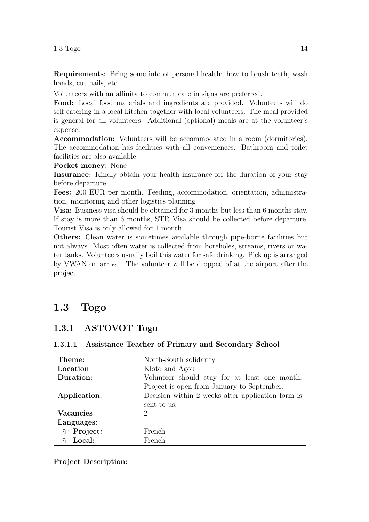Requirements: Bring some info of personal health: how to brush teeth, wash hands, cut nails, etc.

Volunteers with an affinity to communicate in signs are preferred.

Food: Local food materials and ingredients are provided. Volunteers will do self-catering in a local kitchen together with local volunteers. The meal provided is general for all volunteers. Additional (optional) meals are at the volunteer's expense.

Accommodation: Volunteers will be accommodated in a room (dormitories). The accommodation has facilities with all conveniences. Bathroom and toilet facilities are also available.

Pocket money: None

Insurance: Kindly obtain your health insurance for the duration of your stay before departure.

Fees: 200 EUR per month. Feeding, accommodation, orientation, administration, monitoring and other logistics planning

Visa: Business visa should be obtained for 3 months but less than 6 months stay. If stay is more than 6 months, STR Visa should be collected before departure. Tourist Visa is only allowed for 1 month.

Others: Clean water is sometimes available through pipe-borne facilities but not always. Most often water is collected from boreholes, streams, rivers or water tanks. Volunteers usually boil this water for safe drinking. Pick up is arranged by VWAN on arrival. The volunteer will be dropped of at the airport after the project.

## <span id="page-17-0"></span>1.3 Togo

### <span id="page-17-1"></span>1.3.1 ASTOVOT Togo

| Theme:                     | North-South solidarity                            |  |  |  |  |
|----------------------------|---------------------------------------------------|--|--|--|--|
| Location                   | Kloto and Agou                                    |  |  |  |  |
| Duration:                  | Volunteer should stay for at least one month.     |  |  |  |  |
|                            | Project is open from January to September.        |  |  |  |  |
| Application:               | Decision within 2 weeks after application form is |  |  |  |  |
|                            | sent to us.                                       |  |  |  |  |
| Vacancies                  | $\mathcal{D}_{\mathcal{L}}$                       |  |  |  |  |
| Languages:                 |                                                   |  |  |  |  |
| $\leftrightarrow$ Project: | French                                            |  |  |  |  |
| $\leftrightarrow$ Local:   | French                                            |  |  |  |  |

#### <span id="page-17-2"></span>1.3.1.1 Assistance Teacher of Primary and Secondary School

#### Project Description: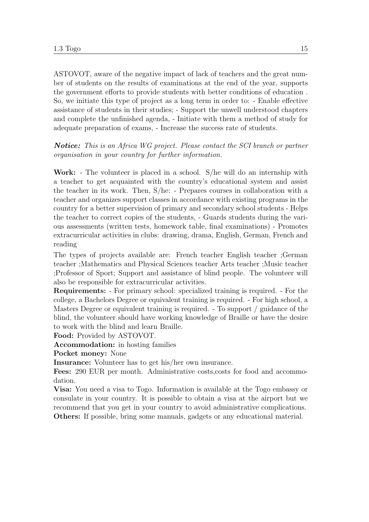ASTOVOT, aware of the negative impact of lack of teachers and the great number of students on the results of examinations at the end of the year, supports the government efforts to provide students with better conditions of education . So, we initiate this type of project as a long term in order to: - Enable effective assistance of students in their studies; - Support the unwell understood chapters and complete the unfinished agenda, - Initiate with them a method of study for adequate preparation of exams, - Increase the success rate of students.

Notice: This is an Africa WG project. Please contact the SCI branch or partner organisation in your country for further information.

Work: - The volunteer is placed in a school. S/he will do an internship with a teacher to get acquainted with the country's educational system and assist the teacher in its work. Then, S/he: - Prepares courses in collaboration with a teacher and organizes support classes in accordance with existing programs in the country for a better supervision of primary and secondary school students - Helps the teacher to correct copies of the students, - Guards students during the various assessments (written tests, homework table, final examinations) - Promotes extracurricular activities in clubs: drawing, drama, English, German, French and reading

The types of projects available are: French teacher English teacher ;German teacher ;Mathematics and Physical Sciences teacher Arts teacher ;Music teacher ;Professor of Sport; Support and assistance of blind people. The volunteer will also be responsible for extracurricular activities.

Requirements: - For primary school: specialized training is required. - For the college, a Bachelors Degree or equivalent training is required. - For high school, a Masters Degree or equivalent training is required. - To support / guidance of the blind, the volunteer should have working knowledge of Braille or have the desire to work with the blind and learn Braille.

Food: Provided by ASTOVOT.

Accommodation: in hosting families

Pocket money: None

Insurance: Volunteer has to get his/her own insurance.

Fees: 290 EUR per month. Administrative costs, costs for food and accommodation.

Visa: You need a visa to Togo. Information is available at the Togo embassy or consulate in your country. It is possible to obtain a visa at the airport but we recommend that you get in your country to avoid administrative complications. Others: If possible, bring some manuals, gadgets or any educational material.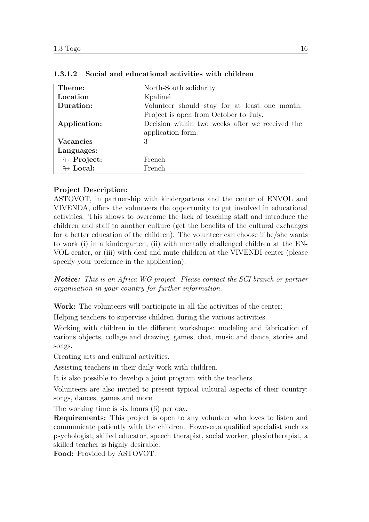| Theme:                     | North-South solidarity                          |
|----------------------------|-------------------------------------------------|
| Location                   | Kpalimé                                         |
| Duration:                  | Volunteer should stay for at least one month.   |
|                            | Project is open from October to July.           |
| Application:               | Decision within two weeks after we received the |
|                            | application form.                               |
| <b>Vacancies</b>           | 3                                               |
| Languages:                 |                                                 |
| $\looparrowright$ Project: | French                                          |
| $\leftrightarrow$ Local:   | French                                          |

#### <span id="page-19-0"></span>1.3.1.2 Social and educational activities with children

### Project Description:

ASTOVOT, in partnership with kindergartens and the center of ENVOL and VIVENDA, offers the volunteers the opportunity to get involved in educational activities. This allows to overcome the lack of teaching staff and introduce the children and staff to another culture (get the benefits of the cultural exchanges for a better education of the children). The volunteer can choose if he/she wants to work (i) in a kindergarten, (ii) with mentally challenged children at the EN-VOL center, or (iii) with deaf and mute children at the VIVENDI center (please specify your prefernce in the application).

Notice: This is an Africa WG project. Please contact the SCI branch or partner organisation in your country for further information.

Work: The volunteers will participate in all the activities of the center:

Helping teachers to supervise children during the various activities.

Working with children in the different workshops: modeling and fabrication of various objects, collage and drawing, games, chat, music and dance, stories and songs.

Creating arts and cultural activities.

Assisting teachers in their daily work with children.

It is also possible to develop a joint program with the teachers.

Volunteers are also invited to present typical cultural aspects of their country: songs, dances, games and more.

The working time is six hours (6) per day.

Requirements: This project is open to any volunteer who loves to listen and communicate patiently with the children. However,a qualified specialist such as psychologist, skilled educator, speech therapist, social worker, physiotherapist, a skilled teacher is highly desirable.

Food: Provided by ASTOVOT.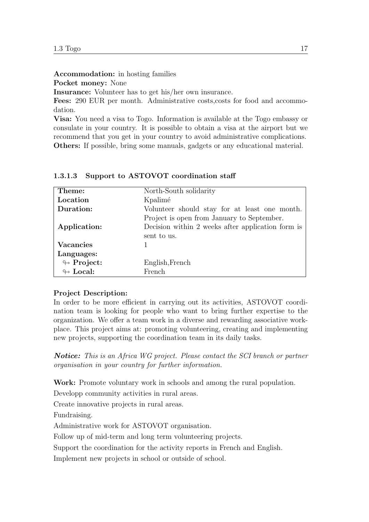Accommodation: in hosting families

Pocket money: None

Insurance: Volunteer has to get his/her own insurance.

Fees: 290 EUR per month. Administrative costs,costs for food and accommodation.

Visa: You need a visa to Togo. Information is available at the Togo embassy or consulate in your country. It is possible to obtain a visa at the airport but we recommend that you get in your country to avoid administrative complications. Others: If possible, bring some manuals, gadgets or any educational material.

| Theme:                     | North-South solidarity                                           |  |  |  |  |  |
|----------------------------|------------------------------------------------------------------|--|--|--|--|--|
| Location                   | Kpalimé                                                          |  |  |  |  |  |
| Duration:                  | Volunteer should stay for at least one month.                    |  |  |  |  |  |
|                            | Project is open from January to September.                       |  |  |  |  |  |
| Application:               | Decision within 2 weeks after application form is<br>sent to us. |  |  |  |  |  |
|                            |                                                                  |  |  |  |  |  |
| <b>Vacancies</b>           |                                                                  |  |  |  |  |  |
| Languages:                 |                                                                  |  |  |  |  |  |
| $\leftrightarrow$ Project: | English, French                                                  |  |  |  |  |  |
| $\leftrightarrow$ Local:   | French                                                           |  |  |  |  |  |

<span id="page-20-0"></span>1.3.1.3 Support to ASTOVOT coordination staff

#### Project Description:

In order to be more efficient in carrying out its activities, ASTOVOT coordination team is looking for people who want to bring further expertise to the organization. We offer a team work in a diverse and rewarding associative workplace. This project aims at: promoting volunteering, creating and implementing new projects, supporting the coordination team in its daily tasks.

**Notice:** This is an Africa WG project. Please contact the SCI branch or partner organisation in your country for further information.

Work: Promote voluntary work in schools and among the rural population.

Developp community activities in rural areas.

Create innovative projects in rural areas.

Fundraising.

Administrative work for ASTOVOT organisation.

Follow up of mid-term and long term volunteering projects.

Support the coordination for the activity reports in French and English.

Implement new projects in school or outside of school.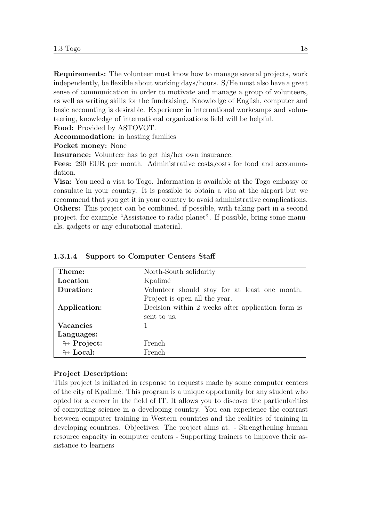Requirements: The volunteer must know how to manage several projects, work independently, be flexible about working days/hours. S/He must also have a great sense of communication in order to motivate and manage a group of volunteers, as well as writing skills for the fundraising. Knowledge of English, computer and basic accounting is desirable. Experience in international workcamps and volunteering, knowledge of international organizations field will be helpful.

Food: Provided by ASTOVOT.

Accommodation: in hosting families

Pocket money: None

Insurance: Volunteer has to get his/her own insurance.

Fees: 290 EUR per month. Administrative costs,costs for food and accommodation.

Visa: You need a visa to Togo. Information is available at the Togo embassy or consulate in your country. It is possible to obtain a visa at the airport but we recommend that you get it in your country to avoid administrative complications. Others: This project can be combined, if possible, with taking part in a second project, for example "Assistance to radio planet". If possible, bring some manuals, gadgets or any educational material.

| Theme:                     | North-South solidarity                            |  |  |  |  |  |
|----------------------------|---------------------------------------------------|--|--|--|--|--|
| Location                   | Kpalimé                                           |  |  |  |  |  |
| Duration:                  | Volunteer should stay for at least one month.     |  |  |  |  |  |
|                            | Project is open all the year.                     |  |  |  |  |  |
| Application:               | Decision within 2 weeks after application form is |  |  |  |  |  |
|                            | sent to us.                                       |  |  |  |  |  |
| <b>Vacancies</b>           |                                                   |  |  |  |  |  |
| Languages:                 |                                                   |  |  |  |  |  |
| $\looparrowright$ Project: | French                                            |  |  |  |  |  |
| $\leftrightarrow$ Local:   | French                                            |  |  |  |  |  |

#### <span id="page-21-0"></span>1.3.1.4 Support to Computer Centers Staff

#### Project Description:

This project is initiated in response to requests made by some computer centers of the city of Kpalim´e. This program is a unique opportunity for any student who opted for a career in the field of IT. It allows you to discover the particularities of computing science in a developing country. You can experience the contrast between computer training in Western countries and the realities of training in developing countries. Objectives: The project aims at: - Strengthening human resource capacity in computer centers - Supporting trainers to improve their assistance to learners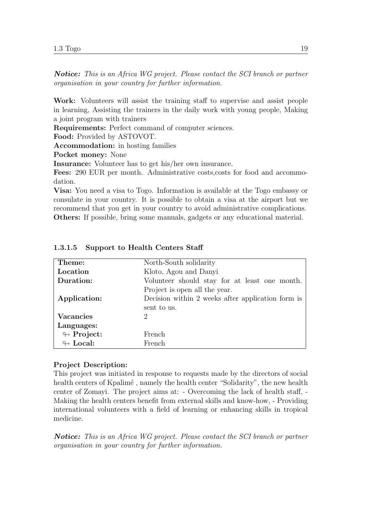Notice: This is an Africa WG project. Please contact the SCI branch or partner organisation in your country for further information.

Work: Volunteers will assist the training staff to supervise and assist people in learning, Assisting the trainers in the daily work with young people, Making a joint program with trainers

Requirements: Perfect command of computer sciences.

Food: Provided by ASTOVOT.

Accommodation: in hosting families

Pocket money: None

Insurance: Volunteer has to get his/her own insurance.

Fees: 290 EUR per month. Administrative costs,costs for food and accommodation.

Visa: You need a visa to Togo. Information is available at the Togo embassy or consulate in your country. It is possible to obtain a visa at the airport but we recommend that you get in your country to avoid administrative complications. Others: If possible, bring some manuals, gadgets or any educational material.

| Theme:                     | North-South solidarity                                           |  |  |  |  |  |
|----------------------------|------------------------------------------------------------------|--|--|--|--|--|
| Location                   | Kloto, Agou and Danyi                                            |  |  |  |  |  |
| Duration:                  | Volunteer should stay for at least one month.                    |  |  |  |  |  |
|                            | Project is open all the year.                                    |  |  |  |  |  |
| Application:               | Decision within 2 weeks after application form is<br>sent to us. |  |  |  |  |  |
|                            |                                                                  |  |  |  |  |  |
| <b>Vacancies</b>           | $\mathcal{D}$                                                    |  |  |  |  |  |
| Languages:                 |                                                                  |  |  |  |  |  |
| $\looparrowright$ Project: | French                                                           |  |  |  |  |  |
| $\leftrightarrow$ Local:   | French.                                                          |  |  |  |  |  |

#### <span id="page-22-0"></span>1.3.1.5 Support to Health Centers Staff

#### Project Description:

This project was initiated in response to requests made by the directors of social health centers of Kpalimé, namely the health center "Solidarity", the new health center of Zomayi. The project aims at: - Overcoming the lack of health staff, - Making the health centers benefit from external skills and know-how, - Providing international volunteers with a field of learning or enhancing skills in tropical medicine.

Notice: This is an Africa WG project. Please contact the SCI branch or partner organisation in your country for further information.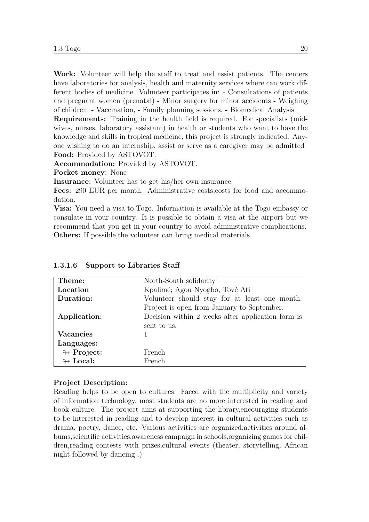Work: Volunteer will help the staff to treat and assist patients. The centers have laboratories for analysis, health and maternity services where can work different bodies of medicine. Volunteer participates in: - Consultations of patients and pregnant women (prenatal) - Minor surgery for minor accidents - Weighing of children, - Vaccination, - Family planning sessions, - Biomedical Analysis

Requirements: Training in the health field is required. For specialists (midwives, nurses, laboratory assistant) in health or students who want to have the knowledge and skills in tropical medicine, this project is strongly indicated. Anyone wishing to do an internship, assist or serve as a caregiver may be admitted Food: Provided by ASTOVOT.

Accommodation: Provided by ASTOVOT.

Pocket money: None

Insurance: Volunteer has to get his/her own insurance.

Fees: 290 EUR per month. Administrative costs, costs for food and accommodation.

Visa: You need a visa to Togo. Information is available at the Togo embassy or consulate in your country. It is possible to obtain a visa at the airport but we recommend that you get in your country to avoid administrative complications. Others: If possible,the volunteer can bring medical materials.

| Theme:                     | North-South solidarity                            |  |  |  |  |
|----------------------------|---------------------------------------------------|--|--|--|--|
| Location                   | Kpalimé; Agou Nyogbo, Tové Ati                    |  |  |  |  |
| Duration:                  | Volunteer should stay for at least one month.     |  |  |  |  |
|                            | Project is open from January to September.        |  |  |  |  |
| Application:               | Decision within 2 weeks after application form is |  |  |  |  |
|                            | sent to us.                                       |  |  |  |  |
| <b>Vacancies</b>           |                                                   |  |  |  |  |
| Languages:                 |                                                   |  |  |  |  |
| $\looparrowright$ Project: | <b>French</b>                                     |  |  |  |  |
| $\leftrightarrow$ Local:   | French.                                           |  |  |  |  |

<span id="page-23-0"></span>1.3.1.6 Support to Libraries Staff

#### Project Description:

Reading helps to be open to cultures. Faced with the multiplicity and variety of information technology, most students are no more interested in reading and book culture. The project aims at supporting the library,encouraging students to be interested in reading and to develop interest in cultural activities such as drama, poetry, dance, etc. Various activities are organized:activities around albums,scientific activities,awareness campaign in schools,organizing games for children,reading contests with prizes,cultural events (theater, storytelling, African night followed by dancing .)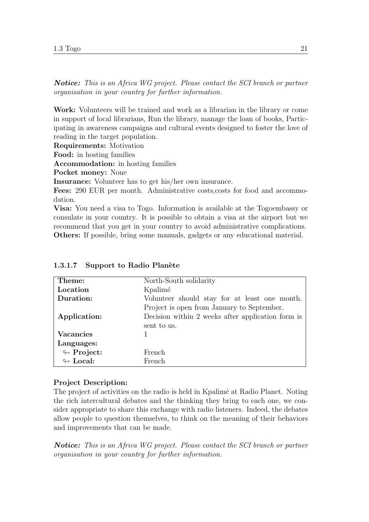Notice: This is an Africa WG project. Please contact the SCI branch or partner organisation in your country for further information.

Work: Volunteers will be trained and work as a librarian in the library or come in support of local librarians, Run the library, manage the loan of books, Participating in awareness campaigns and cultural events designed to foster the love of reading in the target population.

Requirements: Motivation

Food: in hosting families

Accommodation: in hosting families

Pocket money: None

Insurance: Volunteer has to get his/her own insurance.

Fees: 290 EUR per month. Administrative costs,costs for food and accommodation.

Visa: You need a visa to Togo. Information is available at the Togoembassy or consulate in your country. It is possible to obtain a visa at the airport but we recommend that you get in your country to avoid administrative complications. Others: If possible, bring some manuals, gadgets or any educational material.

| Theme:                     | North-South solidarity                            |  |  |  |  |
|----------------------------|---------------------------------------------------|--|--|--|--|
| Location                   | Kpalimé                                           |  |  |  |  |
| Duration:                  | Volunteer should stay for at least one month.     |  |  |  |  |
|                            | Project is open from January to September.        |  |  |  |  |
| Application:               | Decision within 2 weeks after application form is |  |  |  |  |
|                            | sent to us.                                       |  |  |  |  |
| <b>Vacancies</b>           |                                                   |  |  |  |  |
| Languages:                 |                                                   |  |  |  |  |
| $\looparrowright$ Project: | French                                            |  |  |  |  |
| $\leftrightarrow$ Local:   | French                                            |  |  |  |  |

<span id="page-24-0"></span>1.3.1.7 Support to Radio Planète

#### Project Description:

The project of activities on the radio is held in Kpalimé at Radio Planet. Noting the rich intercultural debates and the thinking they bring to each one, we consider appropriate to share this exchange with radio listeners. Indeed, the debates allow people to question themselves, to think on the meaning of their behaviors and improvements that can be made.

Notice: This is an Africa WG project. Please contact the SCI branch or partner organisation in your country for further information.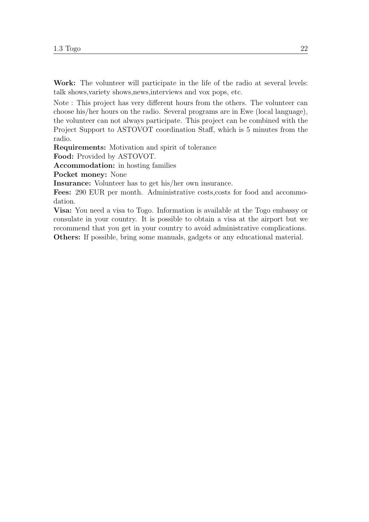Work: The volunteer will participate in the life of the radio at several levels: talk shows,variety shows,news,interviews and vox pops, etc.

Note : This project has very different hours from the others. The volunteer can choose his/her hours on the radio. Several programs are in Ewe (local language), the volunteer can not always participate. This project can be combined with the Project Support to ASTOVOT coordination Staff, which is 5 minutes from the radio.

Requirements: Motivation and spirit of tolerance

Food: Provided by ASTOVOT.

Accommodation: in hosting families

Pocket money: None

Insurance: Volunteer has to get his/her own insurance.

Fees: 290 EUR per month. Administrative costs,costs for food and accommodation.

Visa: You need a visa to Togo. Information is available at the Togo embassy or consulate in your country. It is possible to obtain a visa at the airport but we recommend that you get in your country to avoid administrative complications. Others: If possible, bring some manuals, gadgets or any educational material.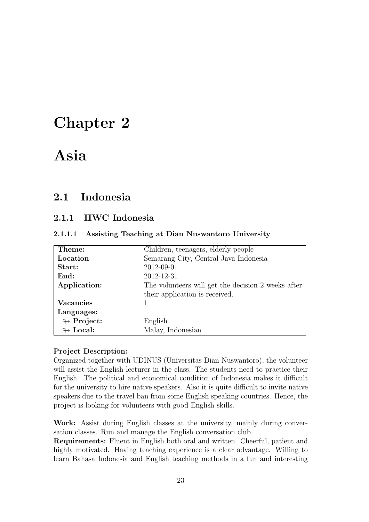# <span id="page-26-0"></span>Chapter 2

# Asia

## <span id="page-26-1"></span>2.1 Indonesia

### <span id="page-26-2"></span>2.1.1 IIWC Indonesia

<span id="page-26-3"></span>

|  |  | 2.1.1.1 Assisting Teaching at Dian Nuswantoro University |  |
|--|--|----------------------------------------------------------|--|
|  |  |                                                          |  |

| Theme:                     | Children, teenagers, elderly people                |
|----------------------------|----------------------------------------------------|
| Location                   | Semarang City, Central Java Indonesia              |
| Start:                     | 2012-09-01                                         |
| End:                       | 2012-12-31                                         |
| Application:               | The volunteers will get the decision 2 weeks after |
|                            | their application is received.                     |
| <b>Vacancies</b>           |                                                    |
| Languages:                 |                                                    |
| $\leftrightarrow$ Project: | English                                            |
| $\leftrightarrow$ Local:   | Malay, Indonesian                                  |

#### Project Description:

Organized together with UDINUS (Universitas Dian Nuswantoro), the volunteer will assist the English lecturer in the class. The students need to practice their English. The political and economical condition of Indonesia makes it difficult for the university to hire native speakers. Also it is quite difficult to invite native speakers due to the travel ban from some English speaking countries. Hence, the project is looking for volunteers with good English skills.

Work: Assist during English classes at the university, mainly during conversation classes. Run and manage the English conversation club.

Requirements: Fluent in English both oral and written. Cheerful, patient and highly motivated. Having teaching experience is a clear advantage. Willing to learn Bahasa Indonesia and English teaching methods in a fun and interesting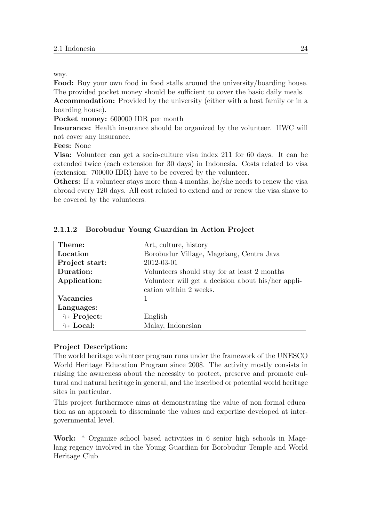way.

Food: Buy your own food in food stalls around the university/boarding house. The provided pocket money should be sufficient to cover the basic daily meals.

Accommodation: Provided by the university (either with a host family or in a boarding house).

Pocket money: 600000 IDR per month

Insurance: Health insurance should be organized by the volunteer. IIWC will not cover any insurance.

Fees: None

Visa: Volunteer can get a socio-culture visa index 211 for 60 days. It can be extended twice (each extension for 30 days) in Indonesia. Costs related to visa (extension: 700000 IDR) have to be covered by the volunteer.

Others: If a volunteer stays more than 4 months, he/she needs to renew the visa abroad every 120 days. All cost related to extend and or renew the visa shave to be covered by the volunteers.

| Theme:                     | Art, culture, history                              |
|----------------------------|----------------------------------------------------|
| Location                   | Borobudur Village, Magelang, Centra Java           |
| Project start:             | 2012-03-01                                         |
| Duration:                  | Volunteers should stay for at least 2 months       |
| Application:               | Volunteer will get a decision about his/her appli- |
|                            | cation within 2 weeks.                             |
| <b>Vacancies</b>           |                                                    |
| Languages:                 |                                                    |
| $\leftrightarrow$ Project: | English                                            |
| $\leftrightarrow$ Local:   | Malay, Indonesian                                  |

#### <span id="page-27-0"></span>2.1.1.2 Borobudur Young Guardian in Action Project

#### Project Description:

The world heritage volunteer program runs under the framework of the UNESCO World Heritage Education Program since 2008. The activity mostly consists in raising the awareness about the necessity to protect, preserve and promote cultural and natural heritage in general, and the inscribed or potential world heritage sites in particular.

This project furthermore aims at demonstrating the value of non-formal education as an approach to disseminate the values and expertise developed at intergovernmental level.

Work: \* Organize school based activities in 6 senior high schools in Magelang regency involved in the Young Guardian for Borobudur Temple and World Heritage Club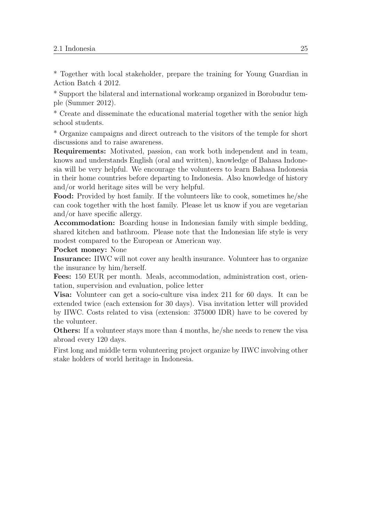\* Together with local stakeholder, prepare the training for Young Guardian in Action Batch 4 2012.

\* Support the bilateral and international workcamp organized in Borobudur temple (Summer 2012).

\* Create and disseminate the educational material together with the senior high school students.

\* Organize campaigns and direct outreach to the visitors of the temple for short discussions and to raise awareness.

Requirements: Motivated, passion, can work both independent and in team, knows and understands English (oral and written), knowledge of Bahasa Indonesia will be very helpful. We encourage the volunteers to learn Bahasa Indonesia in their home countries before departing to Indonesia. Also knowledge of history and/or world heritage sites will be very helpful.

Food: Provided by host family. If the volunteers like to cook, sometimes he/she can cook together with the host family. Please let us know if you are vegetarian and/or have specific allergy.

Accommodation: Boarding house in Indonesian family with simple bedding, shared kitchen and bathroom. Please note that the Indonesian life style is very modest compared to the European or American way.

Pocket money: None

Insurance: IIWC will not cover any health insurance. Volunteer has to organize the insurance by him/herself.

Fees: 150 EUR per month. Meals, accommodation, administration cost, orientation, supervision and evaluation, police letter

Visa: Volunteer can get a socio-culture visa index 211 for 60 days. It can be extended twice (each extension for 30 days). Visa invitation letter will provided by IIWC. Costs related to visa (extension: 375000 IDR) have to be covered by the volunteer.

Others: If a volunteer stays more than 4 months, he/she needs to renew the visa abroad every 120 days.

First long and middle term volunteering project organize by IIWC involving other stake holders of world heritage in Indonesia.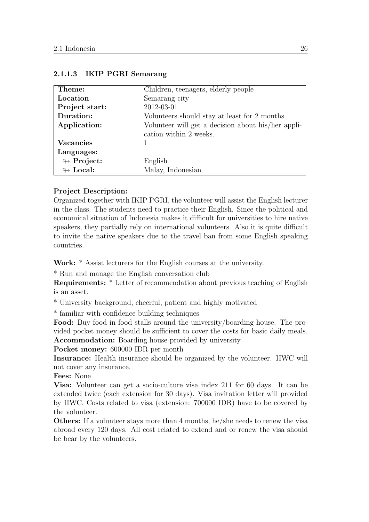| Theme:                     | Children, teenagers, elderly people                |
|----------------------------|----------------------------------------------------|
| Location                   | Semarang city                                      |
| Project start:             | 2012-03-01                                         |
| Duration:                  | Volunteers should stay at least for 2 months.      |
| Application:               | Volunteer will get a decision about his/her appli- |
|                            | cation within 2 weeks.                             |
| <b>Vacancies</b>           |                                                    |
| Languages:                 |                                                    |
| $\leftrightarrow$ Project: | English                                            |
| $\leftrightarrow$ Local:   | Malay, Indonesian                                  |

#### <span id="page-29-0"></span>2.1.1.3 IKIP PGRI Semarang

#### Project Description:

Organized together with IKIP PGRI, the volunteer will assist the English lecturer in the class. The students need to practice their English. Since the political and economical situation of Indonesia makes it difficult for universities to hire native speakers, they partially rely on international volunteers. Also it is quite difficult to invite the native speakers due to the travel ban from some English speaking countries.

Work: \* Assist lecturers for the English courses at the university.

\* Run and manage the English conversation club

Requirements: \* Letter of recommendation about previous teaching of English is an asset.

\* University background, cheerful, patient and highly motivated

\* familiar with confidence building techniques

Food: Buy food in food stalls around the university/boarding house. The provided pocket money should be sufficient to cover the costs for basic daily meals. Accommodation: Boarding house provided by university

Pocket money: 600000 IDR per month

Insurance: Health insurance should be organized by the volunteer. IIWC will not cover any insurance.

Fees: None

Visa: Volunteer can get a socio-culture visa index 211 for 60 days. It can be extended twice (each extension for 30 days). Visa invitation letter will provided by IIWC. Costs related to visa (extension: 700000 IDR) have to be covered by the volunteer.

Others: If a volunteer stays more than 4 months, he/she needs to renew the visa abroad every 120 days. All cost related to extend and or renew the visa should be bear by the volunteers.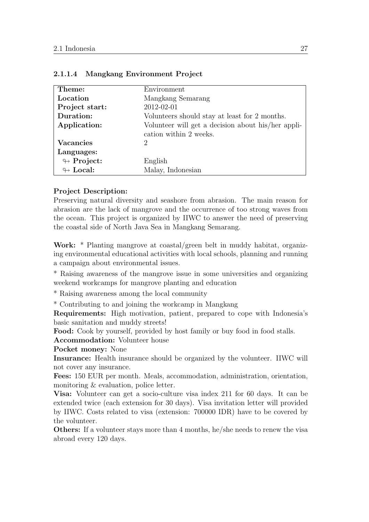| Theme:                     | Environment                                        |
|----------------------------|----------------------------------------------------|
| Location                   | Mangkang Semarang                                  |
| Project start:             | 2012-02-01                                         |
| Duration:                  | Volunteers should stay at least for 2 months.      |
| Application:               | Volunteer will get a decision about his/her appli- |
|                            | cation within 2 weeks.                             |
| <b>Vacancies</b>           | 2                                                  |
| Languages:                 |                                                    |
| $\leftrightarrow$ Project: | English                                            |
| $\leftrightarrow$ Local:   | Malay, Indonesian                                  |

#### <span id="page-30-0"></span>2.1.1.4 Mangkang Environment Project

#### Project Description:

Preserving natural diversity and seashore from abrasion. The main reason for abrasion are the lack of mangrove and the occurrence of too strong waves from the ocean. This project is organized by IIWC to answer the need of preserving the coastal side of North Java Sea in Mangkang Semarang.

Work: \* Planting mangrove at coastal/green belt in muddy habitat, organizing environmental educational activities with local schools, planning and running a campaign about environmental issues.

\* Raising awareness of the mangrove issue in some universities and organizing weekend workcamps for mangrove planting and education

\* Raising awareness among the local community

\* Contributing to and joining the workcamp in Mangkang

Requirements: High motivation, patient, prepared to cope with Indonesia's basic sanitation and muddy streets!

Food: Cook by yourself, provided by host family or buy food in food stalls.

Accommodation: Volunteer house

Pocket money: None

Insurance: Health insurance should be organized by the volunteer. IIWC will not cover any insurance.

Fees: 150 EUR per month. Meals, accommodation, administration, orientation, monitoring & evaluation, police letter.

Visa: Volunteer can get a socio-culture visa index 211 for 60 days. It can be extended twice (each extension for 30 days). Visa invitation letter will provided by IIWC. Costs related to visa (extension: 700000 IDR) have to be covered by the volunteer.

Others: If a volunteer stays more than 4 months, he/she needs to renew the visa abroad every 120 days.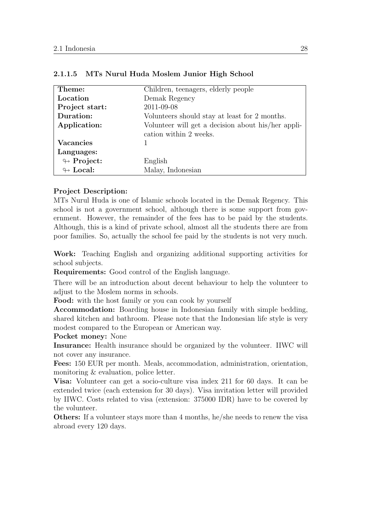| Theme:                     | Children, teenagers, elderly people                |
|----------------------------|----------------------------------------------------|
| Location                   | Demak Regency                                      |
| Project start:             | 2011-09-08                                         |
| Duration:                  | Volunteers should stay at least for 2 months.      |
| Application:               | Volunteer will get a decision about his/her appli- |
|                            | cation within 2 weeks.                             |
| <b>Vacancies</b>           |                                                    |
| Languages:                 |                                                    |
| $\looparrowright$ Project: | English                                            |
| $\leftrightarrow$ Local:   | Malay, Indonesian                                  |

<span id="page-31-0"></span>

#### Project Description:

MTs Nurul Huda is one of Islamic schools located in the Demak Regency. This school is not a government school, although there is some support from government. However, the remainder of the fees has to be paid by the students. Although, this is a kind of private school, almost all the students there are from poor families. So, actually the school fee paid by the students is not very much.

Work: Teaching English and organizing additional supporting activities for school subjects.

Requirements: Good control of the English language.

There will be an introduction about decent behaviour to help the volunteer to adjust to the Moslem norms in schools.

Food: with the host family or you can cook by yourself

Accommodation: Boarding house in Indonesian family with simple bedding, shared kitchen and bathroom. Please note that the Indonesian life style is very modest compared to the European or American way.

Pocket money: None

Insurance: Health insurance should be organized by the volunteer. IIWC will not cover any insurance.

Fees: 150 EUR per month. Meals, accommodation, administration, orientation, monitoring & evaluation, police letter.

Visa: Volunteer can get a socio-culture visa index 211 for 60 days. It can be extended twice (each extension for 30 days). Visa invitation letter will provided by IIWC. Costs related to visa (extension: 375000 IDR) have to be covered by the volunteer.

Others: If a volunteer stays more than 4 months, he/she needs to renew the visa abroad every 120 days.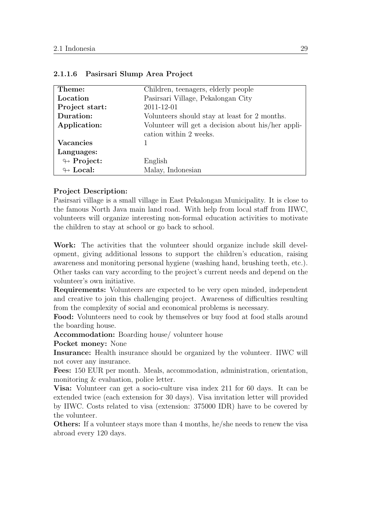| Theme:                     | Children, teenagers, elderly people                |
|----------------------------|----------------------------------------------------|
| Location                   | Pasirsari Village, Pekalongan City                 |
| Project start:             | 2011-12-01                                         |
| Duration:                  | Volunteers should stay at least for 2 months.      |
| Application:               | Volunteer will get a decision about his/her appli- |
|                            | cation within 2 weeks.                             |
| <b>Vacancies</b>           |                                                    |
| Languages:                 |                                                    |
| $\looparrowright$ Project: | English                                            |
| $\leftrightarrow$ Local:   | Malay, Indonesian                                  |

#### <span id="page-32-0"></span>2.1.1.6 Pasirsari Slump Area Project

#### Project Description:

Pasirsari village is a small village in East Pekalongan Municipality. It is close to the famous North Java main land road. With help from local staff from IIWC, volunteers will organize interesting non-formal education activities to motivate the children to stay at school or go back to school.

Work: The activities that the volunteer should organize include skill development, giving additional lessons to support the children's education, raising awareness and monitoring personal hygiene (washing hand, brushing teeth, etc.). Other tasks can vary according to the project's current needs and depend on the volunteer's own initiative.

Requirements: Volunteers are expected to be very open minded, independent and creative to join this challenging project. Awareness of difficulties resulting from the complexity of social and economical problems is necessary.

Food: Volunteers need to cook by themselves or buy food at food stalls around the boarding house.

Accommodation: Boarding house/ volunteer house

Pocket money: None

Insurance: Health insurance should be organized by the volunteer. IIWC will not cover any insurance.

Fees: 150 EUR per month. Meals, accommodation, administration, orientation, monitoring & evaluation, police letter.

Visa: Volunteer can get a socio-culture visa index 211 for 60 days. It can be extended twice (each extension for 30 days). Visa invitation letter will provided by IIWC. Costs related to visa (extension: 375000 IDR) have to be covered by the volunteer.

Others: If a volunteer stays more than 4 months, he/she needs to renew the visa abroad every 120 days.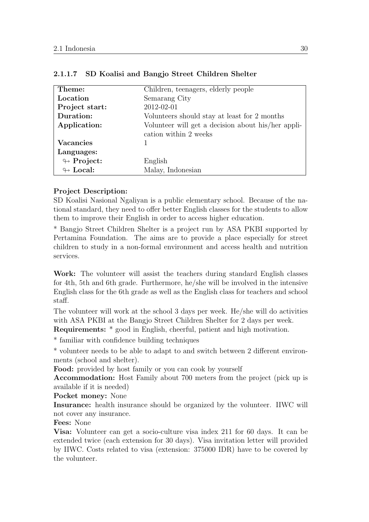| Theme:                     | Children, teenagers, elderly people                |
|----------------------------|----------------------------------------------------|
| Location                   | Semarang City                                      |
| Project start:             | 2012-02-01                                         |
| Duration:                  | Volunteers should stay at least for 2 months       |
| Application:               | Volunteer will get a decision about his/her appli- |
|                            | cation within 2 weeks                              |
| <b>Vacancies</b>           |                                                    |
| Languages:                 |                                                    |
| $\looparrowright$ Project: | English                                            |
| $\leftrightarrow$ Local:   | Malay, Indonesian                                  |

#### <span id="page-33-0"></span>2.1.1.7 SD Koalisi and Bangjo Street Children Shelter

#### Project Description:

SD Koalisi Nasional Ngaliyan is a public elementary school. Because of the national standard, they need to offer better English classes for the students to allow them to improve their English in order to access higher education.

\* Bangjo Street Children Shelter is a project run by ASA PKBI supported by Pertamina Foundation. The aims are to provide a place especially for street children to study in a non-formal environment and access health and nutrition services.

Work: The volunteer will assist the teachers during standard English classes for 4th, 5th and 6th grade. Furthermore, he/she will be involved in the intensive English class for the 6th grade as well as the English class for teachers and school staff.

The volunteer will work at the school 3 days per week. He/she will do activities with ASA PKBI at the Bangjo Street Children Shelter for 2 days per week.

Requirements: \* good in English, cheerful, patient and high motivation.

\* familiar with confidence building techniques

\* volunteer needs to be able to adapt to and switch between 2 different environments (school and shelter).

Food: provided by host family or you can cook by yourself

Accommodation: Host Family about 700 meters from the project (pick up is available if it is needed)

Pocket money: None

Insurance: health insurance should be organized by the volunteer. IIWC will not cover any insurance.

Fees: None

Visa: Volunteer can get a socio-culture visa index 211 for 60 days. It can be extended twice (each extension for 30 days). Visa invitation letter will provided by IIWC. Costs related to visa (extension: 375000 IDR) have to be covered by the volunteer.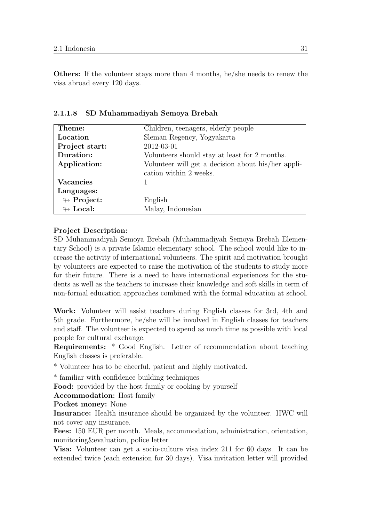Others: If the volunteer stays more than 4 months, he/she needs to renew the visa abroad every 120 days.

| Theme:                     | Children, teenagers, elderly people                |
|----------------------------|----------------------------------------------------|
| Location                   | Sleman Regency, Yogyakarta                         |
| Project start:             | 2012-03-01                                         |
| Duration:                  | Volunteers should stay at least for 2 months.      |
| Application:               | Volunteer will get a decision about his/her appli- |
|                            | cation within 2 weeks.                             |
| Vacancies                  |                                                    |
| Languages:                 |                                                    |
| $\leftrightarrow$ Project: | English                                            |
| $\leftrightarrow$ Local:   | Malay, Indonesian                                  |

<span id="page-34-0"></span>2.1.1.8 SD Muhammadiyah Semoya Brebah

#### Project Description:

SD Muhammadiyah Semoya Brebah (Muhammadiyah Semoya Brebah Elementary School) is a private Islamic elementary school. The school would like to increase the activity of international volunteers. The spirit and motivation brought by volunteers are expected to raise the motivation of the students to study more for their future. There is a need to have international experiences for the students as well as the teachers to increase their knowledge and soft skills in term of non-formal education approaches combined with the formal education at school.

Work: Volunteer will assist teachers during English classes for 3rd, 4th and 5th grade. Furthermore, he/she will be involved in English classes for teachers and staff. The volunteer is expected to spend as much time as possible with local people for cultural exchange.

Requirements: \* Good English. Letter of recommendation about teaching English classes is preferable.

\* Volunteer has to be cheerful, patient and highly motivated.

\* familiar with confidence building techniques

Food: provided by the host family or cooking by yourself

Accommodation: Host family

Pocket money: None

Insurance: Health insurance should be organized by the volunteer. IIWC will not cover any insurance.

Fees: 150 EUR per month. Meals, accommodation, administration, orientation, monitoring&evaluation, police letter

Visa: Volunteer can get a socio-culture visa index 211 for 60 days. It can be extended twice (each extension for 30 days). Visa invitation letter will provided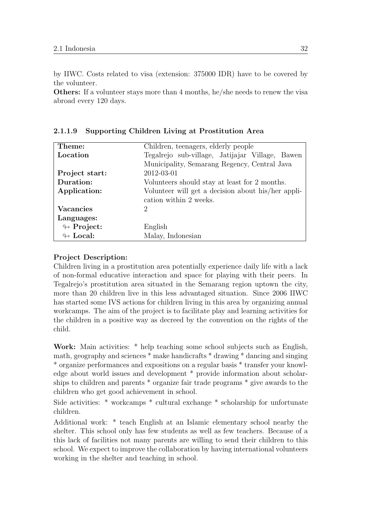by IIWC. Costs related to visa (extension: 375000 IDR) have to be covered by the volunteer.

Others: If a volunteer stays more than 4 months, he/she needs to renew the visa abroad every 120 days.

| Theme:                     | Children, teenagers, elderly people                |
|----------------------------|----------------------------------------------------|
| Location                   | Tegalrejo sub-village, Jatijajar Village, Bawen    |
|                            | Municipality, Semarang Regency, Central Java       |
| Project start:             | 2012-03-01                                         |
| Duration:                  | Volunteers should stay at least for 2 months.      |
| Application:               | Volunteer will get a decision about his/her appli- |
|                            | cation within 2 weeks.                             |
| <b>Vacancies</b>           | 2                                                  |
| Languages:                 |                                                    |
| $\leftrightarrow$ Project: | English                                            |
| $\leftrightarrow$ Local:   | Malay, Indonesian                                  |

<span id="page-35-0"></span>2.1.1.9 Supporting Children Living at Prostitution Area

#### Project Description:

Children living in a prostitution area potentially experience daily life with a lack of non-formal educative interaction and space for playing with their peers. In Tegalrejo's prostitution area situated in the Semarang region uptown the city, more than 20 children live in this less advantaged situation. Since 2006 IIWC has started some IVS actions for children living in this area by organizing annual workcamps. The aim of the project is to facilitate play and learning activities for the children in a positive way as decreed by the convention on the rights of the child.

Work: Main activities: \* help teaching some school subjects such as English, math, geography and sciences \* make handicrafts \* drawing \* dancing and singing \* organize performances and expositions on a regular basis \* transfer your knowledge about world issues and development \* provide information about scholarships to children and parents \* organize fair trade programs \* give awards to the children who get good achievement in school.

Side activities: \* workcamps \* cultural exchange \* scholarship for unfortunate children.

Additional work: \* teach English at an Islamic elementary school nearby the shelter. This school only has few students as well as few teachers. Because of a this lack of facilities not many parents are willing to send their children to this school. We expect to improve the collaboration by having international volunteers working in the shelter and teaching in school.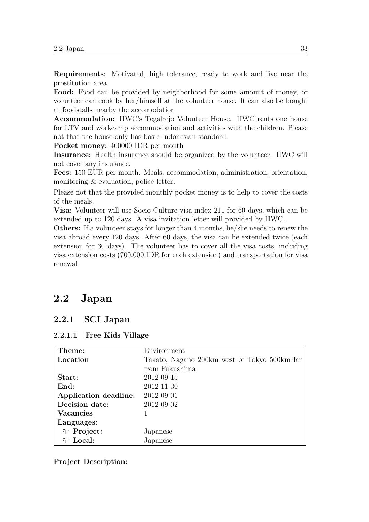Requirements: Motivated, high tolerance, ready to work and live near the prostitution area.

Food: Food can be provided by neighborhood for some amount of money, or volunteer can cook by her/himself at the volunteer house. It can also be bought at foodstalls nearby the accomodation

Accommodation: IIWC's Tegalrejo Volunteer House. IIWC rents one house for LTV and workcamp accommodation and activities with the children. Please not that the house only has basic Indonesian standard.

Pocket money: 460000 IDR per month

Insurance: Health insurance should be organized by the volunteer. IIWC will not cover any insurance.

Fees: 150 EUR per month. Meals, accommodation, administration, orientation, monitoring & evaluation, police letter.

Please not that the provided monthly pocket money is to help to cover the costs of the meals.

Visa: Volunteer will use Socio-Culture visa index 211 for 60 days, which can be extended up to 120 days. A visa invitation letter will provided by IIWC.

Others: If a volunteer stays for longer than 4 months, he/she needs to renew the visa abroad every 120 days. After 60 days, the visa can be extended twice (each extension for 30 days). The volunteer has to cover all the visa costs, including visa extension costs (700.000 IDR for each extension) and transportation for visa renewal.

# 2.2 Japan

# 2.2.1 SCI Japan

|  |  |  | 2.2.1.1 Free Kids Village |
|--|--|--|---------------------------|
|--|--|--|---------------------------|

| Theme:                     | Environment                                  |
|----------------------------|----------------------------------------------|
| Location                   | Takato, Nagano 200km west of Tokyo 500km far |
|                            | from Fukushima                               |
| Start:                     | 2012-09-15                                   |
| End:                       | 2012-11-30                                   |
| Application deadline:      | 2012-09-01                                   |
| Decision date:             | 2012-09-02                                   |
| <b>Vacancies</b>           |                                              |
| Languages:                 |                                              |
| $\leftrightarrow$ Project: | Japanese                                     |
| $\leftrightarrow$ Local:   | Japanese                                     |

#### Project Description: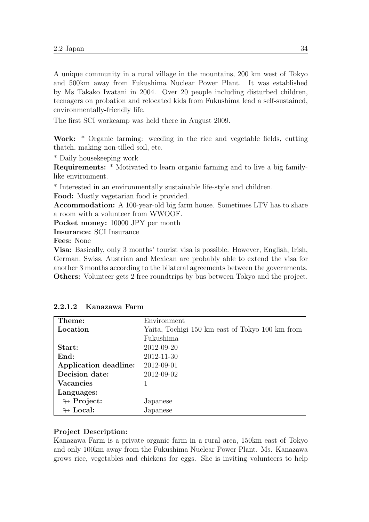A unique community in a rural village in the mountains, 200 km west of Tokyo and 500km away from Fukushima Nuclear Power Plant. It was established by Ms Takako Iwatani in 2004. Over 20 people including disturbed children, teenagers on probation and relocated kids from Fukushima lead a self-sustained, environmentally-friendly life.

The first SCI workcamp was held there in August 2009.

Work: \* Organic farming: weeding in the rice and vegetable fields, cutting thatch, making non-tilled soil, etc.

\* Daily housekeeping work

Requirements: \* Motivated to learn organic farming and to live a big familylike environment.

\* Interested in an environmentally sustainable life-style and children.

Food: Mostly vegetarian food is provided.

Accommodation: A 100-year-old big farm house. Sometimes LTV has to share a room with a volunteer from WWOOF.

Pocket money: 10000 JPY per month

Insurance: SCI Insurance

Fees: None

Visa: Basically, only 3 months' tourist visa is possible. However, English, Irish, German, Swiss, Austrian and Mexican are probably able to extend the visa for another 3 months according to the bilateral agreements between the governments. Others: Volunteer gets 2 free roundtrips by bus between Tokyo and the project.

| Theme:                     | Environment                                     |
|----------------------------|-------------------------------------------------|
| Location                   | Yaita, Tochigi 150 km east of Tokyo 100 km from |
|                            | Fukushima                                       |
| Start:                     | 2012-09-20                                      |
| End:                       | 2012-11-30                                      |
| Application deadline:      | 2012-09-01                                      |
| Decision date:             | 2012-09-02                                      |
| <b>Vacancies</b>           |                                                 |
| Languages:                 |                                                 |
| $\looparrowright$ Project: | Japanese                                        |
| $\leftrightarrow$ Local:   | Japanese                                        |

## 2.2.1.2 Kanazawa Farm

#### Project Description:

Kanazawa Farm is a private organic farm in a rural area, 150km east of Tokyo and only 100km away from the Fukushima Nuclear Power Plant. Ms. Kanazawa grows rice, vegetables and chickens for eggs. She is inviting volunteers to help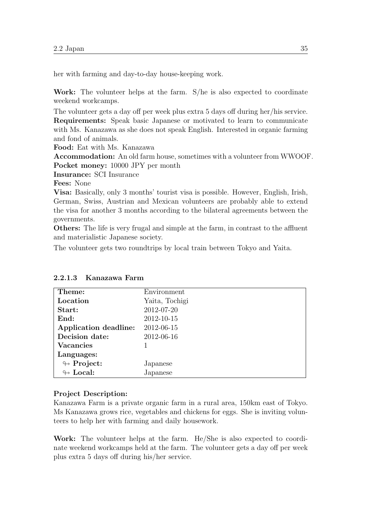her with farming and day-to-day house-keeping work.

Work: The volunteer helps at the farm. S/he is also expected to coordinate weekend workcamps.

The volunteer gets a day off per week plus extra 5 days off during her/his service. Requirements: Speak basic Japanese or motivated to learn to communicate with Ms. Kanazawa as she does not speak English. Interested in organic farming and fond of animals.

Food: Eat with Ms. Kanazawa

Accommodation: An old farm house, sometimes with a volunteer from WWOOF. Pocket money: 10000 JPY per month

Insurance: SCI Insurance

Fees: None

Visa: Basically, only 3 months' tourist visa is possible. However, English, Irish, German, Swiss, Austrian and Mexican volunteers are probably able to extend the visa for another 3 months according to the bilateral agreements between the governments.

Others: The life is very frugal and simple at the farm, in contrast to the affluent and materialistic Japanese society.

The volunteer gets two roundtrips by local train between Tokyo and Yaita.

| Theme:                     | Environment    |
|----------------------------|----------------|
| Location                   | Yaita, Tochigi |
| Start:                     | 2012-07-20     |
| End:                       | 2012-10-15     |
| Application deadline:      | 2012-06-15     |
| Decision date:             | 2012-06-16     |
| <b>Vacancies</b>           |                |
| Languages:                 |                |
| $\looparrowright$ Project: | Japanese       |
| $\leftrightarrow$ Local:   | Japanese       |

#### 2.2.1.3 Kanazawa Farm

#### Project Description:

Kanazawa Farm is a private organic farm in a rural area, 150km east of Tokyo. Ms Kanazawa grows rice, vegetables and chickens for eggs. She is inviting volunteers to help her with farming and daily housework.

Work: The volunteer helps at the farm. He/She is also expected to coordinate weekend workcamps held at the farm. The volunteer gets a day off per week plus extra 5 days off during his/her service.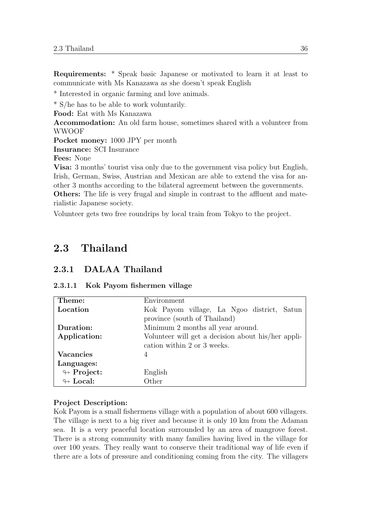Requirements: \* Speak basic Japanese or motivated to learn it at least to communicate with Ms Kanazawa as she doesn't speak English

\* Interested in organic farming and love animals.

\* S/he has to be able to work voluntarily.

Food: Eat with Ms Kanazawa

Accommodation: An old farm house, sometimes shared with a volunteer from WWOOF

Pocket money: 1000 JPY per month

Insurance: SCI Insurance

Fees: None

Visa: 3 months' tourist visa only due to the government visa policy but English, Irish, German, Swiss, Austrian and Mexican are able to extend the visa for another 3 months according to the bilateral agreement between the governments. Others: The life is very frugal and simple in contrast to the affluent and materialistic Japanese society.

Volunteer gets two free roundrips by local train from Tokyo to the project.

# 2.3 Thailand

## 2.3.1 DALAA Thailand

| Theme:                     | Environment                                        |
|----------------------------|----------------------------------------------------|
| Location                   | Kok Payom village, La Ngoo district, Satun         |
|                            | province (south of Thailand)                       |
| Duration:                  | Minimum 2 months all year around.                  |
| Application:               | Volunteer will get a decision about his/her appli- |
|                            | cation within 2 or 3 weeks.                        |
| <b>Vacancies</b>           | 4                                                  |
| Languages:                 |                                                    |
| $\leftrightarrow$ Project: | English                                            |
| $\leftrightarrow$ Local:   | Other                                              |

## 2.3.1.1 Kok Payom fishermen village

#### Project Description:

Kok Payom is a small fishermens village with a population of about 600 villagers. The village is next to a big river and because it is only 10 km from the Adaman sea. It is a very peaceful location surrounded by an area of mangrove forest. There is a strong community with many families having lived in the village for over 100 years. They really want to conserve their traditional way of life even if there are a lots of pressure and conditioning coming from the city. The villagers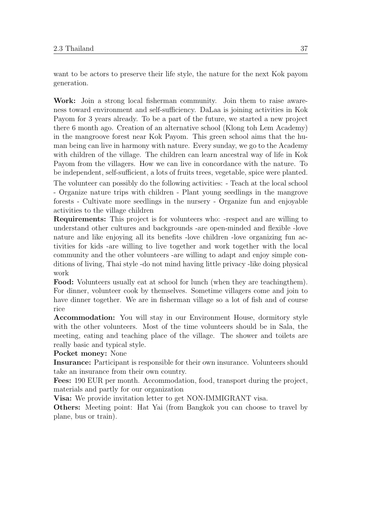want to be actors to preserve their life style, the nature for the next Kok payom generation.

Work: Join a strong local fisherman community. Join them to raise awareness toward environment and self-sufficiency. DaLaa is joining activities in Kok Payom for 3 years already. To be a part of the future, we started a new project there 6 month ago. Creation of an alternative school (Klong toh Lem Academy) in the mangroove forest near Kok Payom. This green school aims that the human being can live in harmony with nature. Every sunday, we go to the Academy with children of the village. The children can learn ancestral way of life in Kok Payom from the villagers. How we can live in concordance with the nature. To be independent, self-sufficient, a lots of fruits trees, vegetable, spice were planted.

The volunteer can possibly do the following activities: - Teach at the local school - Organize nature trips with children - Plant young seedlings in the mangrove forests - Cultivate more seedlings in the nursery - Organize fun and enjoyable activities to the village children

Requirements: This project is for volunteers who: -respect and are willing to understand other cultures and backgrounds -are open-minded and flexible -love nature and like enjoying all its benefits -love children -love organizing fun activities for kids -are willing to live together and work together with the local community and the other volunteers -are willing to adapt and enjoy simple conditions of living, Thai style -do not mind having little privacy -like doing physical work

Food: Volunteers usually eat at school for lunch (when they are teachingthem). For dinner, volunteer cook by themselves. Sometime villagers come and join to have dinner together. We are in fisherman village so a lot of fish and of course rice

Accommodation: You will stay in our Environment House, dormitory style with the other volunteers. Most of the time volunteers should be in Sala, the meeting, eating and teaching place of the village. The shower and toilets are really basic and typical style.

#### Pocket money: None

Insurance: Participant is responsible for their own insurance. Volunteers should take an insurance from their own country.

Fees: 190 EUR per month. Accommodation, food, transport during the project, materials and partly for our organization

Visa: We provide invitation letter to get NON-IMMIGRANT visa.

Others: Meeting point: Hat Yai (from Bangkok you can choose to travel by plane, bus or train).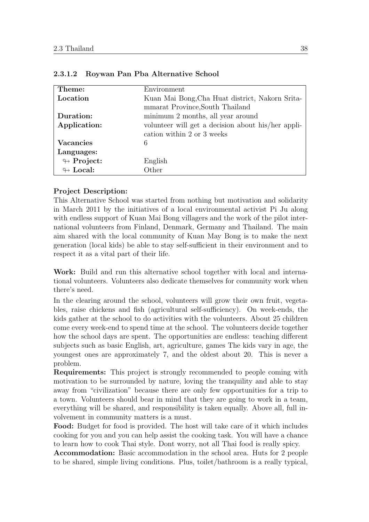| Theme:                     | Environment                                                                        |
|----------------------------|------------------------------------------------------------------------------------|
| Location                   | Kuan Mai Bong, Cha Huat district, Nakorn Srita-<br>mmarat Province, South Thailand |
|                            |                                                                                    |
| Duration:                  | minimum 2 months, all year around                                                  |
| Application:               | volunteer will get a decision about his/her appli-                                 |
|                            | cation within 2 or 3 weeks                                                         |
| <b>Vacancies</b>           | 6                                                                                  |
| Languages:                 |                                                                                    |
| $\leftrightarrow$ Project: | English                                                                            |
| $\leftrightarrow$ Local:   | Other                                                                              |

#### 2.3.1.2 Roywan Pan Pba Alternative School

#### Project Description:

This Alternative School was started from nothing but motivation and solidarity in March 2011 by the initiatives of a local environmental activist Pi Ju along with endless support of Kuan Mai Bong villagers and the work of the pilot international volunteers from Finland, Denmark, Germany and Thailand. The main aim shared with the local community of Kuan May Bong is to make the next generation (local kids) be able to stay self-sufficient in their environment and to respect it as a vital part of their life.

Work: Build and run this alternative school together with local and international volunteers. Volunteers also dedicate themselves for community work when there's need.

In the clearing around the school, volunteers will grow their own fruit, vegetables, raise chickens and fish (agricultural self-sufficiency). On week-ends, the kids gather at the school to do activities with the volunteers. About 25 children come every week-end to spend time at the school. The volunteers decide together how the school days are spent. The opportunities are endless: teaching different subjects such as basic English, art, agriculture, games The kids vary in age, the youngest ones are approximately 7, and the oldest about 20. This is never a problem.

Requirements: This project is strongly recommended to people coming with motivation to be surrounded by nature, loving the tranquility and able to stay away from "civilization" because there are only few opportunities for a trip to a town. Volunteers should bear in mind that they are going to work in a team, everything will be shared, and responsibility is taken equally. Above all, full involvement in community matters is a must.

Food: Budget for food is provided. The host will take care of it which includes cooking for you and you can help assist the cooking task. You will have a chance to learn how to cook Thai style. Dont worry, not all Thai food is really spicy.

Accommodation: Basic accommodation in the school area. Huts for 2 people to be shared, simple living conditions. Plus, toilet/bathroom is a really typical,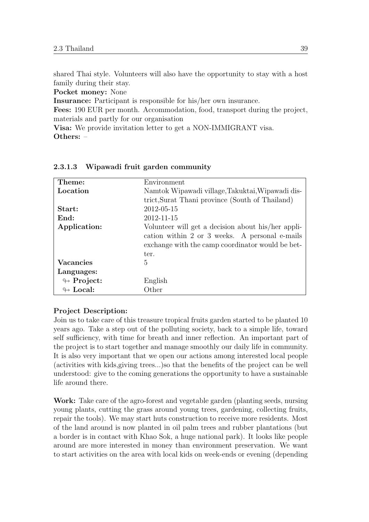shared Thai style. Volunteers will also have the opportunity to stay with a host family during their stay.

Pocket money: None

Insurance: Participant is responsible for his/her own insurance.

Fees: 190 EUR per month. Accommodation, food, transport during the project, materials and partly for our organisation

Visa: We provide invitation letter to get a NON-IMMIGRANT visa. Others: –

| Theme:                     | Environment                                                                                                                                                      |
|----------------------------|------------------------------------------------------------------------------------------------------------------------------------------------------------------|
| Location                   | Namtok Wipawadi village, Takuktai, Wipawadi dis-                                                                                                                 |
|                            | trict, Surat Thani province (South of Thailand)                                                                                                                  |
| Start:                     | 2012-05-15                                                                                                                                                       |
| End:                       | 2012-11-15                                                                                                                                                       |
| Application:               | Volunteer will get a decision about his/her appli-<br>cation within 2 or 3 weeks. A personal e-mails<br>exchange with the camp coordinator would be bet-<br>ter. |
| <b>Vacancies</b>           | 5                                                                                                                                                                |
| Languages:                 |                                                                                                                                                                  |
| $\leftrightarrow$ Project: | English                                                                                                                                                          |
| $\oplus$ Local:            | Other                                                                                                                                                            |

#### 2.3.1.3 Wipawadi fruit garden community

#### Project Description:

Join us to take care of this treasure tropical fruits garden started to be planted 10 years ago. Take a step out of the polluting society, back to a simple life, toward self sufficiency, with time for breath and inner reflection. An important part of the project is to start together and manage smoothly our daily life in community. It is also very important that we open our actions among interested local people (activities with kids,giving trees...)so that the benefits of the project can be well understood: give to the coming generations the opportunity to have a sustainable life around there.

Work: Take care of the agro-forest and vegetable garden (planting seeds, nursing young plants, cutting the grass around young trees, gardening, collecting fruits, repair the tools). We may start huts construction to receive more residents. Most of the land around is now planted in oil palm trees and rubber plantations (but a border is in contact with Khao Sok, a huge national park). It looks like people around are more interested in money than environment preservation. We want to start activities on the area with local kids on week-ends or evening (depending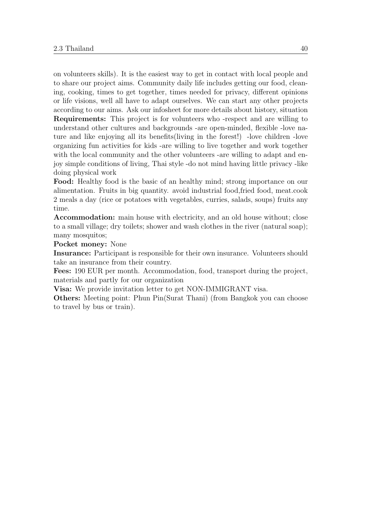on volunteers skills). It is the easiest way to get in contact with local people and to share our project aims. Community daily life includes getting our food, cleaning, cooking, times to get together, times needed for privacy, different opinions or life visions, well all have to adapt ourselves. We can start any other projects according to our aims. Ask our infosheet for more details about history, situation Requirements: This project is for volunteers who -respect and are willing to understand other cultures and backgrounds -are open-minded, flexible -love nature and like enjoying all its benefits(living in the forest!) -love children -love organizing fun activities for kids -are willing to live together and work together with the local community and the other volunteers -are willing to adapt and enjoy simple conditions of living, Thai style -do not mind having little privacy -like doing physical work

Food: Healthy food is the basic of an healthy mind; strong importance on our alimentation. Fruits in big quantity. avoid industrial food,fried food, meat.cook 2 meals a day (rice or potatoes with vegetables, curries, salads, soups) fruits any time.

Accommodation: main house with electricity, and an old house without; close to a small village; dry toilets; shower and wash clothes in the river (natural soap); many mosquitos;

Pocket money: None

Insurance: Participant is responsible for their own insurance. Volunteers should take an insurance from their country.

Fees: 190 EUR per month. Accommodation, food, transport during the project, materials and partly for our organization

Visa: We provide invitation letter to get NON-IMMIGRANT visa.

Others: Meeting point: Phun Pin(Surat Thani) (from Bangkok you can choose to travel by bus or train).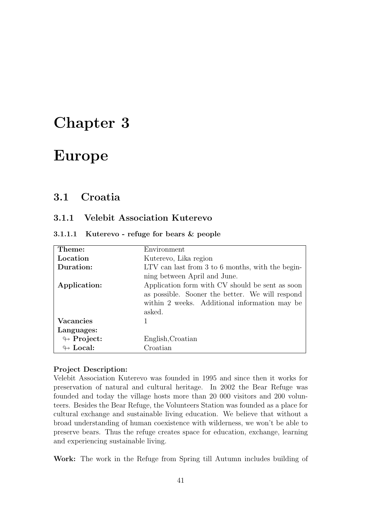# Chapter 3

# Europe

# 3.1 Croatia

# 3.1.1 Velebit Association Kuterevo

|  | 3.1.1.1 Kuterevo - refuge for bears & people |  |  |  |  |  |  |
|--|----------------------------------------------|--|--|--|--|--|--|
|--|----------------------------------------------|--|--|--|--|--|--|

| Theme:                     | Environment                                                                                                                                                   |
|----------------------------|---------------------------------------------------------------------------------------------------------------------------------------------------------------|
| Location                   | Kuterevo, Lika region                                                                                                                                         |
| Duration:                  | LTV can last from 3 to 6 months, with the begin-                                                                                                              |
|                            | ning between April and June.                                                                                                                                  |
| Application:               | Application form with CV should be sent as soon<br>as possible. Sooner the better. We will respond<br>within 2 weeks. Additional information may be<br>asked. |
| <b>Vacancies</b>           |                                                                                                                                                               |
| Languages:                 |                                                                                                                                                               |
| $\leftrightarrow$ Project: | English, Croatian                                                                                                                                             |
| $\leftrightarrow$ Local:   | Croatian                                                                                                                                                      |

#### Project Description:

Velebit Association Kuterevo was founded in 1995 and since then it works for preservation of natural and cultural heritage. In 2002 the Bear Refuge was founded and today the village hosts more than 20 000 visitors and 200 volunteers. Besides the Bear Refuge, the Volunteers Station was founded as a place for cultural exchange and sustainable living education. We believe that without a broad understanding of human coexistence with wilderness, we won't be able to preserve bears. Thus the refuge creates space for education, exchange, learning and experiencing sustainable living.

Work: The work in the Refuge from Spring till Autumn includes building of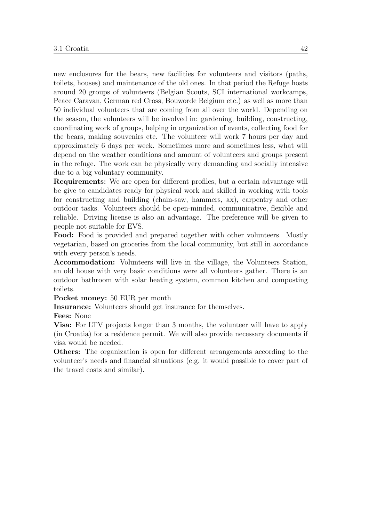new enclosures for the bears, new facilities for volunteers and visitors (paths, toilets, houses) and maintenance of the old ones. In that period the Refuge hosts around 20 groups of volunteers (Belgian Scouts, SCI international workcamps, Peace Caravan, German red Cross, Bouworde Belgium etc.) as well as more than 50 individual volunteers that are coming from all over the world. Depending on the season, the volunteers will be involved in: gardening, building, constructing, coordinating work of groups, helping in organization of events, collecting food for the bears, making souvenirs etc. The volunteer will work 7 hours per day and approximately 6 days per week. Sometimes more and sometimes less, what will depend on the weather conditions and amount of volunteers and groups present in the refuge. The work can be physically very demanding and socially intensive due to a big voluntary community.

Requirements: We are open for different profiles, but a certain advantage will be give to candidates ready for physical work and skilled in working with tools for constructing and building (chain-saw, hammers, ax), carpentry and other outdoor tasks. Volunteers should be open-minded, communicative, flexible and reliable. Driving license is also an advantage. The preference will be given to people not suitable for EVS.

Food: Food is provided and prepared together with other volunteers. Mostly vegetarian, based on groceries from the local community, but still in accordance with every person's needs.

Accommodation: Volunteers will live in the village, the Volunteers Station, an old house with very basic conditions were all volunteers gather. There is an outdoor bathroom with solar heating system, common kitchen and composting toilets.

Pocket money: 50 EUR per month

Insurance: Volunteers should get insurance for themselves.

Fees: None

Visa: For LTV projects longer than 3 months, the volunteer will have to apply (in Croatia) for a residence permit. We will also provide necessary documents if visa would be needed.

Others: The organization is open for different arrangements according to the volunteer's needs and financial situations (e.g. it would possible to cover part of the travel costs and similar).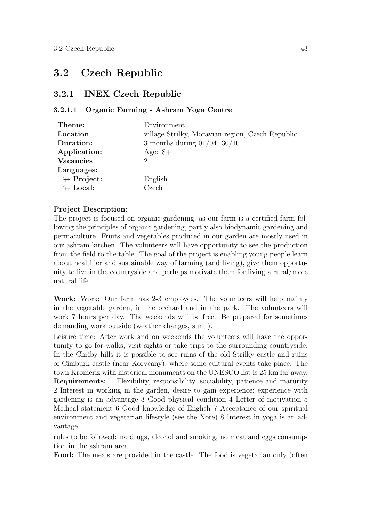# 3.2 Czech Republic

## 3.2.1 INEX Czech Republic

#### 3.2.1.1 Organic Farming - Ashram Yoga Centre

| Theme:                     | Environment                                      |
|----------------------------|--------------------------------------------------|
| Location                   | village Strilky, Moravian region, Czech Republic |
| Duration:                  | 3 months during $01/04$ 30/10                    |
| Application:               | $Age:18+$                                        |
| <b>Vacancies</b>           | റ                                                |
| Languages:                 |                                                  |
| $\looparrowright$ Project: | English                                          |
| $\leftrightarrow$ Local:   | Czech                                            |

#### Project Description:

The project is focused on organic gardening, as our farm is a certified farm following the principles of organic gardening, partly also biodynamic gardening and permaculture. Fruits and vegetables produced in our garden are mostly used in our ashram kitchen. The volunteers will have opportunity to see the production from the field to the table. The goal of the project is enabling young people learn about healthier and sustainable way of farming (and living), give them opportunity to live in the countryside and perhaps motivate them for living a rural/more natural life.

Work: Work: Our farm has 2-3 employees. The volunteers will help mainly in the vegetable garden, in the orchard and in the park. The volunteers will work 7 hours per day. The weekends will be free. Be prepared for sometimes demanding work outside (weather changes, sun, ).

Leisure time: After work and on weekends the volunteers will have the opportunity to go for walks, visit sights or take trips to the surrounding countryside. In the Chriby hills it is possible to see ruins of the old Strilky castle and ruins of Cimburk castle (near Korycany), where some cultural events take place. The town Kromeriz with historical monuments on the UNESCO list is 25 km far away. Requirements: 1 Flexibility, responsibility, sociability, patience and maturity 2 Interest in working in the garden, desire to gain experience; experience with gardening is an advantage 3 Good physical condition 4 Letter of motivation 5 Medical statement 6 Good knowledge of English 7 Acceptance of our spiritual environment and vegetarian lifestyle (see the Note) 8 Interest in yoga is an advantage

rules to be followed: no drugs, alcohol and smoking, no meat and eggs consumption in the ashram area.

Food: The meals are provided in the castle. The food is vegetarian only (often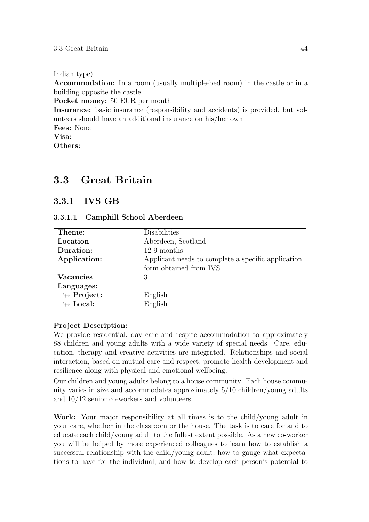Indian type).

Accommodation: In a room (usually multiple-bed room) in the castle or in a building opposite the castle.

Pocket money: 50 EUR per month

Insurance: basic insurance (responsibility and accidents) is provided, but volunteers should have an additional insurance on his/her own

Fees: None

Visa: –

Others: –

# 3.3 Great Britain

# 3.3.1 IVS GB

#### 3.3.1.1 Camphill School Aberdeen

| Theme:                     | Disabilities                                       |
|----------------------------|----------------------------------------------------|
| Location                   | Aberdeen, Scotland                                 |
| Duration:                  | $12-9$ months                                      |
| Application:               | Applicant needs to complete a specific application |
|                            | form obtained from IVS                             |
| Vacancies                  | 3                                                  |
| Languages:                 |                                                    |
| $\leftrightarrow$ Project: | English                                            |
| $\leftrightarrow$ Local:   | English                                            |

#### Project Description:

We provide residential, day care and respite accommodation to approximately 88 children and young adults with a wide variety of special needs. Care, education, therapy and creative activities are integrated. Relationships and social interaction, based on mutual care and respect, promote health development and resilience along with physical and emotional wellbeing.

Our children and young adults belong to a house community. Each house community varies in size and accommodates approximately 5/10 children/young adults and 10/12 senior co-workers and volunteers.

Work: Your major responsibility at all times is to the child/young adult in your care, whether in the classroom or the house. The task is to care for and to educate each child/young adult to the fullest extent possible. As a new co-worker you will be helped by more experienced colleagues to learn how to establish a successful relationship with the child/young adult, how to gauge what expectations to have for the individual, and how to develop each person's potential to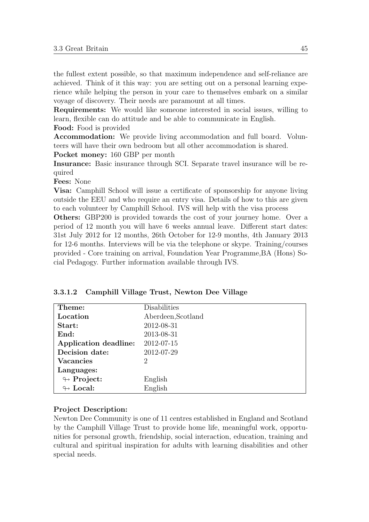the fullest extent possible, so that maximum independence and self-reliance are achieved. Think of it this way: you are setting out on a personal learning experience while helping the person in your care to themselves embark on a similar voyage of discovery. Their needs are paramount at all times.

Requirements: We would like someone interested in social issues, willing to learn, flexible can do attitude and be able to communicate in English.

Food: Food is provided

Accommodation: We provide living accommodation and full board. Volunteers will have their own bedroom but all other accommodation is shared.

Pocket money: 160 GBP per month

Insurance: Basic insurance through SCI. Separate travel insurance will be required

Fees: None

Visa: Camphill School will issue a certificate of sponsorship for anyone living outside the EEU and who require an entry visa. Details of how to this are given to each volunteer by Camphill School. IVS will help with the visa process

Others: GBP200 is provided towards the cost of your journey home. Over a period of 12 month you will have 6 weeks annual leave. Different start dates: 31st July 2012 for 12 months, 26th October for 12-9 months, 4th January 2013 for 12-6 months. Interviews will be via the telephone or skype. Training/courses provided - Core training on arrival, Foundation Year Programme,BA (Hons) Social Pedagogy. Further information available through IVS.

| Theme:                     | Disabilities       |
|----------------------------|--------------------|
| Location                   | Aberdeen, Scotland |
| Start:                     | 2012-08-31         |
| End:                       | 2013-08-31         |
| Application deadline:      | 2012-07-15         |
| Decision date:             | 2012-07-29         |
| <b>Vacancies</b>           | 2                  |
| Languages:                 |                    |
| $\looparrowright$ Project: | English            |
| $\leftrightarrow$ Local:   | English            |

3.3.1.2 Camphill Village Trust, Newton Dee Village

#### Project Description:

Newton Dee Community is one of 11 centres established in England and Scotland by the Camphill Village Trust to provide home life, meaningful work, opportunities for personal growth, friendship, social interaction, education, training and cultural and spiritual inspiration for adults with learning disabilities and other special needs.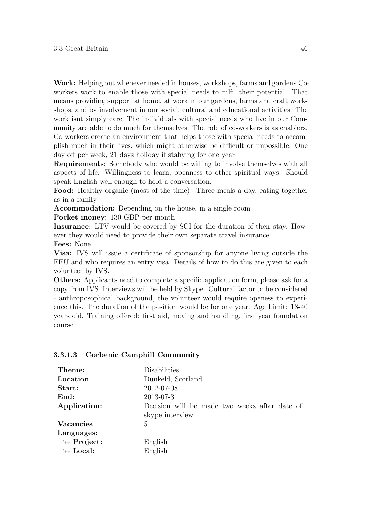Work: Helping out whenever needed in houses, workshops, farms and gardens.Coworkers work to enable those with special needs to fulfil their potential. That means providing support at home, at work in our gardens, farms and craft workshops, and by involvement in our social, cultural and educational activities. The work isnt simply care. The individuals with special needs who live in our Community are able to do much for themselves. The role of co-workers is as enablers. Co-workers create an environment that helps those with special needs to accomplish much in their lives, which might otherwise be difficult or impossible. One day off per week, 21 days holiday if stahying for one year

Requirements: Somebody who would be willing to involve themselves with all aspects of life. Willingness to learn, openness to other spiritual ways. Should speak English well enough to hold a conversation.

Food: Healthy organic (most of the time). Three meals a day, eating together as in a family.

Accommodation: Depending on the house, in a single room

Pocket money: 130 GBP per month

Insurance: LTV would be covered by SCI for the duration of their stay. However they would need to provide their own separate travel insurance

Fees: None

Visa: IVS will issue a certificate of sponsorship for anyone living outside the EEU and who requires an entry visa. Details of how to do this are given to each volunteer by IVS.

Others: Applicants need to complete a specific application form, please ask for a copy from IVS. Interviews will be held by Skype. Cultural factor to be considered - anthroposophical background, the volunteer would require openess to experience this. The duration of the position would be for one year. Age Limit: 18-40 years old. Training offered: first aid, moving and handling, first year foundation course

| Theme:                     | Disabilities                                  |
|----------------------------|-----------------------------------------------|
| Location                   | Dunkeld, Scotland                             |
| Start:                     | 2012-07-08                                    |
| End:                       | 2013-07-31                                    |
| Application:               | Decision will be made two weeks after date of |
|                            | skype interview                               |
| Vacancies                  | 5                                             |
| Languages:                 |                                               |
| $\leftrightarrow$ Project: | English                                       |
| $\leftrightarrow$ Local:   | English                                       |

#### 3.3.1.3 Corbenic Camphill Community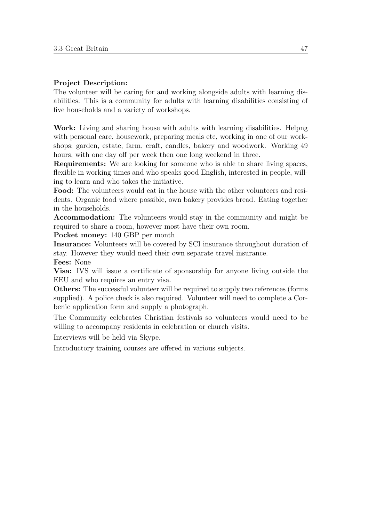## Project Description:

The volunteer will be caring for and working alongside adults with learning disabilities. This is a community for adults with learning disabilities consisting of five households and a variety of workshops.

Work: Living and sharing house with adults with learning disabilities. Helpng with personal care, housework, preparing meals etc, working in one of our workshops; garden, estate, farm, craft, candles, bakery and woodwork. Working 49 hours, with one day off per week then one long weekend in three.

Requirements: We are looking for someone who is able to share living spaces, flexible in working times and who speaks good English, interested in people, willing to learn and who takes the initiative.

Food: The volunteers would eat in the house with the other volunteers and residents. Organic food where possible, own bakery provides bread. Eating together in the households.

Accommodation: The volunteers would stay in the community and might be required to share a room, however most have their own room.

Pocket money: 140 GBP per month

Insurance: Volunteers will be covered by SCI insurance throughout duration of stay. However they would need their own separate travel insurance.

Fees: None

Visa: IVS will issue a certificate of sponsorship for anyone living outside the EEU and who requires an entry visa.

Others: The successful volunteer will be required to supply two references (forms supplied). A police check is also required. Volunteer will need to complete a Corbenic application form and supply a photograph.

The Community celebrates Christian festivals so volunteers would need to be willing to accompany residents in celebration or church visits.

Interviews will be held via Skype.

Introductory training courses are offered in various subjects.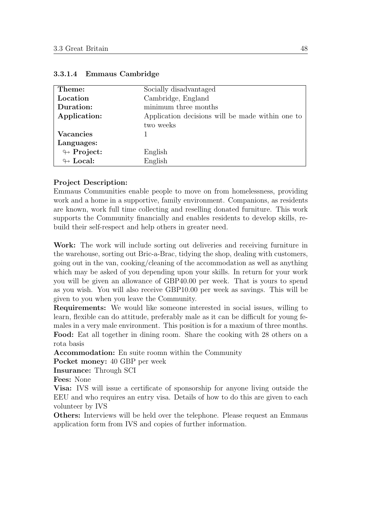| Theme:                     | Socially disadvantaged                           |
|----------------------------|--------------------------------------------------|
| Location                   | Cambridge, England                               |
| Duration:                  | minimum three months                             |
| Application:               | Application decisions will be made within one to |
|                            | two weeks                                        |
| Vacancies                  |                                                  |
| Languages:                 |                                                  |
| $\looparrowright$ Project: | English                                          |
| $\leftrightarrow$ Local:   | English                                          |

#### 3.3.1.4 Emmaus Cambridge

#### Project Description:

Emmaus Communities enable people to move on from homelessness, providing work and a home in a supportive, family environment. Companions, as residents are known, work full time collecting and reselling donated furniture. This work supports the Community financially and enables residents to develop skills, rebuild their self-respect and help others in greater need.

Work: The work will include sorting out deliveries and receiving furniture in the warehouse, sorting out Bric-a-Brac, tidying the shop, dealing with customers, going out in the van, cooking/cleaning of the accommodation as well as anything which may be asked of you depending upon your skills. In return for your work you will be given an allowance of GBP40.00 per week. That is yours to spend as you wish. You will also receive GBP10.00 per week as savings. This will be given to you when you leave the Community.

Requirements: We would like someone interested in social issues, willing to learn, flexible can do attitude, preferably male as it can be difficult for young females in a very male environment. This position is for a maxium of three months. Food: Eat all together in dining room. Share the cooking with 28 others on a rota basis

Accommodation: En suite roomn within the Community

Pocket money: 40 GBP per week

Insurance: Through SCI

Fees: None

Visa: IVS will issue a certificate of sponsorship for anyone living outside the EEU and who requires an entry visa. Details of how to do this are given to each volunteer by IVS

Others: Interviews will be held over the telephone. Please request an Emmaus application form from IVS and copies of further information.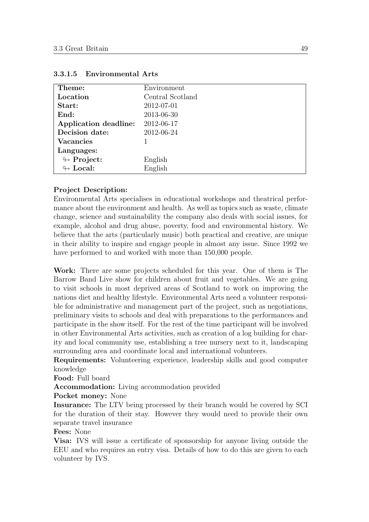| Theme:                     | Environment      |
|----------------------------|------------------|
| Location                   | Central Scotland |
| Start:                     | 2012-07-01       |
| End:                       | 2013-06-30       |
| Application deadline:      | 2012-06-17       |
| Decision date:             | 2012-06-24       |
| <b>Vacancies</b>           |                  |
| Languages:                 |                  |
| $\looparrowright$ Project: | English          |
| $\leftrightarrow$ Local:   | English          |

#### 3.3.1.5 Environmental Arts

#### Project Description:

Environmental Arts specialises in educational workshops and theatrical performance about the environment and health. As well as topics such as waste, climate change, science and sustainability the company also deals with social issues, for example, alcohol and drug abuse, poverty, food and environmental history. We believe that the arts (particularly music) both practical and creative, are unique in their ability to inspire and engage people in almost any issue. Since 1992 we have performed to and worked with more than  $150,000$  people.

Work: There are some projects scheduled for this year. One of them is The Barrow Band Live show for children about fruit and vegetables. We are going to visit schools in most deprived areas of Scotland to work on improving the nations diet and healthy lifestyle. Environmental Arts need a volunteer responsible for administrative and management part of the project, such as negotiations, preliminary visits to schools and deal with preparations to the performances and participate in the show itself. For the rest of the time participant will be involved in other Environmental Arts activities, such as creation of a log building for charity and local community use, establishing a tree nursery next to it, landscaping surrounding area and coordinate local and international volunteers.

Requirements: Volunteering experience, leadership skills and good computer knowledge

Food: Full board

Accommodation: Living accommodation provided

Pocket money: None

Insurance: The LTV being processed by their branch would be covered by SCI for the duration of their stay. However they would need to provide their own separate travel insurance

Fees: None

Visa: IVS will issue a certificate of sponsorship for anyone living outside the EEU and who requires an entry visa. Details of how to do this are given to each volunteer by IVS.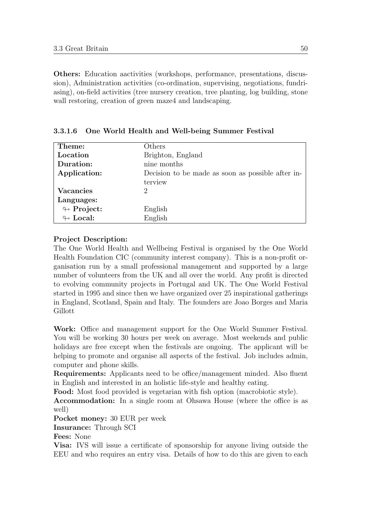Others: Education aactivities (workshops, performance, presentations, discussion), Administration activities (co-ordination, supervising, negotiations, fundriasing), on-field activities (tree nursery creation, tree planting, log building, stone wall restoring, creation of green maze4 and landscaping.

| Theme:                     | Others                                            |
|----------------------------|---------------------------------------------------|
| Location                   | Brighton, England                                 |
| Duration:                  | nine months                                       |
| Application:               | Decision to be made as soon as possible after in- |
|                            | terview                                           |
| <b>Vacancies</b>           | 2                                                 |
| Languages:                 |                                                   |
| $\leftrightarrow$ Project: | English                                           |
| $\leftrightarrow$ Local:   | English                                           |

3.3.1.6 One World Health and Well-being Summer Festival

# Project Description:

The One World Health and Wellbeing Festival is organised by the One World Health Foundation CIC (community interest company). This is a non-profit organisation run by a small professional management and supported by a large number of volunteers from the UK and all over the world. Any profit is directed to evolving community projects in Portugal and UK. The One World Festival started in 1995 and since then we have organized over 25 inspirational gatherings in England, Scotland, Spain and Italy. The founders are Joao Borges and Maria Gillott

Work: Office and management support for the One World Summer Festival. You will be working 30 hours per week on average. Most weekends and public holidays are free except when the festivals are ongoing. The applicant will be helping to promote and organise all aspects of the festival. Job includes admin, computer and phone skills.

Requirements: Applicants need to be office/management minded. Also fluent in English and interested in an holistic life-style and healthy eating.

Food: Most food provided is vegetarian with fish option (macrobiotic style).

Accommodation: In a single room at Ohsawa House (where the office is as well)

Pocket money: 30 EUR per week

Insurance: Through SCI

Fees: None

Visa: IVS will issue a certificate of sponsorship for anyone living outside the EEU and who requires an entry visa. Details of how to do this are given to each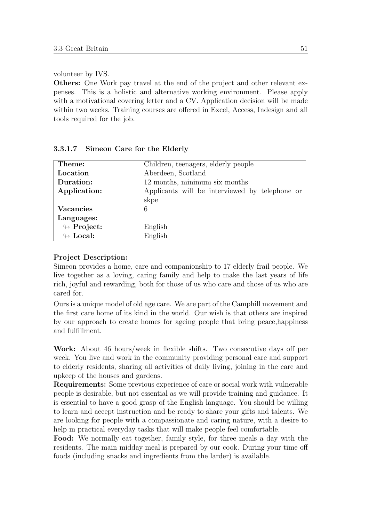volunteer by IVS.

Others: One Work pay travel at the end of the project and other relevant expenses. This is a holistic and alternative working environment. Please apply with a motivational covering letter and a CV. Application decision will be made within two weeks. Training courses are offered in Excel, Access, Indesign and all tools required for the job.

| Theme:                     | Children, teenagers, elderly people            |
|----------------------------|------------------------------------------------|
| Location                   | Aberdeen, Scotland                             |
| Duration:                  | 12 months, minimum six months                  |
| Application:               | Applicants will be interviewed by telephone or |
|                            | skpe                                           |
| <b>Vacancies</b>           | 6                                              |
| Languages:                 |                                                |
| $\looparrowright$ Project: | English                                        |
| $\leftrightarrow$ Local:   | English                                        |

#### 3.3.1.7 Simeon Care for the Elderly

#### Project Description:

Simeon provides a home, care and companionship to 17 elderly frail people. We live together as a loving, caring family and help to make the last years of life rich, joyful and rewarding, both for those of us who care and those of us who are cared for.

Ours is a unique model of old age care. We are part of the Camphill movement and the first care home of its kind in the world. Our wish is that others are inspired by our approach to create homes for ageing people that bring peace,happiness and fulfillment.

Work: About 46 hours/week in flexible shifts. Two consecutive days off per week. You live and work in the community providing personal care and support to elderly residents, sharing all activities of daily living, joining in the care and upkeep of the houses and gardens.

Requirements: Some previous experience of care or social work with vulnerable people is desirable, but not essential as we will provide training and guidance. It is essential to have a good grasp of the English language. You should be willing to learn and accept instruction and be ready to share your gifts and talents. We are looking for people with a compassionate and caring nature, with a desire to help in practical everyday tasks that will make people feel comfortable.

Food: We normally eat together, family style, for three meals a day with the residents. The main midday meal is prepared by our cook. During your time off foods (including snacks and ingredients from the larder) is available.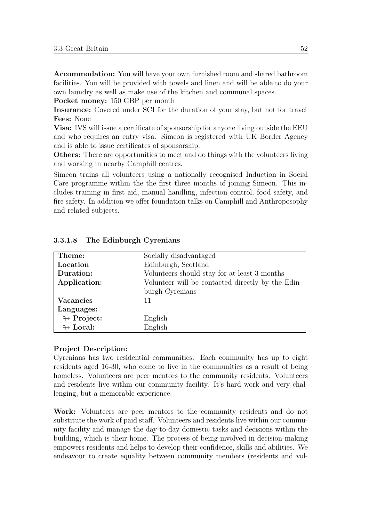Accommodation: You will have your own furnished room and shared bathroom facilities. You will be provided with towels and linen and will be able to do your own laundry as well as make use of the kitchen and communal spaces.

Pocket money: 150 GBP per month

Insurance: Covered under SCI for the duration of your stay, but not for travel Fees: None

Visa: IVS will issue a certificate of sponsorship for anyone living outside the EEU and who requires an entry visa. Simeon is registered with UK Border Agency and is able to issue certificates of sponsorship.

Others: There are opportunities to meet and do things with the volunteers living and working in nearby Camphill centres.

Simeon trains all volunteers using a nationally recognised Induction in Social Care programme within the the first three months of joining Simeon. This includes training in first aid, manual handling, infection control, food safety, and fire safety. In addition we offer foundation talks on Camphill and Anthroposophy and related subjects.

| Theme:                     | Socially disadvantaged                            |
|----------------------------|---------------------------------------------------|
| Location                   | Edinburgh, Scotland                               |
| Duration:                  | Volunteers should stay for at least 3 months      |
| Application:               | Volunteer will be contacted directly by the Edin- |
|                            | burgh Cyrenians                                   |
| <b>Vacancies</b>           | 11                                                |
| Languages:                 |                                                   |
| $\leftrightarrow$ Project: | English                                           |
| $\leftrightarrow$ Local:   | English                                           |

#### 3.3.1.8 The Edinburgh Cyrenians

#### Project Description:

Cyrenians has two residential communities. Each community has up to eight residents aged 16-30, who come to live in the communities as a result of being homeless. Volunteers are peer mentors to the community residents. Volunteers and residents live within our community facility. It's hard work and very challenging, but a memorable experience.

Work: Volunteers are peer mentors to the community residents and do not substitute the work of paid staff. Volunteers and residents live within our community facility and manage the day-to-day domestic tasks and decisions within the building, which is their home. The process of being involved in decision-making empowers residents and helps to develop their confidence, skills and abilities. We endeavour to create equality between community members (residents and vol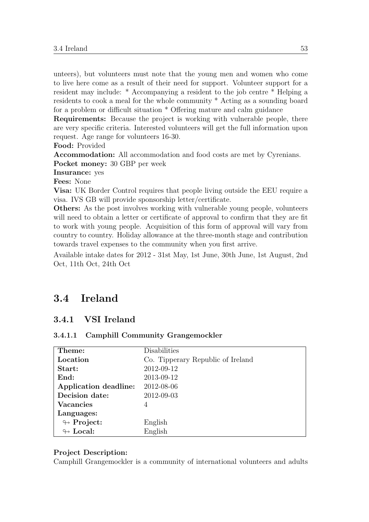unteers), but volunteers must note that the young men and women who come to live here come as a result of their need for support. Volunteer support for a resident may include: \* Accompanying a resident to the job centre \* Helping a residents to cook a meal for the whole community \* Acting as a sounding board for a problem or difficult situation \* Offering mature and calm guidance

Requirements: Because the project is working with vulnerable people, there are very specific criteria. Interested volunteers will get the full information upon request. Age range for volunteers 16-30.

Food: Provided

Accommodation: All accommodation and food costs are met by Cyrenians. Pocket money: 30 GBP per week

Insurance: yes

Fees: None

Visa: UK Border Control requires that people living outside the EEU require a visa. IVS GB will provide sponsorship letter/certificate.

Others: As the post involves working with vulnerable young people, volunteers will need to obtain a letter or certificate of approval to confirm that they are fit to work with young people. Acquisition of this form of approval will vary from country to country. Holiday allowance at the three-month stage and contribution towards travel expenses to the community when you first arrive.

Available intake dates for 2012 - 31st May, 1st June, 30th June, 1st August, 2nd Oct, 11th Oct, 24th Oct

# 3.4 Ireland

## 3.4.1 VSI Ireland

#### 3.4.1.1 Camphill Community Grangemockler

| Theme:                     | Disabilities                      |
|----------------------------|-----------------------------------|
| Location                   | Co. Tipperary Republic of Ireland |
| Start:                     | 2012-09-12                        |
| End:                       | 2013-09-12                        |
| Application deadline:      | 2012-08-06                        |
| Decision date:             | 2012-09-03                        |
| <b>Vacancies</b>           | 4                                 |
| Languages:                 |                                   |
| $\looparrowright$ Project: | English                           |
| $\leftrightarrow$ Local:   | English                           |

#### Project Description:

Camphill Grangemockler is a community of international volunteers and adults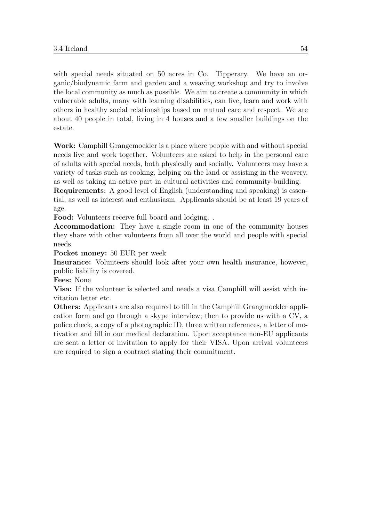with special needs situated on 50 acres in Co. Tipperary. We have an organic/biodynamic farm and garden and a weaving workshop and try to involve the local community as much as possible. We aim to create a community in which vulnerable adults, many with learning disabilities, can live, learn and work with others in healthy social relationships based on mutual care and respect. We are about 40 people in total, living in 4 houses and a few smaller buildings on the estate.

Work: Camphill Grangemockler is a place where people with and without special needs live and work together. Volunteers are asked to help in the personal care of adults with special needs, both physically and socially. Volunteers may have a variety of tasks such as cooking, helping on the land or assisting in the weavery, as well as taking an active part in cultural activities and community-building.

Requirements: A good level of English (understanding and speaking) is essential, as well as interest and enthusiasm. Applicants should be at least 19 years of age.

Food: Volunteers receive full board and lodging. .

Accommodation: They have a single room in one of the community houses they share with other volunteers from all over the world and people with special needs

Pocket money: 50 EUR per week

Insurance: Volunteers should look after your own health insurance, however, public liability is covered.

Fees: None

Visa: If the volunteer is selected and needs a visa Camphill will assist with invitation letter etc.

Others: Applicants are also required to fill in the Camphill Grangmockler application form and go through a skype interview; then to provide us with a CV, a police check, a copy of a photographic ID, three written references, a letter of motivation and fill in our medical declaration. Upon acceptance non-EU applicants are sent a letter of invitation to apply for their VISA. Upon arrival volunteers are required to sign a contract stating their commitment.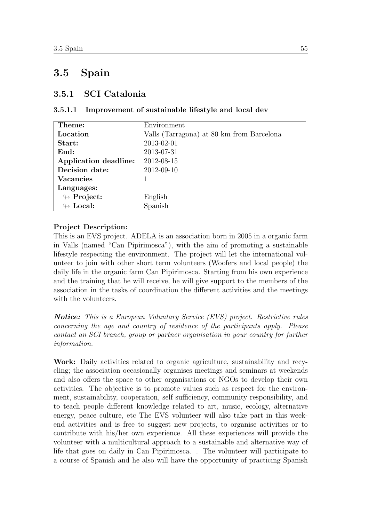# 3.5 Spain

## 3.5.1 SCI Catalonia

#### 3.5.1.1 Improvement of sustainable lifestyle and local dev

| Theme:                     | Environment                               |
|----------------------------|-------------------------------------------|
| Location                   | Valls (Tarragona) at 80 km from Barcelona |
| Start:                     | 2013-02-01                                |
| End:                       | 2013-07-31                                |
| Application deadline:      | 2012-08-15                                |
| Decision date:             | 2012-09-10                                |
| <b>Vacancies</b>           |                                           |
| Languages:                 |                                           |
| $\looparrowright$ Project: | English                                   |
| $\leftrightarrow$ Local:   | Spanish                                   |

#### Project Description:

This is an EVS project. ADELA is an association born in 2005 in a organic farm in Valls (named "Can Pipirimosca"), with the aim of promoting a sustainable lifestyle respecting the environment. The project will let the international volunteer to join with other short term volunteers (Woofers and local people) the daily life in the organic farm Can Pipirimosca. Starting from his own experience and the training that he will receive, he will give support to the members of the association in the tasks of coordination the different activities and the meetings with the volunteers.

**Notice:** This is a European Voluntary Service (EVS) project. Restrictive rules concerning the age and country of residence of the participants apply. Please contact an SCI branch, group or partner organisation in your country for further information.

Work: Daily activities related to organic agriculture, sustainability and recycling; the association occasionally organises meetings and seminars at weekends and also offers the space to other organisations or NGOs to develop their own activities. The objective is to promote values such as respect for the environment, sustainability, cooperation, self sufficiency, community responsibility, and to teach people different knowledge related to art, music, ecology, alternative energy, peace culture, etc The EVS volunteer will also take part in this weekend activities and is free to suggest new projects, to organise activities or to contribute with his/her own experience. All these experiences will provide the volunteer with a multicultural approach to a sustainable and alternative way of life that goes on daily in Can Pipirimosca. . The volunteer will participate to a course of Spanish and he also will have the opportunity of practicing Spanish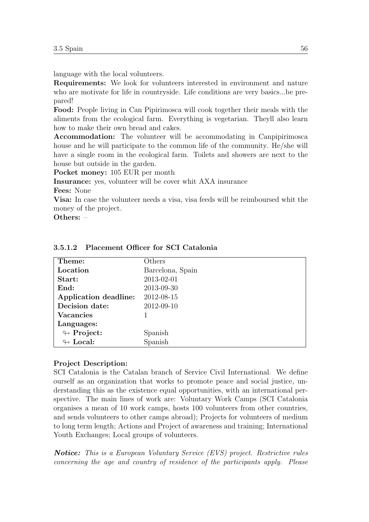language with the local volunteers.

Requirements: We look for volunteers interested in environment and nature who are motivate for life in countryside. Life conditions are very basics...be prepared!

Food: People living in Can Pipirimosca will cook together their meals with the aliments from the ecological farm. Everything is vegetarian. Theyll also learn how to make their own bread and cakes.

Accommodation: The volunteer will be accommodating in Canpipirimosca house and he will participate to the common life of the community. He/she will have a single room in the ecological farm. Toilets and showers are next to the house but outside in the garden.

Pocket money: 105 EUR per month

Insurance: yes, volunteer will be cover whit AXA insurance

Fees: None

Visa: In case the volunteer needs a visa, visa feeds will be reimboursed whit the money of the project.

Others: –

| Theme:                     | Others           |
|----------------------------|------------------|
| Location                   | Barcelona, Spain |
| Start:                     | 2013-02-01       |
| End:                       | 2013-09-30       |
| Application deadline:      | 2012-08-15       |
| Decision date:             | 2012-09-10       |
| <b>Vacancies</b>           |                  |
| Languages:                 |                  |
| $\looparrowright$ Project: | Spanish          |
| $\leftrightarrow$ Local:   | Spanish          |

### 3.5.1.2 Placement Officer for SCI Catalonia

#### Project Description:

SCI Catalonia is the Catalan branch of Service Civil International. We define ourself as an organization that works to promote peace and social justice, understanding this as the existence equal opportunities, with an international perspective. The main lines of work are: Voluntary Work Camps (SCI Catalonia organises a mean of 10 work camps, hosts 100 volunteers from other countries, and sends volunteers to other camps abroad); Projects for volunteers of medium to long term length; Actions and Project of awareness and training; International Youth Exchanges; Local groups of volunteers.

Notice: This is a European Voluntary Service (EVS) project. Restrictive rules concerning the age and country of residence of the participants apply. Please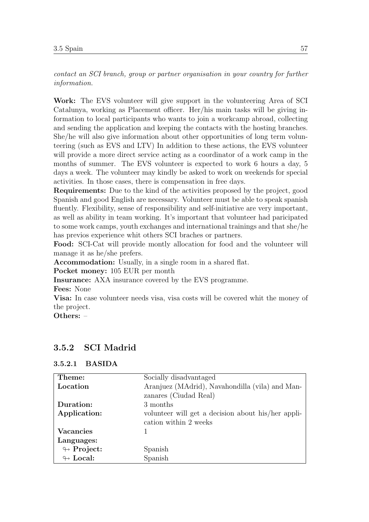contact an SCI branch, group or partner organisation in your country for further information.

Work: The EVS volunteer will give support in the volunteering Area of SCI Catalunya, working as Placement officer. Her/his main tasks will be giving information to local participants who wants to join a workcamp abroad, collecting and sending the application and keeping the contacts with the hosting branches. She/he will also give information about other opportunities of long term volunteering (such as EVS and LTV) In addition to these actions, the EVS volunteer will provide a more direct service acting as a coordinator of a work camp in the months of summer. The EVS volunteer is expected to work 6 hours a day, 5 days a week. The volunteer may kindly be asked to work on weekends for special activities. In those cases, there is compensation in free days.

Requirements: Due to the kind of the activities proposed by the project, good Spanish and good English are necessary. Volunteer must be able to speak spanish fluently. Flexibility, sense of responsibility and self-initiative are very important, as well as ability in team working. It's important that volunteer had paricipated to some work camps, youth exchanges and international trainings and that she/he has previos experience whit others SCI braches or partners.

Food: SCI-Cat will provide montly allocation for food and the volunteer will manage it as he/she prefers.

Accommodation: Usually, in a single room in a shared flat.

Pocket money: 105 EUR per month

Insurance: AXA insurance covered by the EVS programme.

Fees: None

Visa: In case volunteer needs visa, visa costs will be covered whit the money of the project.

Others: –

## 3.5.2 SCI Madrid

| Theme:                     | Socially disadvantaged                             |
|----------------------------|----------------------------------------------------|
| Location                   | Aranjuez (MAdrid), Navahondilla (vila) and Man-    |
|                            | zanares (Ciudad Real)                              |
| Duration:                  | 3 months                                           |
| Application:               | volunteer will get a decision about his/her appli- |
|                            | cation within 2 weeks                              |
| <b>Vacancies</b>           |                                                    |
| Languages:                 |                                                    |
| $\leftrightarrow$ Project: | Spanish                                            |
| $\leftrightarrow$ Local:   | Spanish                                            |

#### 3.5.2.1 BASIDA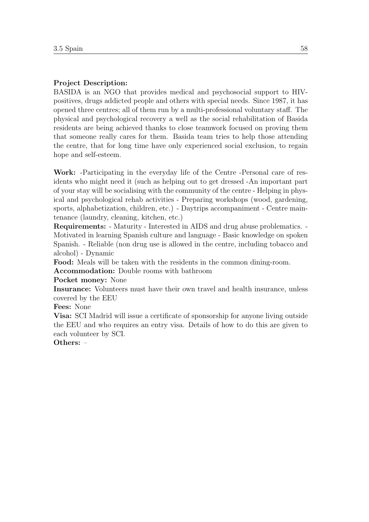## Project Description:

BASIDA is an NGO that provides medical and psychosocial support to HIVpositives, drugs addicted people and others with special needs. Since 1987, it has opened three centres; all of them run by a multi-professional voluntary staff. The physical and psychological recovery a well as the social rehabilitation of Basida residents are being achieved thanks to close teamwork focused on proving them that someone really cares for them. Basida team tries to help those attending the centre, that for long time have only experienced social exclusion, to regain hope and self-esteem.

Work: -Participating in the everyday life of the Centre -Personal care of residents who might need it (such as helping out to get dressed -An important part of your stay will be socialising with the community of the centre - Helping in physical and psychological rehab activities - Preparing workshops (wood, gardening, sports, alphabetization, children, etc.) - Daytrips accompaniment - Centre maintenance (laundry, cleaning, kitchen, etc.)

Requirements: - Maturity - Interested in AIDS and drug abuse problematics. - Motivated in learning Spanish culture and language - Basic knowledge on spoken Spanish. - Reliable (non drug use is allowed in the centre, including tobacco and alcohol) - Dynamic

Food: Meals will be taken with the residents in the common dining-room.

Accommodation: Double rooms with bathroom

#### Pocket money: None

Insurance: Volunteers must have their own travel and health insurance, unless covered by the EEU

Fees: None

Visa: SCI Madrid will issue a certificate of sponsorship for anyone living outside the EEU and who requires an entry visa. Details of how to do this are given to each volunteer by SCI.

Others: –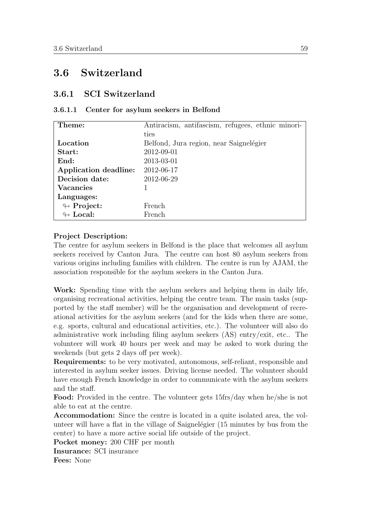# 3.6 Switzerland

## 3.6.1 SCI Switzerland

#### 3.6.1.1 Center for asylum seekers in Belfond

| Theme:                     | Antiracism, antifascism, refugees, ethnic minori- |
|----------------------------|---------------------------------------------------|
|                            | ties                                              |
| Location                   | Belfond, Jura region, near Saignelégier           |
| Start:                     | 2012-09-01                                        |
| End:                       | 2013-03-01                                        |
| Application deadline:      | 2012-06-17                                        |
| Decision date:             | 2012-06-29                                        |
| <b>Vacancies</b>           |                                                   |
| Languages:                 |                                                   |
| $\leftrightarrow$ Project: | French                                            |
| $\leftrightarrow$ Local:   | French.                                           |

#### Project Description:

The centre for asylum seekers in Belfond is the place that welcomes all asylum seekers received by Canton Jura. The centre can host 80 asylum seekers from various origins including families with children. The centre is run by AJAM, the association responsible for the asylum seekers in the Canton Jura.

Work: Spending time with the asylum seekers and helping them in daily life, organising recreational activities, helping the centre team. The main tasks (supported by the staff member) will be the organisation and development of recreational activities for the asylum seekers (and for the kids when there are some, e.g. sports, cultural and educational activities, etc.). The volunteer will also do administrative work including filing asylum seekers (AS) entry/exit, etc.. The volunteer will work 40 hours per week and may be asked to work during the weekends (but gets 2 days off per week).

Requirements: to be very motivated, autonomous, self-reliant, responsible and interested in asylum seeker issues. Driving license needed. The volunteer should have enough French knowledge in order to communicate with the asylum seekers and the staff.

Food: Provided in the centre. The volunteer gets 15frs/day when he/she is not able to eat at the centre.

Accommodation: Since the centre is located in a quite isolated area, the volunteer will have a flat in the village of Saignelégier (15 minutes by bus from the center) to have a more active social life outside of the project.

Pocket money: 200 CHF per month

Insurance: SCI insurance

Fees: None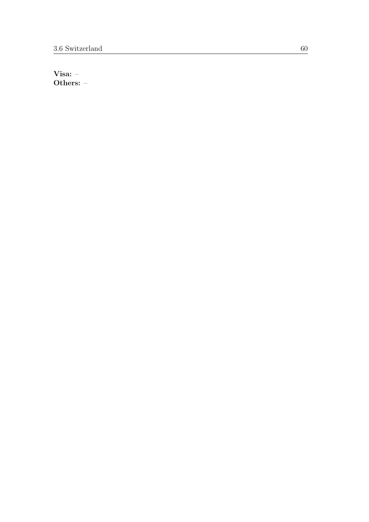Visa: – Others: –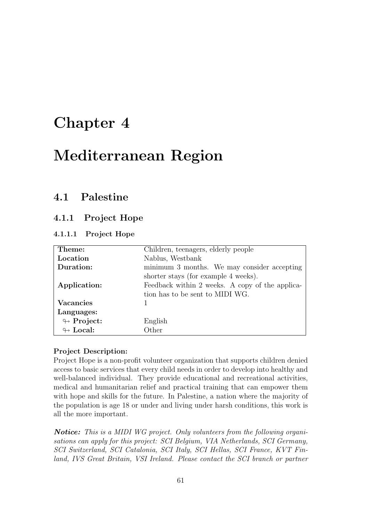# Chapter 4

# Mediterranean Region

# 4.1 Palestine

# 4.1.1 Project Hope

## 4.1.1.1 Project Hope

| Theme:                     | Children, teenagers, elderly people             |
|----------------------------|-------------------------------------------------|
| Location                   | Nablus, Westbank                                |
| Duration:                  | minimum 3 months. We may consider accepting     |
|                            | shorter stays (for example 4 weeks).            |
| Application:               | Feedback within 2 weeks. A copy of the applica- |
|                            | tion has to be sent to MIDI WG.                 |
| <b>Vacancies</b>           |                                                 |
| Languages:                 |                                                 |
| $\looparrowright$ Project: | English                                         |
| $\leftrightarrow$ Local:   | Other                                           |

#### Project Description:

Project Hope is a non-profit volunteer organization that supports children denied access to basic services that every child needs in order to develop into healthy and well-balanced individual. They provide educational and recreational activities, medical and humanitarian relief and practical training that can empower them with hope and skills for the future. In Palestine, a nation where the majority of the population is age 18 or under and living under harsh conditions, this work is all the more important.

**Notice:** This is a MIDI WG project. Only volunteers from the following organisations can apply for this project: SCI Belgium, VIA Netherlands, SCI Germany, SCI Switzerland, SCI Catalonia, SCI Italy, SCI Hellas, SCI France, KVT Finland, IVS Great Britain, VSI Ireland. Please contact the SCI branch or partner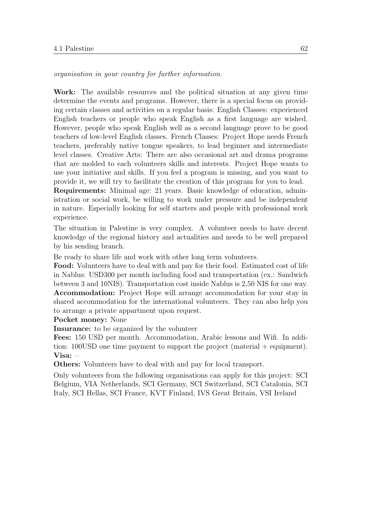organisation in your country for further information.

Work: The available resources and the political situation at any given time determine the events and programs. However, there is a special focus on providing certain classes and activities on a regular basis: English Classes: experienced English teachers or people who speak English as a first language are wished. However, people who speak English well as a second language prove to be good teachers of low-level English classes. French Classes: Project Hope needs French teachers, preferably native tongue speakers, to lead beginner and intermediate level classes. Creative Arts: There are also occasional art and drama programs that are molded to each volunteers skills and interests. Project Hope wants to use your initiative and skills. If you feel a program is missing, and you want to provide it, we will try to facilitate the creation of this program for you to lead.

Requirements: Minimal age: 21 years. Basic knowledge of education, administration or social work, be willing to work under pressure and be independent in nature. Especially looking for self starters and people with professional work experience.

The situation in Palestine is very complex. A volunteer needs to have decent knowledge of the regional history and actualities and needs to be well prepared by his sending branch.

Be ready to share life and work with other long term volunteers.

Food: Volunteers have to deal with and pay for their food. Estimated cost of life in Nablus: USD300 per month including food and transportation (ex.: Sandwich between 3 and 10NIS). Transportation cost inside Nablus is 2,50 NIS for one way. Accommodation: Project Hope will arrange accommodation for your stay in shared accommodation for the international volunteers. They can also help you to arrange a private appartment upon request.

Pocket money: None

Insurance: to be organized by the volunteer

Fees: 150 USD per month. Accommodation, Arabic lessons and Wifi. In addition: 100USD one time payment to support the project (material + equipment). Visa: –

Others: Volunteers have to deal with and pay for local transport.

Only volunteers from the following organisations can apply for this project: SCI Belgium, VIA Netherlands, SCI Germany, SCI Switzerland, SCI Catalonia, SCI Italy, SCI Hellas, SCI France, KVT Finland, IVS Great Britain, VSI Ireland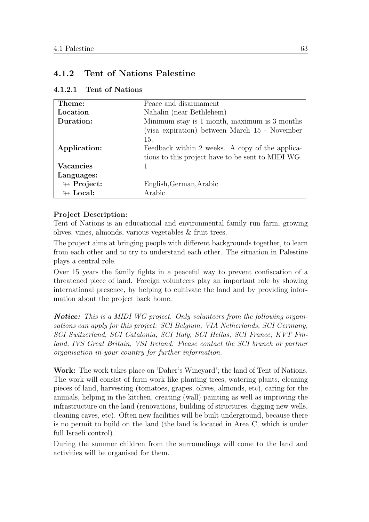# 4.1.2 Tent of Nations Palestine

| Theme:                     | Peace and disarmament                             |
|----------------------------|---------------------------------------------------|
| Location                   | Nahalin (near Bethlehem)                          |
| Duration:                  | Minimum stay is 1 month, maximum is 3 months      |
|                            | (visa expiration) between March 15 - November     |
|                            | 15.                                               |
| Application:               | Feedback within 2 weeks. A copy of the applica-   |
|                            | tions to this project have to be sent to MIDI WG. |
| <b>Vacancies</b>           |                                                   |
| Languages:                 |                                                   |
| $\leftrightarrow$ Project: | English, German, Arabic                           |
| $\leftrightarrow$ Local:   | Arabic                                            |

4.1.2.1 Tent of Nations

## Project Description:

Tent of Nations is an educational and environmental family run farm, growing olives, vines, almonds, various vegetables & fruit trees.

The project aims at bringing people with different backgrounds together, to learn from each other and to try to understand each other. The situation in Palestine plays a central role.

Over 15 years the family fights in a peaceful way to prevent confiscation of a threatened piece of land. Foreign volunteers play an important role by showing international presence, by helping to cultivate the land and by providing information about the project back home.

**Notice:** This is a MIDI WG project. Only volunteers from the following organisations can apply for this project: SCI Belgium, VIA Netherlands, SCI Germany, SCI Switzerland, SCI Catalonia, SCI Italy, SCI Hellas, SCI France, KVT Finland, IVS Great Britain, VSI Ireland. Please contact the SCI branch or partner organisation in your country for further information.

Work: The work takes place on 'Daher's Wineyard'; the land of Tent of Nations. The work will consist of farm work like planting trees, watering plants, cleaning pieces of land, harvesting (tomatoes, grapes, olives, almonds, etc), caring for the animals, helping in the kitchen, creating (wall) painting as well as improving the infrastructure on the land (renovations, building of structures, digging new wells, cleaning caves, etc). Often new facilities will be built underground, because there is no permit to build on the land (the land is located in Area C, which is under full Israeli control).

During the summer children from the surroundings will come to the land and activities will be organised for them.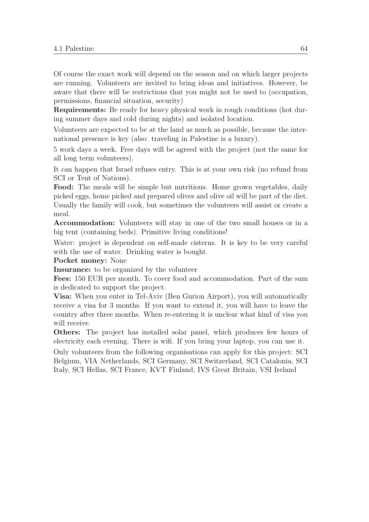Of course the exact work will depend on the season and on which larger projects are running. Volunteers are invited to bring ideas and initiatives. However, be aware that there will be restrictions that you might not be used to (occupation, permissions, financial situation, security)

Requirements: Be ready for heavy physical work in rough conditions (hot during summer days and cold during nights) and isolated location.

Volunteers are expected to be at the land as much as possible, because the international presence is key (also: traveling in Palestine is a luxury).

5 work days a week. Free days will be agreed with the project (not the same for all long term volunteers).

It can happen that Israel refuses entry. This is at your own risk (no refund from SCI or Tent of Nations).

Food: The meals will be simple but nutritious. Home grown vegetables, daily picked eggs, home picked and prepared olives and olive oil will be part of the diet. Usually the family will cook, but sometimes the volunteers will assist or create a meal.

Accommodation: Volunteers will stay in one of the two small houses or in a big tent (containing beds). Primitive living conditions!

Water: project is dependent on self-made cisterns. It is key to be very careful with the use of water. Drinking water is bought.

#### Pocket money: None

Insurance: to be organized by the volunteer

Fees: 150 EUR per month. To cover food and accommodation. Part of the sum is dedicated to support the project.

Visa: When you enter in Tel-Aviv (Ben Gurion Airport), you will automatically receive a visa for 3 months. If you want to extend it, you will have to leave the country after three months. When re-entering it is unclear what kind of visa you will receive.

Others: The project has installed solar panel, which produces few hours of electricity each evening. There is wifi. If you bring your laptop, you can use it.

Only volunteers from the following organisations can apply for this project: SCI Belgium, VIA Netherlands, SCI Germany, SCI Switzerland, SCI Catalonia, SCI Italy, SCI Hellas, SCI France, KVT Finland, IVS Great Britain, VSI Ireland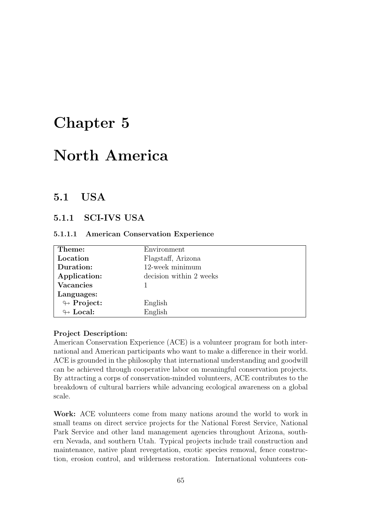# Chapter 5

# North America

# 5.1 USA

# 5.1.1 SCI-IVS USA

#### 5.1.1.1 American Conservation Experience

| Theme:                     | Environment             |
|----------------------------|-------------------------|
| Location                   | Flagstaff, Arizona      |
| Duration:                  | 12-week minimum         |
| Application:               | decision within 2 weeks |
| <b>Vacancies</b>           |                         |
| Languages:                 |                         |
| $\leftrightarrow$ Project: | English                 |
| $\leftrightarrow$ Local:   | English                 |

#### Project Description:

American Conservation Experience (ACE) is a volunteer program for both international and American participants who want to make a difference in their world. ACE is grounded in the philosophy that international understanding and goodwill can be achieved through cooperative labor on meaningful conservation projects. By attracting a corps of conservation-minded volunteers, ACE contributes to the breakdown of cultural barriers while advancing ecological awareness on a global scale.

Work: ACE volunteers come from many nations around the world to work in small teams on direct service projects for the National Forest Service, National Park Service and other land management agencies throughout Arizona, southern Nevada, and southern Utah. Typical projects include trail construction and maintenance, native plant revegetation, exotic species removal, fence construction, erosion control, and wilderness restoration. International volunteers con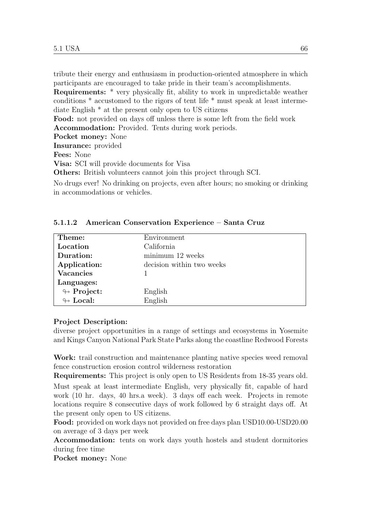tribute their energy and enthusiasm in production-oriented atmosphere in which participants are encouraged to take pride in their team's accomplishments.

Requirements: \* very physically fit, ability to work in unpredictable weather conditions \* accustomed to the rigors of tent life \* must speak at least intermediate English \* at the present only open to US citizens

Food: not provided on days off unless there is some left from the field work Accommodation: Provided. Tents during work periods.

Pocket money: None

Insurance: provided

Fees: None

Visa: SCI will provide documents for Visa

Others: British volunteers cannot join this project through SCI.

No drugs ever! No drinking on projects, even after hours; no smoking or drinking in accommodations or vehicles.

| Theme:                     | Environment               |
|----------------------------|---------------------------|
| Location                   | California                |
| Duration:                  | minimum 12 weeks          |
| Application:               | decision within two weeks |
| <b>Vacancies</b>           |                           |
| Languages:                 |                           |
| $\looparrowright$ Project: | English                   |
| $\leftrightarrow$ Local:   | English                   |

#### 5.1.1.2 American Conservation Experience – Santa Cruz

#### Project Description:

diverse project opportunities in a range of settings and ecosystems in Yosemite and Kings Canyon National Park State Parks along the coastline Redwood Forests

Work: trail construction and maintenance planting native species weed removal fence construction erosion control wilderness restoration

Requirements: This project is only open to US Residents from 18-35 years old. Must speak at least intermediate English, very physically fit, capable of hard work (10 hr. days, 40 hrs.a week). 3 days off each week. Projects in remote locations require 8 consecutive days of work followed by 6 straight days off. At the present only open to US citizens.

Food: provided on work days not provided on free days plan USD10.00-USD20.00 on average of 3 days per week

Accommodation: tents on work days youth hostels and student dormitories during free time

Pocket money: None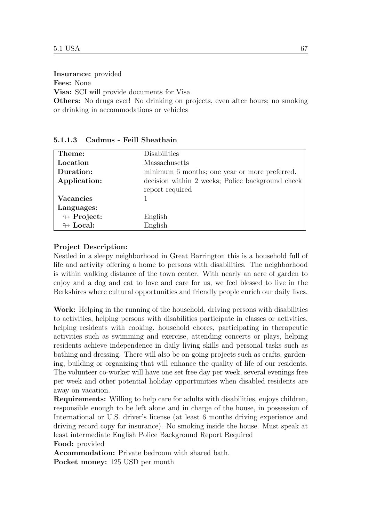Insurance: provided

Fees: None

Visa: SCI will provide documents for Visa

Others: No drugs ever! No drinking on projects, even after hours; no smoking or drinking in accommodations or vehicles

| Theme:                     | Disabilities                                                        |
|----------------------------|---------------------------------------------------------------------|
| Location                   | Massachusetts                                                       |
| Duration:                  | minimum 6 months; one year or more preferred.                       |
| Application:               | decision within 2 weeks; Police background check<br>report required |
| Vacancies                  |                                                                     |
| Languages:                 |                                                                     |
| $\leftrightarrow$ Project: | English                                                             |
| $\leftrightarrow$ Local:   | English                                                             |

#### 5.1.1.3 Cadmus - Feill Sheathain

#### Project Description:

Nestled in a sleepy neighborhood in Great Barrington this is a household full of life and activity offering a home to persons with disabilities. The neighborhood is within walking distance of the town center. With nearly an acre of garden to enjoy and a dog and cat to love and care for us, we feel blessed to live in the Berkshires where cultural opportunities and friendly people enrich our daily lives.

Work: Helping in the running of the household, driving persons with disabilities to activities, helping persons with disabilities participate in classes or activities, helping residents with cooking, household chores, participating in therapeutic activities such as swimming and exercise, attending concerts or plays, helping residents achieve independence in daily living skills and personal tasks such as bathing and dressing. There will also be on-going projects such as crafts, gardening, building or organizing that will enhance the quality of life of our residents. The volunteer co-worker will have one set free day per week, several evenings free per week and other potential holiday opportunities when disabled residents are away on vacation.

Requirements: Willing to help care for adults with disabilities, enjoys children, responsible enough to be left alone and in charge of the house, in possession of International or U.S. driver's license (at least 6 months driving experience and driving record copy for insurance). No smoking inside the house. Must speak at least intermediate English Police Background Report Required

#### Food: provided

Accommodation: Private bedroom with shared bath. Pocket money: 125 USD per month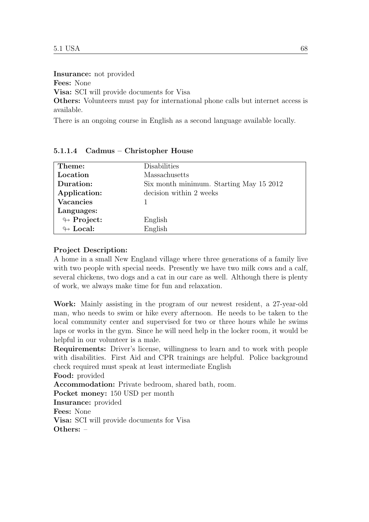Insurance: not provided

Fees: None

Visa: SCI will provide documents for Visa

Others: Volunteers must pay for international phone calls but internet access is available.

There is an ongoing course in English as a second language available locally.

| Theme:                     | Disabilities                            |
|----------------------------|-----------------------------------------|
| Location                   | Massachusetts                           |
| Duration:                  | Six month minimum. Starting May 15 2012 |
| Application:               | decision within 2 weeks                 |
| <b>Vacancies</b>           |                                         |
| Languages:                 |                                         |
| $\looparrowright$ Project: | English                                 |
| $\leftrightarrow$ Local:   | English                                 |

#### 5.1.1.4 Cadmus – Christopher House

#### Project Description:

A home in a small New England village where three generations of a family live with two people with special needs. Presently we have two milk cows and a calf, several chickens, two dogs and a cat in our care as well. Although there is plenty of work, we always make time for fun and relaxation.

Work: Mainly assisting in the program of our newest resident, a 27-year-old man, who needs to swim or hike every afternoon. He needs to be taken to the local community center and supervised for two or three hours while he swims laps or works in the gym. Since he will need help in the locker room, it would be helpful in our volunteer is a male.

Requirements: Driver's license, willingness to learn and to work with people with disabilities. First Aid and CPR trainings are helpful. Police background check required must speak at least intermediate English

Food: provided

Accommodation: Private bedroom, shared bath, room.

Pocket money: 150 USD per month

Insurance: provided

Fees: None

Visa: SCI will provide documents for Visa Others: –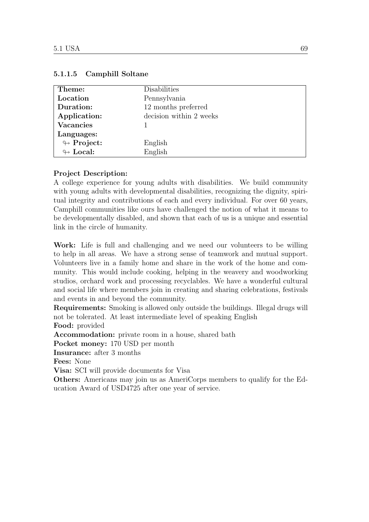| Theme:                     | Disabilities            |
|----------------------------|-------------------------|
| Location                   | Pennsylvania            |
| Duration:                  | 12 months preferred     |
| Application:               | decision within 2 weeks |
| <b>Vacancies</b>           |                         |
| Languages:                 |                         |
| $\looparrowright$ Project: | English                 |
| $\leftrightarrow$ Local:   | English                 |

#### 5.1.1.5 Camphill Soltane

# Project Description:

A college experience for young adults with disabilities. We build community with young adults with developmental disabilities, recognizing the dignity, spiritual integrity and contributions of each and every individual. For over 60 years, Camphill communities like ours have challenged the notion of what it means to be developmentally disabled, and shown that each of us is a unique and essential link in the circle of humanity.

Work: Life is full and challenging and we need our volunteers to be willing to help in all areas. We have a strong sense of teamwork and mutual support. Volunteers live in a family home and share in the work of the home and community. This would include cooking, helping in the weavery and woodworking studios, orchard work and processing recyclables. We have a wonderful cultural and social life where members join in creating and sharing celebrations, festivals and events in and beyond the community.

Requirements: Smoking is allowed only outside the buildings. Illegal drugs will not be tolerated. At least intermediate level of speaking English Food: provided

Accommodation: private room in a house, shared bath

Pocket money: 170 USD per month

Insurance: after 3 months

Fees: None

Visa: SCI will provide documents for Visa

Others: Americans may join us as AmeriCorps members to qualify for the Education Award of USD4725 after one year of service.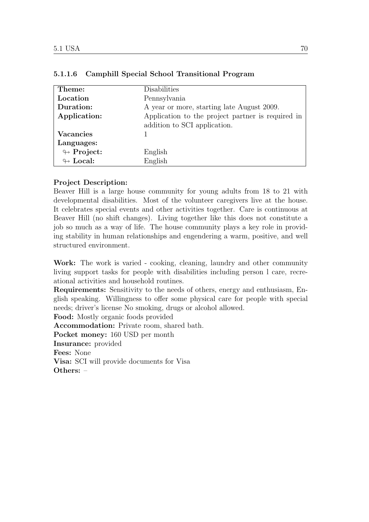| Theme:                     | Disabilities                                      |
|----------------------------|---------------------------------------------------|
| Location                   | Pennsylvania                                      |
| Duration:                  | A year or more, starting late August 2009.        |
| Application:               | Application to the project partner is required in |
|                            | addition to SCI application.                      |
| <b>Vacancies</b>           |                                                   |
| Languages:                 |                                                   |
| $\looparrowright$ Project: | English                                           |
| $\leftrightarrow$ Local:   | English                                           |

# 5.1.1.6 Camphill Special School Transitional Program

# Project Description:

Beaver Hill is a large house community for young adults from 18 to 21 with developmental disabilities. Most of the volunteer caregivers live at the house. It celebrates special events and other activities together. Care is continuous at Beaver Hill (no shift changes). Living together like this does not constitute a job so much as a way of life. The house community plays a key role in providing stability in human relationships and engendering a warm, positive, and well structured environment.

Work: The work is varied - cooking, cleaning, laundry and other community living support tasks for people with disabilities including person l care, recreational activities and household routines.

Requirements: Sensitivity to the needs of others, energy and enthusiasm, English speaking. Willingness to offer some physical care for people with special needs; driver's license No smoking, drugs or alcohol allowed.

Food: Mostly organic foods provided

Accommodation: Private room, shared bath. Pocket money: 160 USD per month

Insurance: provided

Fees: None

Visa: SCI will provide documents for Visa

Others: –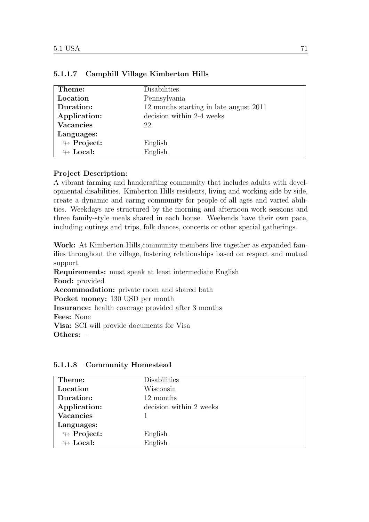| Theme:                     | Disabilities                           |
|----------------------------|----------------------------------------|
| Location                   | Pennsylvania                           |
| Duration:                  | 12 months starting in late august 2011 |
| Application:               | decision within 2-4 weeks              |
| <b>Vacancies</b>           | 22                                     |
| Languages:                 |                                        |
| $\looparrowright$ Project: | English                                |
| $\leftrightarrow$ Local:   | English                                |

# 5.1.1.7 Camphill Village Kimberton Hills

# Project Description:

A vibrant farming and handcrafting community that includes adults with developmental disabilities. Kimberton Hills residents, living and working side by side, create a dynamic and caring community for people of all ages and varied abilities. Weekdays are structured by the morning and afternoon work sessions and three family-style meals shared in each house. Weekends have their own pace, including outings and trips, folk dances, concerts or other special gatherings.

Work: At Kimberton Hills,community members live together as expanded families throughout the village, fostering relationships based on respect and mutual support.

Requirements: must speak at least intermediate English Food: provided Accommodation: private room and shared bath Pocket money: 130 USD per month Insurance: health coverage provided after 3 months Fees: None Visa: SCI will provide documents for Visa Others: –

| Theme:                     | Disabilities            |
|----------------------------|-------------------------|
| Location                   | Wisconsin               |
| Duration:                  | 12 months               |
| Application:               | decision within 2 weeks |
| <b>Vacancies</b>           |                         |
| Languages:                 |                         |
| $\looparrowright$ Project: | English                 |
| $\leftrightarrow$ Local:   | English                 |

#### 5.1.1.8 Community Homestead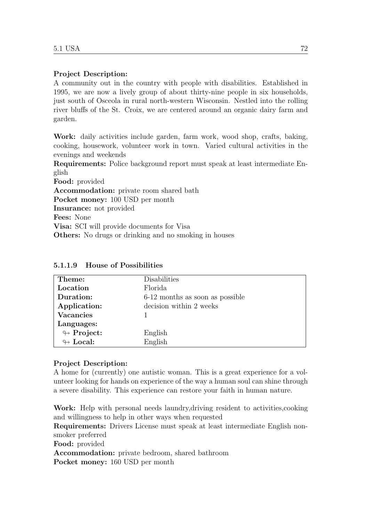# Project Description:

A community out in the country with people with disabilities. Established in 1995, we are now a lively group of about thirty-nine people in six households, just south of Osceola in rural north-western Wisconsin. Nestled into the rolling river bluffs of the St. Croix, we are centered around an organic dairy farm and garden.

Work: daily activities include garden, farm work, wood shop, crafts, baking, cooking, housework, volunteer work in town. Varied cultural activities in the evenings and weekends

Requirements: Police background report must speak at least intermediate English

Food: provided Accommodation: private room shared bath Pocket money: 100 USD per month Insurance: not provided Fees: None Visa: SCI will provide documents for Visa Others: No drugs or drinking and no smoking in houses

| Theme:                     | Disabilities                    |
|----------------------------|---------------------------------|
| Location                   | Florida                         |
| Duration:                  | 6-12 months as soon as possible |
| Application:               | decision within 2 weeks         |
| <b>Vacancies</b>           |                                 |
| Languages:                 |                                 |
| $\looparrowright$ Project: | English                         |
| $\leftrightarrow$ Local:   | English                         |

5.1.1.9 House of Possibilities

# Project Description:

A home for (currently) one autistic woman. This is a great experience for a volunteer looking for hands on experience of the way a human soul can shine through a severe disability. This experience can restore your faith in human nature.

Work: Help with personal needs laundry,driving resident to activities,cooking and willingness to help in other ways when requested

Requirements: Drivers License must speak at least intermediate English nonsmoker preferred

Food: provided

Accommodation: private bedroom, shared bathroom Pocket money: 160 USD per month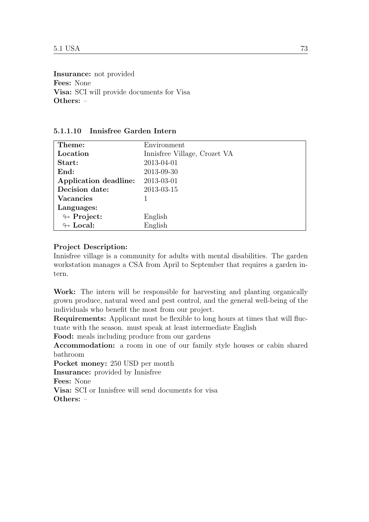Insurance: not provided Fees: None Visa: SCI will provide documents for Visa Others: –

| Theme:                     | Environment                  |
|----------------------------|------------------------------|
| Location                   | Innisfree Village, Crozet VA |
| Start:                     | 2013-04-01                   |
| End:                       | 2013-09-30                   |
| Application deadline:      | 2013-03-01                   |
| Decision date:             | 2013-03-15                   |
| <b>Vacancies</b>           |                              |
| Languages:                 |                              |
| $\leftrightarrow$ Project: | English                      |
| $\leftrightarrow$ Local:   | English                      |

# 5.1.1.10 Innisfree Garden Intern

# Project Description:

Innisfree village is a community for adults with mental disabilities. The garden workstation manages a CSA from April to September that requires a garden intern.

Work: The intern will be responsible for harvesting and planting organically grown produce, natural weed and pest control, and the general well-being of the individuals who benefit the most from our project.

Requirements: Applicant must be flexible to long hours at times that will fluctuate with the season. must speak at least intermediate English

Food: meals including produce from our gardens

Accommodation: a room in one of our family style houses or cabin shared bathroom

Pocket money: 250 USD per month

Insurance: provided by Innisfree

Fees: None

Visa: SCI or Innisfree will send documents for visa Others: –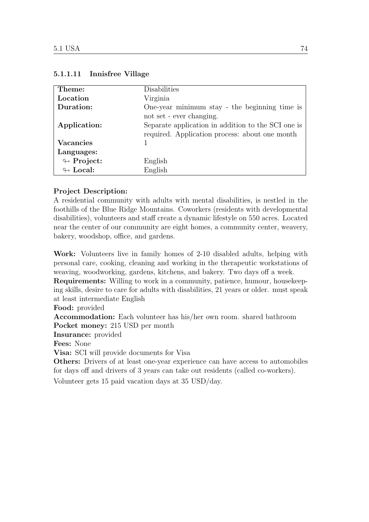| Theme:                     | Disabilities                                       |
|----------------------------|----------------------------------------------------|
| Location                   | Virginia                                           |
| Duration:                  | One-year minimum stay - the beginning time is      |
|                            | not set - ever changing.                           |
| Application:               | Separate application in addition to the SCI one is |
|                            | required. Application process: about one month     |
| <b>Vacancies</b>           |                                                    |
| Languages:                 |                                                    |
| $\leftrightarrow$ Project: | English                                            |
| $\leftrightarrow$ Local:   | English                                            |

# 5.1.1.11 Innisfree Village

# Project Description:

A residential community with adults with mental disabilities, is nestled in the foothills of the Blue Ridge Mountains. Coworkers (residents with developmental disabilities), volunteers and staff create a dynamic lifestyle on 550 acres. Located near the center of our community are eight homes, a community center, weavery, bakery, woodshop, office, and gardens.

Work: Volunteers live in family homes of 2-10 disabled adults, helping with personal care, cooking, cleaning and working in the therapeutic workstations of weaving, woodworking, gardens, kitchens, and bakery. Two days off a week.

Requirements: Willing to work in a community, patience, humour, housekeeping skills, desire to care for adults with disabilities, 21 years or older. must speak at least intermediate English

Food: provided

Accommodation: Each volunteer has his/her own room. shared bathroom Pocket money: 215 USD per month

Insurance: provided

Fees: None

Visa: SCI will provide documents for Visa

Others: Drivers of at least one-year experience can have access to automobiles for days off and drivers of 3 years can take out residents (called co-workers).

Volunteer gets 15 paid vacation days at 35 USD/day.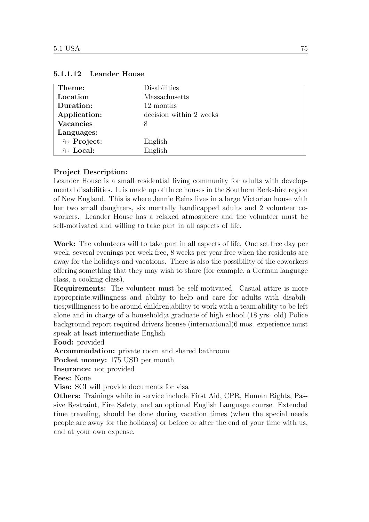| Theme:                     | Disabilities            |
|----------------------------|-------------------------|
| Location                   | Massachusetts           |
| Duration:                  | 12 months               |
| Application:               | decision within 2 weeks |
| <b>Vacancies</b>           | 8                       |
| Languages:                 |                         |
| $\looparrowright$ Project: | English                 |
| $\leftrightarrow$ Local:   | English                 |

#### 5.1.1.12 Leander House

#### Project Description:

Leander House is a small residential living community for adults with developmental disabilities. It is made up of three houses in the Southern Berkshire region of New England. This is where Jennie Reins lives in a large Victorian house with her two small daughters, six mentally handicapped adults and 2 volunteer coworkers. Leander House has a relaxed atmosphere and the volunteer must be self-motivated and willing to take part in all aspects of life.

Work: The volunteers will to take part in all aspects of life. One set free day per week, several evenings per week free, 8 weeks per year free when the residents are away for the holidays and vacations. There is also the possibility of the coworkers offering something that they may wish to share (for example, a German language class, a cooking class).

Requirements: The volunteer must be self-motivated. Casual attire is more appropriate.willingness and ability to help and care for adults with disabilities;willingness to be around children;ability to work with a team;ability to be left alone and in charge of a household;a graduate of high school.(18 yrs. old) Police background report required drivers license (international)6 mos. experience must speak at least intermediate English

Food: provided

Accommodation: private room and shared bathroom

Pocket money: 175 USD per month

Insurance: not provided

Fees: None

Visa: SCI will provide documents for visa

Others: Trainings while in service include First Aid, CPR, Human Rights, Passive Restraint, Fire Safety, and an optional English Language course. Extended time traveling, should be done during vacation times (when the special needs people are away for the holidays) or before or after the end of your time with us, and at your own expense.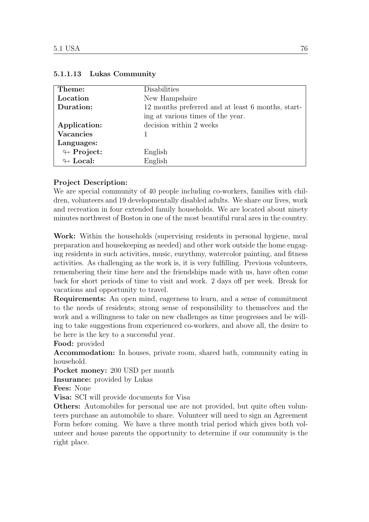| Theme:                     | Disabilities                                      |
|----------------------------|---------------------------------------------------|
| Location                   | New Hampshsire                                    |
| Duration:                  | 12 months preferred and at least 6 months, start- |
|                            | ing at various times of the year.                 |
| Application:               | decision within 2 weeks                           |
| <b>Vacancies</b>           |                                                   |
| Languages:                 |                                                   |
| $\leftrightarrow$ Project: | English                                           |
| $\leftrightarrow$ Local:   | English                                           |

#### 5.1.1.13 Lukas Community

#### Project Description:

We are special community of 40 people including co-workers, families with children, volunteers and 19 developmentally disabled adults. We share our lives, work and recreation in four extended family households. We are located about ninety minutes northwest of Boston in one of the most beautiful rural ares in the country.

Work: Within the households (supervising residents in personal hygiene, meal preparation and housekeeping as needed) and other work outside the home engaging residents in such activities, music, eurythmy, watercolor painting, and fitness activities. As challenging as the work is, it is very fulfilling. Previous volunteers, remembering their time here and the friendships made with us, have often come back for short periods of time to visit and work. 2 days off per week. Break for vacations and opportunity to travel.

Requirements: An open mind, eagerness to learn, and a sense of commitment to the needs of residents; strong sense of responsibility to themselves and the work and a willingness to take on new challenges as time progresses and be willing to take suggestions from experienced co-workers, and above all, the desire to be here is the key to a successful year.

Food: provided

Accommodation: In houses, private room, shared bath, community eating in household.

Pocket money: 200 USD per month

Insurance: provided by Lukas

Fees: None

Visa: SCI will provide documents for Visa

Others: Automobiles for personal use are not provided, but quite often volunteers purchase an automobile to share. Volunteer will need to sign an Agreement Form before coming. We have a three month trial period which gives both volunteer and house parents the opportunity to determine if our community is the right place.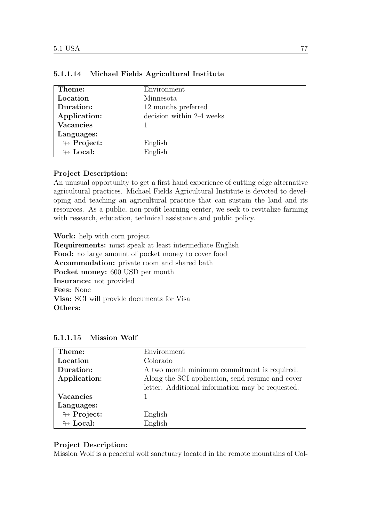| Theme:                     | Environment               |
|----------------------------|---------------------------|
| Location                   | Minnesota                 |
| Duration:                  | 12 months preferred       |
| Application:               | decision within 2-4 weeks |
| <b>Vacancies</b>           |                           |
| Languages:                 |                           |
| $\looparrowright$ Project: | English                   |
| $\leftrightarrow$ Local:   | English                   |

#### 5.1.1.14 Michael Fields Agricultural Institute

# Project Description:

An unusual opportunity to get a first hand experience of cutting edge alternative agricultural practices. Michael Fields Agricultural Institute is devoted to developing and teaching an agricultural practice that can sustain the land and its resources. As a public, non-profit learning center, we seek to revitalize farming with research, education, technical assistance and public policy.

Work: help with corn project

Requirements: must speak at least intermediate English Food: no large amount of pocket money to cover food Accommodation: private room and shared bath Pocket money: 600 USD per month Insurance: not provided Fees: None Visa: SCI will provide documents for Visa Others: –

| Theme:                     | Environment                                      |
|----------------------------|--------------------------------------------------|
| Location                   | Colorado                                         |
| Duration:                  | A two month minimum commitment is required.      |
| Application:               | Along the SCI application, send resume and cover |
|                            | letter. Additional information may be requested. |
| <b>Vacancies</b>           |                                                  |
| Languages:                 |                                                  |
| $\looparrowright$ Project: | English                                          |
| $\leftrightarrow$ Local:   | English                                          |

5.1.1.15 Mission Wolf

# Project Description:

Mission Wolf is a peaceful wolf sanctuary located in the remote mountains of Col-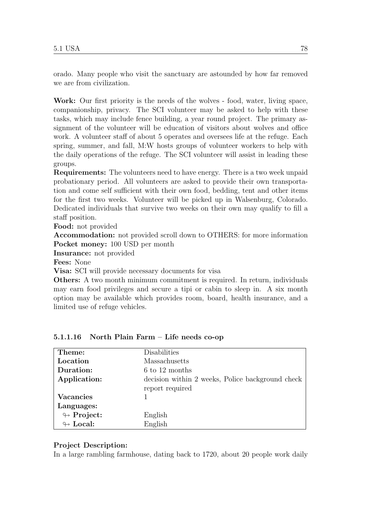orado. Many people who visit the sanctuary are astounded by how far removed we are from civilization.

Work: Our first priority is the needs of the wolves - food, water, living space, companionship, privacy. The SCI volunteer may be asked to help with these tasks, which may include fence building, a year round project. The primary assignment of the volunteer will be education of visitors about wolves and office work. A volunteer staff of about 5 operates and oversees life at the refuge. Each spring, summer, and fall, M:W hosts groups of volunteer workers to help with the daily operations of the refuge. The SCI volunteer will assist in leading these groups.

Requirements: The volunteers need to have energy. There is a two week unpaid probationary period. All volunteers are asked to provide their own transportation and come self sufficient with their own food, bedding, tent and other items for the first two weeks. Volunteer will be picked up in Walsenburg, Colorado. Dedicated individuals that survive two weeks on their own may qualify to fill a staff position.

Food: not provided

Accommodation: not provided scroll down to OTHERS: for more information Pocket money: 100 USD per month

Insurance: not provided

Fees: None

Visa: SCI will provide necessary documents for visa

Others: A two month minimum commitment is required. In return, individuals may earn food privileges and secure a tipi or cabin to sleep in. A six month option may be available which provides room, board, health insurance, and a limited use of refuge vehicles.

| Theme:                     | Disabilities                                     |
|----------------------------|--------------------------------------------------|
| Location                   | Massachusetts                                    |
| Duration:                  | 6 to 12 months                                   |
| Application:               | decision within 2 weeks, Police background check |
|                            | report required                                  |
| <b>Vacancies</b>           |                                                  |
| Languages:                 |                                                  |
| $\leftrightarrow$ Project: | English                                          |
| $\leftrightarrow$ Local:   | English                                          |

# 5.1.1.16 North Plain Farm – Life needs co-op

# Project Description:

In a large rambling farmhouse, dating back to 1720, about 20 people work daily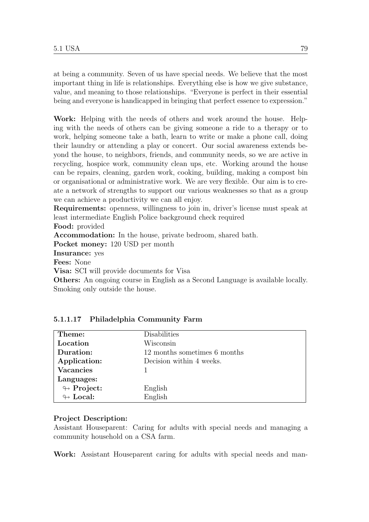at being a community. Seven of us have special needs. We believe that the most important thing in life is relationships. Everything else is how we give substance, value, and meaning to those relationships. "Everyone is perfect in their essential being and everyone is handicapped in bringing that perfect essence to expression."

Work: Helping with the needs of others and work around the house. Helping with the needs of others can be giving someone a ride to a therapy or to work, helping someone take a bath, learn to write or make a phone call, doing their laundry or attending a play or concert. Our social awareness extends beyond the house, to neighbors, friends, and community needs, so we are active in recycling, hospice work, community clean ups, etc. Working around the house can be repairs, cleaning, garden work, cooking, building, making a compost bin or organisational or administrative work. We are very flexible. Our aim is to create a network of strengths to support our various weaknesses so that as a group we can achieve a productivity we can all enjoy.

Requirements: openness, willingness to join in, driver's license must speak at least intermediate English Police background check required

Food: provided

Accommodation: In the house, private bedroom, shared bath.

Pocket money: 120 USD per month

Insurance: yes

Fees: None

Visa: SCI will provide documents for Visa

Others: An ongoing course in English as a Second Language is available locally. Smoking only outside the house.

| Theme:                     | Disabilities                 |
|----------------------------|------------------------------|
| Location                   | Wisconsin                    |
| Duration:                  | 12 months sometimes 6 months |
| Application:               | Decision within 4 weeks.     |
| <b>Vacancies</b>           |                              |
| Languages:                 |                              |
| $\looparrowright$ Project: | English                      |
| $\leftrightarrow$ Local:   | English                      |

#### 5.1.1.17 Philadelphia Community Farm

#### Project Description:

Assistant Houseparent: Caring for adults with special needs and managing a community household on a CSA farm.

Work: Assistant Houseparent caring for adults with special needs and man-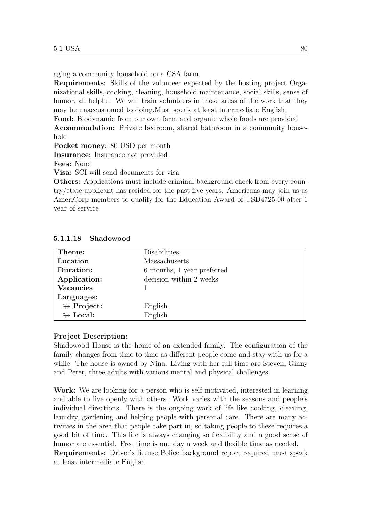aging a community household on a CSA farm.

Requirements: Skills of the volunteer expected by the hosting project Organizational skills, cooking, cleaning, household maintenance, social skills, sense of humor, all helpful. We will train volunteers in those areas of the work that they may be unaccustomed to doing.Must speak at least intermediate English.

Food: Biodynamic from our own farm and organic whole foods are provided Accommodation: Private bedroom, shared bathroom in a community household

Pocket money: 80 USD per month

Insurance: Insurance not provided

Fees: None

Visa: SCI will send documents for visa

Others: Applications must include criminal background check from every country/state applicant has resided for the past five years. Americans may join us as AmeriCorp members to qualify for the Education Award of USD4725.00 after 1 year of service

| Theme:                     | Disabilities               |
|----------------------------|----------------------------|
| Location                   | Massachusetts              |
| Duration:                  | 6 months, 1 year preferred |
| Application:               | decision within 2 weeks    |
| <b>Vacancies</b>           |                            |
| Languages:                 |                            |
| $\looparrowright$ Project: | English                    |
| $\leftrightarrow$ Local:   | English                    |

5.1.1.18 Shadowood

#### Project Description:

Shadowood House is the home of an extended family. The configuration of the family changes from time to time as different people come and stay with us for a while. The house is owned by Nina. Living with her full time are Steven, Ginny and Peter, three adults with various mental and physical challenges.

Work: We are looking for a person who is self motivated, interested in learning and able to live openly with others. Work varies with the seasons and people's individual directions. There is the ongoing work of life like cooking, cleaning, laundry, gardening and helping people with personal care. There are many activities in the area that people take part in, so taking people to these requires a good bit of time. This life is always changing so flexibility and a good sense of humor are essential. Free time is one day a week and flexible time as needed. Requirements: Driver's license Police background report required must speak at least intermediate English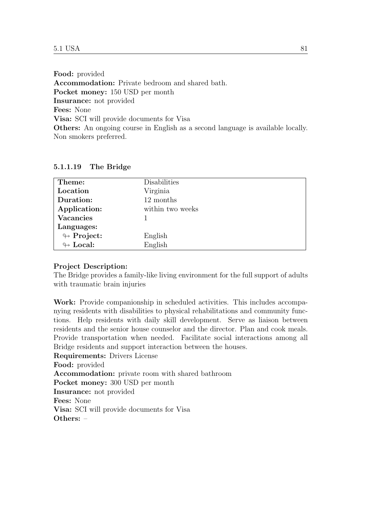Food: provided Accommodation: Private bedroom and shared bath. Pocket money: 150 USD per month Insurance: not provided Fees: None Visa: SCI will provide documents for Visa Others: An ongoing course in English as a second language is available locally. Non smokers preferred.

| Theme:                     | Disabilities     |
|----------------------------|------------------|
| Location                   | Virginia         |
| Duration:                  | 12 months        |
| Application:               | within two weeks |
| <b>Vacancies</b>           |                  |
| Languages:                 |                  |
| $\looparrowright$ Project: | English          |
| $\leftrightarrow$ Local:   | English          |

5.1.1.19 The Bridge

# Project Description:

The Bridge provides a family-like living environment for the full support of adults with traumatic brain injuries

Work: Provide companionship in scheduled activities. This includes accompanying residents with disabilities to physical rehabilitations and community functions. Help residents with daily skill development. Serve as liaison between residents and the senior house counselor and the director. Plan and cook meals. Provide transportation when needed. Facilitate social interactions among all Bridge residents and support interaction between the houses.

Requirements: Drivers License Food: provided Accommodation: private room with shared bathroom Pocket money: 300 USD per month Insurance: not provided Fees: None Visa: SCI will provide documents for Visa Others: –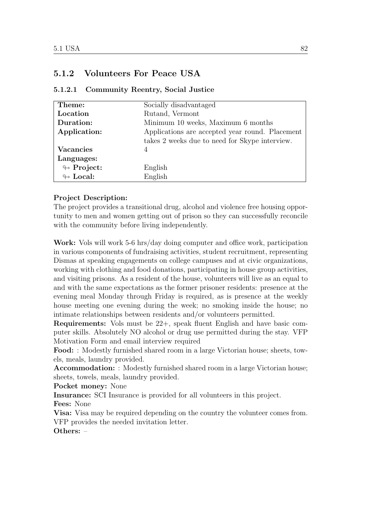# 5.1.2 Volunteers For Peace USA

| Theme:                     | Socially disadvantaged                          |
|----------------------------|-------------------------------------------------|
| Location                   | Rutand, Vermont                                 |
| Duration:                  | Minimum 10 weeks, Maximum 6 months              |
| Application:               | Applications are accepted year round. Placement |
|                            | takes 2 weeks due to need for Skype interview.  |
| <b>Vacancies</b>           | 4                                               |
| Languages:                 |                                                 |
| $\looparrowright$ Project: | English                                         |
| $\leftrightarrow$ Local:   | English                                         |

# 5.1.2.1 Community Reentry, Social Justice

# Project Description:

The project provides a transitional drug, alcohol and violence free housing opportunity to men and women getting out of prison so they can successfully reconcile with the community before living independently.

Work: Vols will work 5-6 hrs/day doing computer and office work, participation in various components of fundraising activities, student recruitment, representing Dismas at speaking engagements on college campuses and at civic organizations, working with clothing and food donations, participating in house group activities, and visiting prisons. As a resident of the house, volunteers will live as an equal to and with the same expectations as the former prisoner residents: presence at the evening meal Monday through Friday is required, as is presence at the weekly house meeting one evening during the week; no smoking inside the house; no intimate relationships between residents and/or volunteers permitted.

Requirements: Vols must be 22+, speak fluent English and have basic computer skills. Absolutely NO alcohol or drug use permitted during the stay. VFP Motivation Form and email interview required

Food: : Modestly furnished shared room in a large Victorian house; sheets, towels, meals, laundry provided.

Accommodation: : Modestly furnished shared room in a large Victorian house; sheets, towels, meals, laundry provided.

Pocket money: None

Insurance: SCI Insurance is provided for all volunteers in this project.

Fees: None

Visa: Visa may be required depending on the country the volunteer comes from. VFP provides the needed invitation letter.

Others: –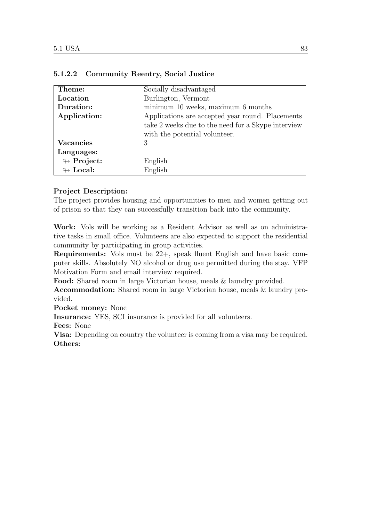| Theme:                     | Socially disadvantaged                             |
|----------------------------|----------------------------------------------------|
| Location                   | Burlington, Vermont                                |
| Duration:                  | minimum 10 weeks, maximum 6 months                 |
| Application:               | Applications are accepted year round. Placements   |
|                            | take 2 weeks due to the need for a Skype interview |
|                            | with the potential volunteer.                      |
| Vacancies                  | 3                                                  |
| Languages:                 |                                                    |
| $\leftrightarrow$ Project: | English                                            |
| $\leftrightarrow$ Local:   | English                                            |

# 5.1.2.2 Community Reentry, Social Justice

# Project Description:

The project provides housing and opportunities to men and women getting out of prison so that they can successfully transition back into the community.

Work: Vols will be working as a Resident Advisor as well as on administrative tasks in small office. Volunteers are also expected to support the residential community by participating in group activities.

Requirements: Vols must be 22+, speak fluent English and have basic computer skills. Absolutely NO alcohol or drug use permitted during the stay. VFP Motivation Form and email interview required.

Food: Shared room in large Victorian house, meals & laundry provided.

Accommodation: Shared room in large Victorian house, meals & laundry provided.

Pocket money: None

Insurance: YES, SCI insurance is provided for all volunteers.

Fees: None

Visa: Depending on country the volunteer is coming from a visa may be required. Others: –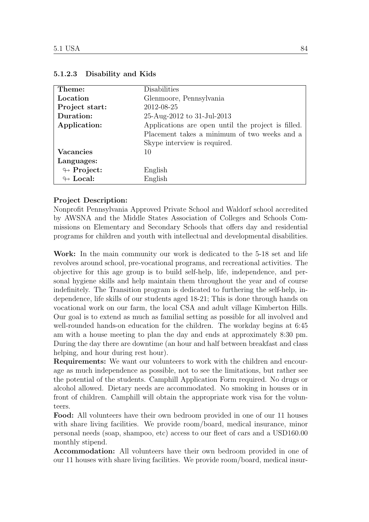| Theme:                     | Disabilities                                       |
|----------------------------|----------------------------------------------------|
| Location                   | Glenmoore, Pennsylvania                            |
| Project start:             | 2012-08-25                                         |
| Duration:                  | 25-Aug-2012 to 31-Jul-2013                         |
| Application:               | Applications are open until the project is filled. |
|                            | Placement takes a minimum of two weeks and a       |
|                            | Skype interview is required.                       |
| <b>Vacancies</b>           | 10                                                 |
| Languages:                 |                                                    |
| $\looparrowright$ Project: | English                                            |
| $\leftrightarrow$ Local:   | English                                            |

#### 5.1.2.3 Disability and Kids

# Project Description:

Nonprofit Pennsylvania Approved Private School and Waldorf school accredited by AWSNA and the Middle States Association of Colleges and Schools Commissions on Elementary and Secondary Schools that offers day and residential programs for children and youth with intellectual and developmental disabilities.

Work: In the main community our work is dedicated to the 5-18 set and life revolves around school, pre-vocational programs, and recreational activities. The objective for this age group is to build self-help, life, independence, and personal hygiene skills and help maintain them throughout the year and of course indefinitely. The Transition program is dedicated to furthering the self-help, independence, life skills of our students aged 18-21; This is done through hands on vocational work on our farm, the local CSA and adult village Kimberton Hills. Our goal is to extend as much as familial setting as possible for all involved and well-rounded hands-on education for the children. The workday begins at 6:45 am with a house meeting to plan the day and ends at approximately 8:30 pm. During the day there are downtime (an hour and half between breakfast and class helping, and hour during rest hour).

Requirements: We want our volunteers to work with the children and encourage as much independence as possible, not to see the limitations, but rather see the potential of the students. Camphill Application Form required. No drugs or alcohol allowed. Dietary needs are accommodated. No smoking in houses or in front of children. Camphill will obtain the appropriate work visa for the volunteers.

Food: All volunteers have their own bedroom provided in one of our 11 houses with share living facilities. We provide room/board, medical insurance, minor personal needs (soap, shampoo, etc) access to our fleet of cars and a USD160.00 monthly stipend.

Accommodation: All volunteers have their own bedroom provided in one of our 11 houses with share living facilities. We provide room/board, medical insur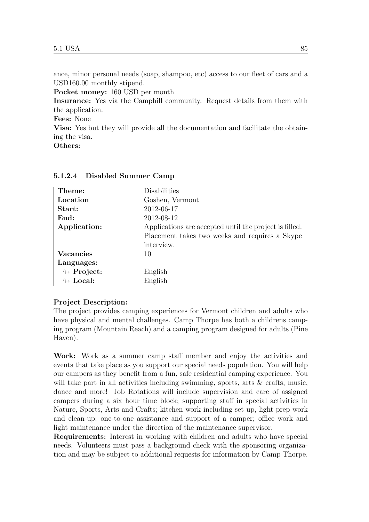ance, minor personal needs (soap, shampoo, etc) access to our fleet of cars and a USD160.00 monthly stipend.

Pocket money: 160 USD per month

Insurance: Yes via the Camphill community. Request details from them with the application.

Fees: None

Visa: Yes but they will provide all the documentation and facilitate the obtaining the visa.

Others: –

| Theme:                     | Disabilities                                           |
|----------------------------|--------------------------------------------------------|
| Location                   | Goshen, Vermont                                        |
| Start:                     | 2012-06-17                                             |
| End:                       | 2012-08-12                                             |
| Application:               | Applications are accepted until the project is filled. |
|                            | Placement takes two weeks and requires a Skype         |
|                            | interview.                                             |
| <b>Vacancies</b>           | 10                                                     |
| Languages:                 |                                                        |
| $\leftrightarrow$ Project: | English                                                |
| $\leftrightarrow$ Local:   | English                                                |

5.1.2.4 Disabled Summer Camp

# Project Description:

The project provides camping experiences for Vermont children and adults who have physical and mental challenges. Camp Thorpe has both a childrens camping program (Mountain Reach) and a camping program designed for adults (Pine Haven).

Work: Work as a summer camp staff member and enjoy the activities and events that take place as you support our special needs population. You will help our campers as they benefit from a fun, safe residential camping experience. You will take part in all activities including swimming, sports, arts  $\&$  crafts, music, dance and more! Job Rotations will include supervision and care of assigned campers during a six hour time block; supporting staff in special activities in Nature, Sports, Arts and Crafts; kitchen work including set up, light prep work and clean-up; one-to-one assistance and support of a camper; office work and light maintenance under the direction of the maintenance supervisor.

Requirements: Interest in working with children and adults who have special needs. Volunteers must pass a background check with the sponsoring organization and may be subject to additional requests for information by Camp Thorpe.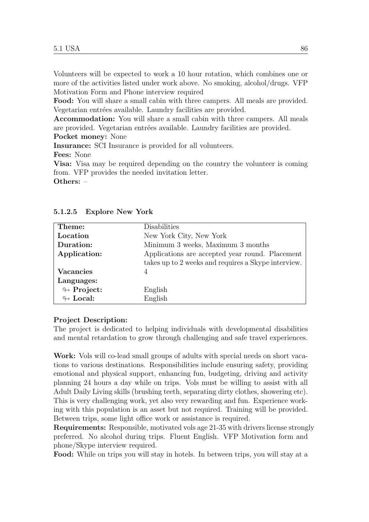Volunteers will be expected to work a 10 hour rotation, which combines one or more of the activities listed under work above. No smoking, alcohol/drugs. VFP Motivation Form and Phone interview required

Food: You will share a small cabin with three campers. All meals are provided. Vegetarian entrées available. Laundry facilities are provided.

Accommodation: You will share a small cabin with three campers. All meals are provided. Vegetarian entrées available. Laundry facilities are provided.

Pocket money: None

Insurance: SCI Insurance is provided for all volunteers.

Fees: None

Visa: Visa may be required depending on the country the volunteer is coming from. VFP provides the needed invitation letter.

Others: –

| Theme:                     | Disabilities                                        |
|----------------------------|-----------------------------------------------------|
| Location                   | New York City, New York                             |
| Duration:                  | Minimum 3 weeks, Maximum 3 months                   |
| Application:               | Applications are accepted year round. Placement     |
|                            | takes up to 2 weeks and requires a Skype interview. |
| <b>Vacancies</b>           | 4                                                   |
| Languages:                 |                                                     |
| $\looparrowright$ Project: | English                                             |
| $\leftrightarrow$ Local:   | English                                             |

5.1.2.5 Explore New York

# Project Description:

The project is dedicated to helping individuals with developmental disabilities and mental retardation to grow through challenging and safe travel experiences.

Work: Vols will co-lead small groups of adults with special needs on short vacations to various destinations. Responsibilities include ensuring safety, providing emotional and physical support, enhancing fun, budgeting, driving and activity planning 24 hours a day while on trips. Vols must be willing to assist with all Adult Daily Living skills (brushing teeth, separating dirty clothes, showering etc). This is very challenging work, yet also very rewarding and fun. Experience working with this population is an asset but not required. Training will be provided. Between trips, some light office work or assistance is required.

Requirements: Responsible, motivated vols age 21-35 with drivers license strongly preferred. No alcohol during trips. Fluent English. VFP Motivation form and phone/Skype interview required.

Food: While on trips you will stay in hotels. In between trips, you will stay at a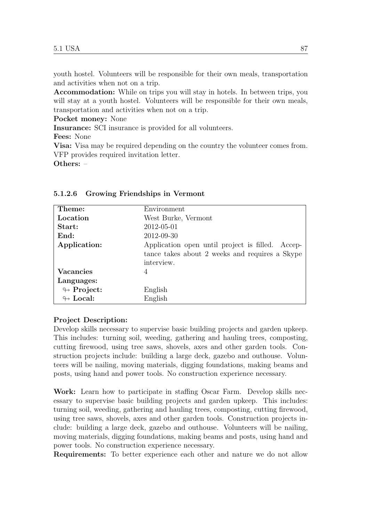youth hostel. Volunteers will be responsible for their own meals, transportation and activities when not on a trip.

Accommodation: While on trips you will stay in hotels. In between trips, you will stay at a youth hostel. Volunteers will be responsible for their own meals, transportation and activities when not on a trip.

Pocket money: None

Insurance: SCI insurance is provided for all volunteers.

Fees: None

Visa: Visa may be required depending on the country the volunteer comes from. VFP provides required invitation letter.

Others: –

| Theme:                     | Environment                                      |
|----------------------------|--------------------------------------------------|
| Location                   | West Burke, Vermont                              |
| Start:                     | 2012-05-01                                       |
| End:                       | 2012-09-30                                       |
| Application:               | Application open until project is filled. Accep- |
|                            | tance takes about 2 weeks and requires a Skype   |
|                            | interview.                                       |
| <b>Vacancies</b>           | 4                                                |
| Languages:                 |                                                  |
| $\leftrightarrow$ Project: | English                                          |
| $\leftrightarrow$ Local:   | English                                          |

#### 5.1.2.6 Growing Friendships in Vermont

# Project Description:

Develop skills necessary to supervise basic building projects and garden upkeep. This includes: turning soil, weeding, gathering and hauling trees, composting, cutting firewood, using tree saws, shovels, axes and other garden tools. Construction projects include: building a large deck, gazebo and outhouse. Volunteers will be nailing, moving materials, digging foundations, making beams and posts, using hand and power tools. No construction experience necessary.

Work: Learn how to participate in staffing Oscar Farm. Develop skills necessary to supervise basic building projects and garden upkeep. This includes: turning soil, weeding, gathering and hauling trees, composting, cutting firewood, using tree saws, shovels, axes and other garden tools. Construction projects include: building a large deck, gazebo and outhouse. Volunteers will be nailing, moving materials, digging foundations, making beams and posts, using hand and power tools. No construction experience necessary.

Requirements: To better experience each other and nature we do not allow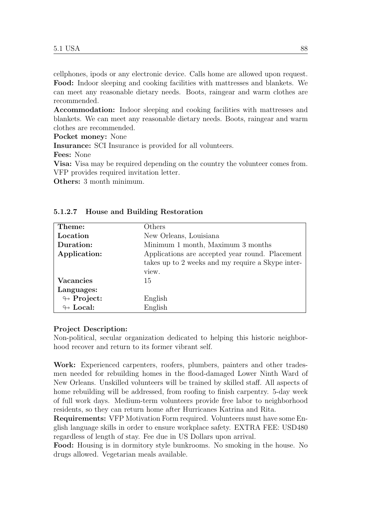cellphones, ipods or any electronic device. Calls home are allowed upon request. Food: Indoor sleeping and cooking facilities with mattresses and blankets. We can meet any reasonable dietary needs. Boots, raingear and warm clothes are recommended.

Accommodation: Indoor sleeping and cooking facilities with mattresses and blankets. We can meet any reasonable dietary needs. Boots, raingear and warm clothes are recommended.

Pocket money: None

Insurance: SCI Insurance is provided for all volunteers.

Fees: None

Visa: Visa may be required depending on the country the volunteer comes from. VFP provides required invitation letter.

Others: 3 month minimum.

| Theme:                     | Others                                            |
|----------------------------|---------------------------------------------------|
| Location                   | New Orleans, Louisiana                            |
| Duration:                  | Minimum 1 month, Maximum 3 months                 |
| Application:               | Applications are accepted year round. Placement   |
|                            | takes up to 2 weeks and my require a Skype inter- |
|                            | view.                                             |
| <b>Vacancies</b>           | 15                                                |
| Languages:                 |                                                   |
| $\leftrightarrow$ Project: | English                                           |
| $\leftrightarrow$ Local:   | English                                           |

#### 5.1.2.7 House and Building Restoration

#### Project Description:

Non-political, secular organization dedicated to helping this historic neighborhood recover and return to its former vibrant self.

Work: Experienced carpenters, roofers, plumbers, painters and other tradesmen needed for rebuilding homes in the flood-damaged Lower Ninth Ward of New Orleans. Unskilled volunteers will be trained by skilled staff. All aspects of home rebuilding will be addressed, from roofing to finish carpentry. 5-day week of full work days. Medium-term volunteers provide free labor to neighborhood residents, so they can return home after Hurricanes Katrina and Rita.

Requirements: VFP Motivation Form required. Volunteers must have some English language skills in order to ensure workplace safety. EXTRA FEE: USD480 regardless of length of stay. Fee due in US Dollars upon arrival.

Food: Housing is in dormitory style bunkrooms. No smoking in the house. No drugs allowed. Vegetarian meals available.